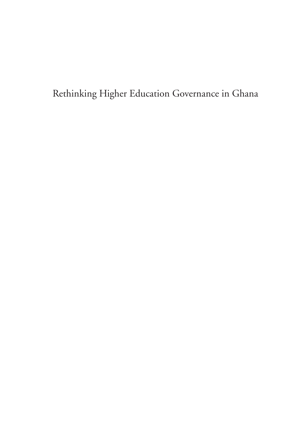Rethinking Higher Education Governance in Ghana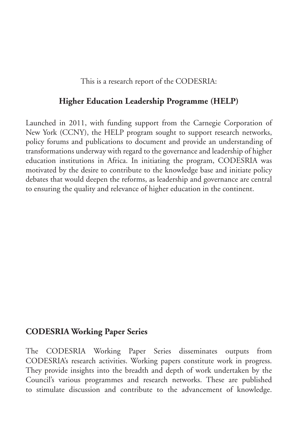This is a research report of the CODESRIA:

#### **Higher Education Leadership Programme (HELP)**

Launched in 2011, with funding support from the Carnegie Corporation of New York (CCNY), the HELP program sought to support research networks, policy forums and publications to document and provide an understanding of transformations underway with regard to the governance and leadership of higher education institutions in Africa. In initiating the program, CODESRIA was motivated by the desire to contribute to the knowledge base and initiate policy debates that would deepen the reforms, as leadership and governance are central to ensuring the quality and relevance of higher education in the continent.

#### **CODESRIA Working Paper Series**

The CODESRIA Working Paper Series disseminates outputs from CODESRIA's research activities. Working papers constitute work in progress. They provide insights into the breadth and depth of work undertaken by the Council's various programmes and research networks. These are published to stimulate discussion and contribute to the advancement of knowledge.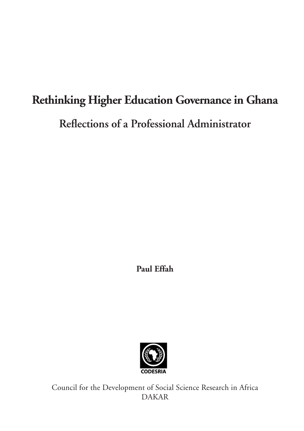# **Rethinking Higher Education Governance in Ghana**

**Reflections of a Professional Administrator**

**Paul Effah**



Council for the Development of Social Science Research in Africa DAKAR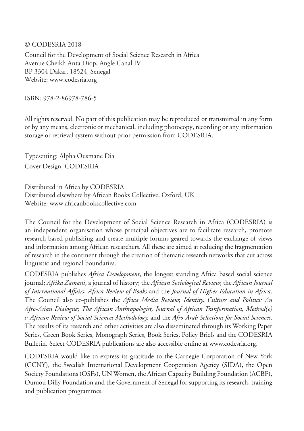© CODESRIA 2018

Council for the Development of Social Science Research in Africa Avenue Cheikh Anta Diop, Angle Canal IV BP 3304 Dakar, 18524, Senegal Website: www.codesria.org

ISBN: 978-2-86978-786-5

All rights reserved. No part of this publication may be reproduced or transmitted in any form or by any means, electronic or mechanical, including photocopy, recording or any information storage or retrieval system without prior permission from CODESRIA.

Typesetting: Alpha Ousmane Dia Cover Design: CODESRIA

Distributed in Africa by CODESRIA Distributed elsewhere by African Books Collective, Oxford, UK Website: www.africanbookscollective.com

The Council for the Development of Social Science Research in Africa (CODESRIA) is an independent organisation whose principal objectives are to facilitate research, promote research-based publishing and create multiple forums geared towards the exchange of views and information among African researchers. All these are aimed at reducing the fragmentation of research in the continent through the creation of thematic research networks that cut across linguistic and regional boundaries.

CODESRIA publishes *Africa Development*, the longest standing Africa based social science journal; *Afrika Zamani*, a journal of history; the *African Sociological Review*; the *African Journal of International Affairs*; *Africa Review of Books* and the *Journal of Higher Education in Africa*. The Council also co-publishes the *Africa Media Review*; *Identity, Culture and Politics: An Afro-Asian Dialogue*; *The African Anthropologist, Journal of African Tranformation, Method(e) s: African Review of Social Sciences Methodology,* and the *Afro-Arab Selections for Social Sciences*. The results of its research and other activities are also disseminated through its Working Paper Series, Green Book Series, Monograph Series, Book Series, Policy Briefs and the CODESRIA Bulletin. Select CODESRIA publications are also accessible online at www.codesria.org.

CODESRIA would like to express its gratitude to the Carnegie Corporation of New York (CCNY), the Swedish International Development Cooperation Agency (SIDA), the Open Society Foundations (OSFs), UN Women, the African Capacity Building Foundation (ACBF), Oumou Dilly Foundation and the Government of Senegal for supporting its research, training and publication programmes.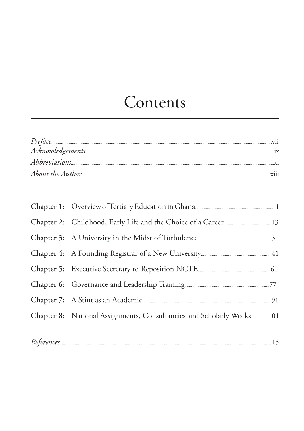### Contents

| <b>Y111</b> |
|-------------|
|             |

| Chapter 7: A Stint as an Academic 21 Manual Manual Manual 21          |  |
|-----------------------------------------------------------------------|--|
| Chapter 8: National Assignments, Consultancies and Scholarly Works101 |  |
|                                                                       |  |
| $References 115\,$                                                    |  |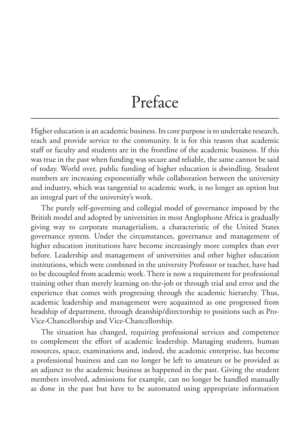### Preface

Higher education is an academic business. Its core purpose is to undertake research, teach and provide service to the community. It is for this reason that academic staff or faculty and students are in the frontline of the academic business. If this was true in the past when funding was secure and reliable, the same cannot be said of today. World over, public funding of higher education is dwindling. Student numbers are increasing exponentially while collaboration between the university and industry, which was tangential to academic work, is no longer an option but an integral part of the university's work.

The purely self-governing and collegial model of governance imposed by the British model and adopted by universities in most Anglophone Africa is gradually giving way to corporate managerialism, a characteristic of the United States governance system. Under the circumstances, governance and management of higher education institutions have become increasingly more complex than ever before. Leadership and management of universities and other higher education institutions, which were combined in the university Professor or teacher, have had to be decoupled from academic work. There is now a requirement for professional training other than merely learning on-the-job or through trial and error and the experience that comes with progressing through the academic hierarchy. Thus, academic leadership and management were acquainted as one progressed from headship of department, through deanship/directorship to positions such as Pro-Vice-Chancellorship and Vice-Chancellorship.

The situation has changed, requiring professional services and competence to complement the effort of academic leadership. Managing students, human resources, space, examinations and, indeed, the academic enterprise, has become a professional business and can no longer be left to amateurs or be provided as an adjunct to the academic business as happened in the past. Giving the student members involved, admissions for example, can no longer be handled manually as done in the past but have to be automated using appropriate information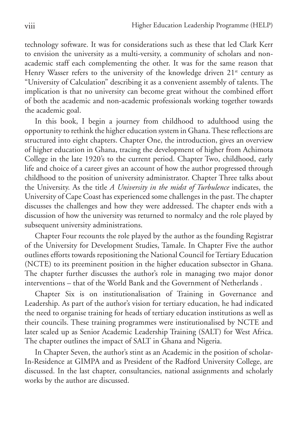technology software. It was for considerations such as these that led Clark Kerr to envision the university as a multi-versity, a community of scholars and nonacademic staff each complementing the other. It was for the same reason that Henry Wasser refers to the university of the knowledge driven  $21<sup>st</sup>$  century as "University of Calculation" describing it as a convenient assembly of talents. The implication is that no university can become great without the combined effort of both the academic and non-academic professionals working together towards the academic goal.

In this book, I begin a journey from childhood to adulthood using the opportunity to rethink the higher education system in Ghana. These reflections are structured into eight chapters. Chapter One, the introduction, gives an overview of higher education in Ghana, tracing the development of higher from Achimota College in the late 1920's to the current period. Chapter Two, childhood, early life and choice of a career gives an account of how the author progressed through childhood to the position of university administrator. Chapter Three talks about the University. As the title *A University in the midst of Turbulence* indicates, the University of Cape Coast has experienced some challenges in the past. The chapter discusses the challenges and how they were addressed. The chapter ends with a discussion of how the university was returned to normalcy and the role played by subsequent university administrations.

Chapter Four recounts the role played by the author as the founding Registrar of the University for Development Studies, Tamale. In Chapter Five the author outlines efforts towards repositioning the National Council for Tertiary Education (NCTE) to its preeminent position in the higher education subsector in Ghana. The chapter further discusses the author's role in managing two major donor interventions – that of the World Bank and the Government of Netherlands .

Chapter Six is on institutionalisation of Training in Governance and Leadership. As part of the author's vision for tertiary education, he had indicated the need to organise training for heads of tertiary education institutions as well as their councils. These training programmes were institutionalised by NCTE and later scaled up as Senior Academic Leadership Training (SALT) for West Africa. The chapter outlines the impact of SALT in Ghana and Nigeria.

In Chapter Seven, the author's stint as an Academic in the position of scholar-In-Residence at GIMPA and as President of the Radford University College, are discussed. In the last chapter, consultancies, national assignments and scholarly works by the author are discussed.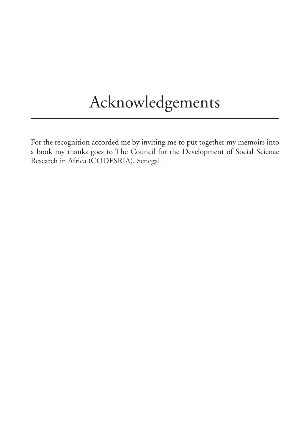## Acknowledgements

For the recognition accorded me by inviting me to put together my memoirs into a book my thanks goes to The Council for the Development of Social Science Research in Africa (CODESRIA), Senegal.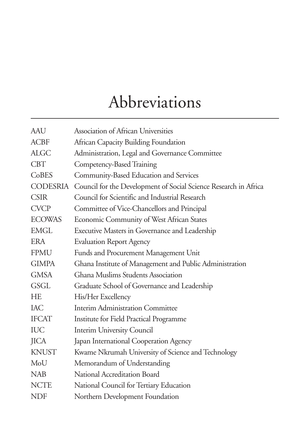## Abbreviations

| <b>AAU</b>      | Association of African Universities                              |
|-----------------|------------------------------------------------------------------|
| <b>ACBF</b>     | African Capacity Building Foundation                             |
| <b>ALGC</b>     | Administration, Legal and Governance Committee                   |
| <b>CBT</b>      | Competency-Based Training                                        |
| CoBES           | Community-Based Education and Services                           |
| <b>CODESRIA</b> | Council for the Development of Social Science Research in Africa |
| <b>CSIR</b>     | Council for Scientific and Industrial Research                   |
| <b>CVCP</b>     | Committee of Vice-Chancellors and Principal                      |
| <b>ECOWAS</b>   | Economic Community of West African States                        |
| <b>EMGL</b>     | Executive Masters in Governance and Leadership                   |
| <b>ERA</b>      | <b>Evaluation Report Agency</b>                                  |
| <b>FPMU</b>     | Funds and Procurement Management Unit                            |
| <b>GIMPA</b>    | Ghana Institute of Management and Public Administration          |
| <b>GMSA</b>     | Ghana Muslims Students Association                               |
| <b>GSGL</b>     | Graduate School of Governance and Leadership                     |
| <b>HE</b>       | His/Her Excellency                                               |
| IAC             | <b>Interim Administration Committee</b>                          |
| <b>IFCAT</b>    | Institute for Field Practical Programme                          |
| <b>IUC</b>      | Interim University Council                                       |
| <b>JICA</b>     | Japan International Cooperation Agency                           |
| <b>KNUST</b>    | Kwame Nkrumah University of Science and Technology               |
| MoU             | Memorandum of Understanding                                      |
| <b>NAB</b>      | National Accreditation Board                                     |
| <b>NCTE</b>     | National Council for Tertiary Education                          |
| <b>NDF</b>      | Northern Development Foundation                                  |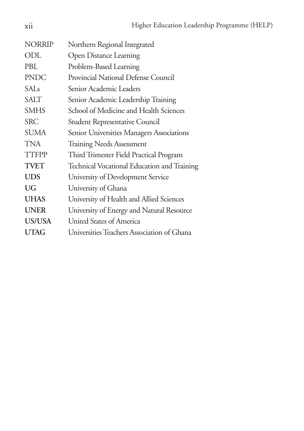| <b>NORRIP</b>    | Northern Regional Integrated                |
|------------------|---------------------------------------------|
| ODL              | <b>Open Distance Learning</b>               |
| PBL.             | Problem-Based Learning                      |
| <b>PNDC</b>      | Provincial National Defense Council         |
| SAI <sub>s</sub> | Senior Academic Leaders                     |
| <b>SALT</b>      | Senior Academic Leadership Training         |
| <b>SMHS</b>      | School of Medicine and Health Sciences      |
| <b>SRC</b>       | <b>Student Representative Council</b>       |
| SUMA             | Senior Universities Managers Associations   |
| TNA              | <b>Training Needs Assessment</b>            |
| TTFPP            | Third Trimester Field Practical Program     |
| <b>TVET</b>      | Technical Vocational Education and Training |
| <b>UDS</b>       | University of Development Service           |
| UG               | University of Ghana                         |
| <b>UHAS</b>      | University of Health and Allied Sciences    |
| <b>UNER</b>      | University of Energy and Natural Resource   |
| <b>US/USA</b>    | United States of America                    |
| <b>UTAG</b>      | Universities Teachers Association of Ghana  |
|                  |                                             |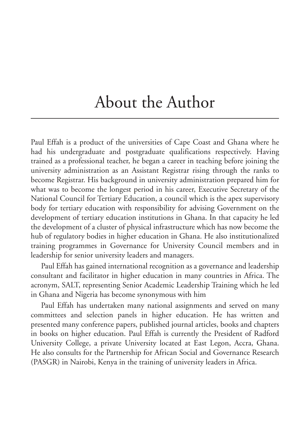### About the Author

Paul Effah is a product of the universities of Cape Coast and Ghana where he had his undergraduate and postgraduate qualifications respectively. Having trained as a professional teacher, he began a career in teaching before joining the university administration as an Assistant Registrar rising through the ranks to become Registrar. His background in university administration prepared him for what was to become the longest period in his career, Executive Secretary of the National Council for Tertiary Education, a council which is the apex supervisory body for tertiary education with responsibility for advising Government on the development of tertiary education institutions in Ghana. In that capacity he led the development of a cluster of physical infrastructure which has now become the hub of regulatory bodies in higher education in Ghana. He also institutionalized training programmes in Governance for University Council members and in leadership for senior university leaders and managers.

Paul Effah has gained international recognition as a governance and leadership consultant and facilitator in higher education in many countries in Africa. The acronym, SALT, representing Senior Academic Leadership Training which he led in Ghana and Nigeria has become synonymous with him

Paul Effah has undertaken many national assignments and served on many committees and selection panels in higher education. He has written and presented many conference papers, published journal articles, books and chapters in books on higher education. Paul Effah is currently the President of Radford University College, a private University located at East Legon, Accra, Ghana. He also consults for the Partnership for African Social and Governance Research (PASGR) in Nairobi, Kenya in the training of university leaders in Africa.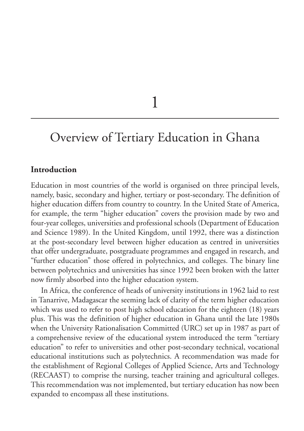1

### Overview of Tertiary Education in Ghana

#### **Introduction**

Education in most countries of the world is organised on three principal levels, namely, basic, secondary and higher, tertiary or post-secondary. The definition of higher education differs from country to country. In the United State of America, for example, the term "higher education" covers the provision made by two and four-year colleges, universities and professional schools (Department of Education and Science 1989). In the United Kingdom, until 1992, there was a distinction at the post-secondary level between higher education as centred in universities that offer undergraduate, postgraduate programmes and engaged in research, and "further education" those offered in polytechnics, and colleges. The binary line between polytechnics and universities has since 1992 been broken with the latter now firmly absorbed into the higher education system.

In Africa, the conference of heads of university institutions in 1962 laid to rest in Tanarrive, Madagascar the seeming lack of clarity of the term higher education which was used to refer to post high school education for the eighteen (18) years plus. This was the definition of higher education in Ghana until the late 1980s when the University Rationalisation Committed (URC) set up in 1987 as part of a comprehensive review of the educational system introduced the term "tertiary education" to refer to universities and other post-secondary technical, vocational educational institutions such as polytechnics. A recommendation was made for the establishment of Regional Colleges of Applied Science, Arts and Technology (RECAAST) to comprise the nursing, teacher training and agricultural colleges. This recommendation was not implemented, but tertiary education has now been expanded to encompass all these institutions.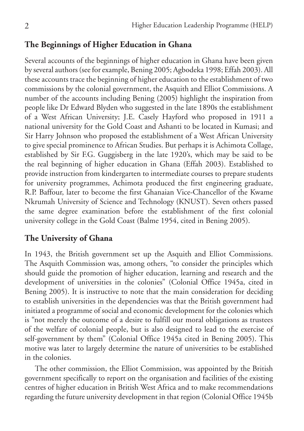#### **The Beginnings of Higher Education in Ghana**

Several accounts of the beginnings of higher education in Ghana have been given by several authors (see for example, Bening 2005; Agbodeka 1998; Effah 2003). All these accounts trace the beginning of higher education to the establishment of two commissions by the colonial government, the Asquith and Elliot Commissions. A number of the accounts including Bening (2005) highlight the inspiration from people like Dr Edward Blyden who suggested in the late 1890s the establishment of a West African University; J.E. Casely Hayford who proposed in 1911 a national university for the Gold Coast and Ashanti to be located in Kumasi; and Sir Harry Johnson who proposed the establishment of a West African University to give special prominence to African Studies. But perhaps it is Achimota Collage, established by Sir F.G. Guggisberg in the late 1920's, which may be said to be the real beginning of higher education in Ghana (Effah 2003). Established to provide instruction from kindergarten to intermediate courses to prepare students for university programmes, Achimota produced the first engineering graduate, R.P. Baffour, later to become the first Ghanaian Vice-Chancellor of the Kwame Nkrumah University of Science and Technology (KNUST). Seven others passed the same degree examination before the establishment of the first colonial university college in the Gold Coast (Balme 1954, cited in Bening 2005).

#### **The University of Ghana**

In 1943, the British government set up the Asquith and Elliot Commissions. The Asquith Commission was, among others, "to consider the principles which should guide the promotion of higher education, learning and research and the development of universities in the colonies" (Colonial Office 1945a, cited in Bening 2005). It is instructive to note that the main consideration for deciding to establish universities in the dependencies was that the British government had initiated a programme of social and economic development for the colonies which is "not merely the outcome of a desire to fulfill our moral obligations as trustees of the welfare of colonial people, but is also designed to lead to the exercise of self-government by them" (Colonial Office 1945a cited in Bening 2005). This motive was later to largely determine the nature of universities to be established in the colonies.

The other commission, the Elliot Commission, was appointed by the British government specifically to report on the organisation and facilities of the existing centres of higher education in British West Africa and to make recommendations regarding the future university development in that region (Colonial Office 1945b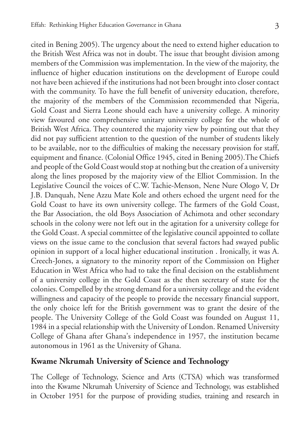cited in Bening 2005). The urgency about the need to extend higher education to the British West Africa was not in doubt. The issue that brought division among members of the Commission was implementation. In the view of the majority, the influence of higher education institutions on the development of Europe could not have been achieved if the institutions had not been brought into closer contact with the community. To have the full benefit of university education, therefore, the majority of the members of the Commission recommended that Nigeria, Gold Coast and Sierra Leone should each have a university college. A minority view favoured one comprehensive unitary university college for the whole of British West Africa. They countered the majority view by pointing out that they did not pay sufficient attention to the question of the number of students likely to be available, nor to the difficulties of making the necessary provision for staff, equipment and finance. (Colonial Office 1945, cited in Bening 2005).The Chiefs and people of the Gold Coast would stop at nothing but the creation of a university along the lines proposed by the majority view of the Elliot Commission. In the Legislative Council the voices of C.W. Tachie-Menson, Nene Nure Ologo V, Dr J.B. Danquah, Nene Azzu Mate Kole and others echoed the urgent need for the Gold Coast to have its own university college. The farmers of the Gold Coast, the Bar Association, the old Boys Association of Achimota and other secondary schools in the colony were not left out in the agitation for a university college for the Gold Coast. A special committee of the legislative council appointed to collate views on the issue came to the conclusion that several factors had swayed public opinion in support of a local higher educational institution . Ironically, it was A. Creech-Jones, a signatory to the minority report of the Commission on Higher Education in West Africa who had to take the final decision on the establishment of a university college in the Gold Coast as the then secretary of state for the colonies. Compelled by the strong demand for a university college and the evident willingness and capacity of the people to provide the necessary financial support, the only choice left for the British government was to grant the desire of the people. The University College of the Gold Coast was founded on August 11, 1984 in a special relationship with the University of London. Renamed University College of Ghana after Ghana's independence in 1957, the institution became autonomous in 1961 as the University of Ghana.

#### **Kwame Nkrumah University of Science and Technology**

The College of Technology, Science and Arts (CTSA) which was transformed into the Kwame Nkrumah University of Science and Technology, was established in October 1951 for the purpose of providing studies, training and research in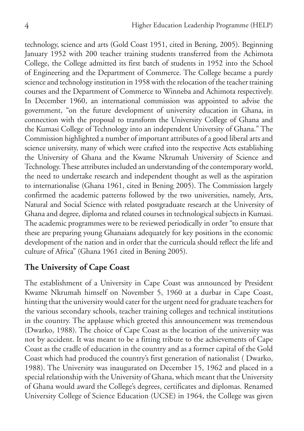technology, science and arts (Gold Coast 1951, cited in Bening, 2005). Beginning January 1952 with 200 teacher training students transferred from the Achimota College, the College admitted its first batch of students in 1952 into the School of Engineering and the Department of Commerce. The College became a purely science and technology institution in 1958 with the relocation of the teacher training courses and the Department of Commerce to Winneba and Achimota respectively. In December 1960, an international commission was appointed to advise the government, "on the future development of university education in Ghana, in connection with the proposal to transform the University College of Ghana and the Kumasi College of Technology into an independent University of Ghana." The Commission highlighted a number of important attributes of a good liberal arts and science university, many of which were crafted into the respective Acts establishing the University of Ghana and the Kwame Nkrumah University of Science and Technology. These attributes included an understanding of the contemporary world, the need to undertake research and independent thought as well as the aspiration to internationalise (Ghana 1961, cited in Bening 2005). The Commission largely confirmed the academic patterns followed by the two universities, namely, Arts, Natural and Social Science with related postgraduate research at the University of Ghana and degree, diploma and related courses in technological subjects in Kumasi. The academic programmes were to be reviewed periodically in order "to ensure that these are preparing young Ghanaians adequately for key positions in the economic development of the nation and in order that the curricula should reflect the life and culture of Africa" (Ghana 1961 cited in Bening 2005).

#### **The University of Cape Coast**

The establishment of a University in Cape Coast was announced by President Kwame Nkrumah himself on November 5, 1960 at a durbar in Cape Coast, hinting that the university would cater for the urgent need for graduate teachers for the various secondary schools, teacher training colleges and technical institutions in the country. The applause which greeted this announcement was tremendous (Dwarko, 1988). The choice of Cape Coast as the location of the university was not by accident. It was meant to be a fitting tribute to the achievements of Cape Coast as the cradle of education in the country and as a former capital of the Gold Coast which had produced the country's first generation of nationalist ( Dwarko, 1988). The University was inaugurated on December 15, 1962 and placed in a special relationship with the University of Ghana, which meant that the University of Ghana would award the College's degrees, certificates and diplomas. Renamed University College of Science Education (UCSE) in 1964, the College was given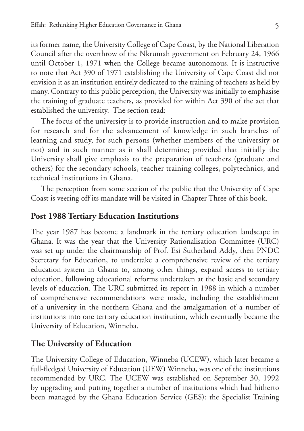its former name, the University College of Cape Coast, by the National Liberation Council after the overthrow of the Nkrumah government on February 24, 1966 until October 1, 1971 when the College became autonomous. It is instructive to note that Act 390 of 1971 establishing the University of Cape Coast did not envision it as an institution entirely dedicated to the training of teachers as held by many. Contrary to this public perception, the University was initially to emphasise the training of graduate teachers, as provided for within Act 390 of the act that established the university. The section read:

The focus of the university is to provide instruction and to make provision for research and for the advancement of knowledge in such branches of learning and study, for such persons (whether members of the university or not) and in such manner as it shall determine; provided that initially the University shall give emphasis to the preparation of teachers (graduate and others) for the secondary schools, teacher training colleges, polytechnics, and technical institutions in Ghana.

The perception from some section of the public that the University of Cape Coast is veering off its mandate will be visited in Chapter Three of this book.

#### **Post 1988 Tertiary Education Institutions**

The year 1987 has become a landmark in the tertiary education landscape in Ghana. It was the year that the University Rationalisation Committee (URC) was set up under the chairmanship of Prof. Esi Sutherland Addy, then PNDC Secretary for Education, to undertake a comprehensive review of the tertiary education system in Ghana to, among other things, expand access to tertiary education, following educational reforms undertaken at the basic and secondary levels of education. The URC submitted its report in 1988 in which a number of comprehensive recommendations were made, including the establishment of a university in the northern Ghana and the amalgamation of a number of institutions into one tertiary education institution, which eventually became the University of Education, Winneba.

#### **The University of Education**

The University College of Education, Winneba (UCEW), which later became a full-fledged University of Education (UEW) Winneba, was one of the institutions recommended by URC. The UCEW was established on September 30, 1992 by upgrading and putting together a number of institutions which had hitherto been managed by the Ghana Education Service (GES): the Specialist Training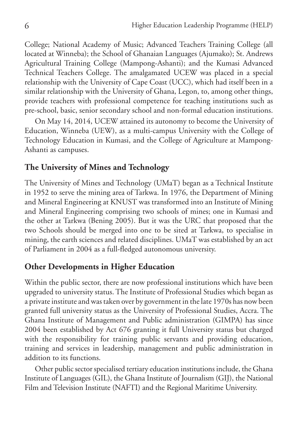College; National Academy of Music; Advanced Teachers Training College (all located at Winneba); the School of Ghanaian Languages (Ajumako); St. Andrews Agricultural Training College (Mampong-Ashanti); and the Kumasi Advanced Technical Teachers College. The amalgamated UCEW was placed in a special relationship with the University of Cape Coast (UCC), which had itself been in a similar relationship with the University of Ghana, Legon, to, among other things, provide teachers with professional competence for teaching institutions such as pre-school, basic, senior secondary school and non-formal education institutions.

On May 14, 2014, UCEW attained its autonomy to become the University of Education, Winneba (UEW), as a multi-campus University with the College of Technology Education in Kumasi, and the College of Agriculture at Mampong-Ashanti as campuses.

#### **The University of Mines and Technology**

The University of Mines and Technology (UMaT) began as a Technical Institute in 1952 to serve the mining area of Tarkwa. In 1976, the Department of Mining and Mineral Engineering at KNUST was transformed into an Institute of Mining and Mineral Engineering comprising two schools of mines; one in Kumasi and the other at Tarkwa (Bening 2005). But it was the URC that proposed that the two Schools should be merged into one to be sited at Tarkwa, to specialise in mining, the earth sciences and related disciplines. UMaT was established by an act of Parliament in 2004 as a full-fledged autonomous university.

#### **Other Developments in Higher Education**

Within the public sector, there are now professional institutions which have been upgraded to university status. The Institute of Professional Studies which began as a private institute and was taken over by government in the late 1970s has now been granted full university status as the University of Professional Studies, Accra. The Ghana Institute of Management and Public administration (GIMPA) has since 2004 been established by Act 676 granting it full University status but charged with the responsibility for training public servants and providing education, training and services in leadership, management and public administration in addition to its functions.

Other public sector specialised tertiary education institutions include, the Ghana Institute of Languages (GIL), the Ghana Institute of Journalism (GIJ), the National Film and Television Institute (NAFTI) and the Regional Maritime University.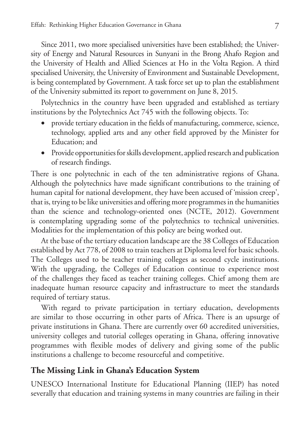Since 2011, two more specialised universities have been established; the University of Energy and Natural Resources in Sunyani in the Brong Ahafo Region and the University of Health and Allied Sciences at Ho in the Volta Region. A third specialised University, the University of Environment and Sustainable Development, is being contemplated by Government. A task force set up to plan the establishment of the University submitted its report to government on June 8, 2015.

Polytechnics in the country have been upgraded and established as tertiary institutions by the Polytechnics Act 745 with the following objects. To:

- provide tertiary education in the fields of manufacturing, commerce, science, technology, applied arts and any other field approved by the Minister for Education; and
- Provide opportunities for skills development, applied research and publication of research findings.

There is one polytechnic in each of the ten administrative regions of Ghana. Although the polytechnics have made significant contributions to the training of human capital for national development, they have been accused of 'mission creep', that is, trying to be like universities and offering more programmes in the humanities than the science and technology-oriented ones (NCTE, 2012). Government is contemplating upgrading some of the polytechnics to technical universities. Modalities for the implementation of this policy are being worked out.

At the base of the tertiary education landscape are the 38 Colleges of Education established by Act 778, of 2008 to train teachers at Diploma level for basic schools. The Colleges used to be teacher training colleges as second cycle institutions. With the upgrading, the Colleges of Education continue to experience most of the challenges they faced as teacher training colleges. Chief among them are inadequate human resource capacity and infrastructure to meet the standards required of tertiary status.

With regard to private participation in tertiary education, developments are similar to those occurring in other parts of Africa. There is an upsurge of private institutions in Ghana. There are currently over 60 accredited universities, university colleges and tutorial colleges operating in Ghana, offering innovative programmes with flexible modes of delivery and giving some of the public institutions a challenge to become resourceful and competitive.

#### **The Missing Link in Ghana's Education System**

UNESCO International Institute for Educational Planning (IIEP) has noted severally that education and training systems in many countries are failing in their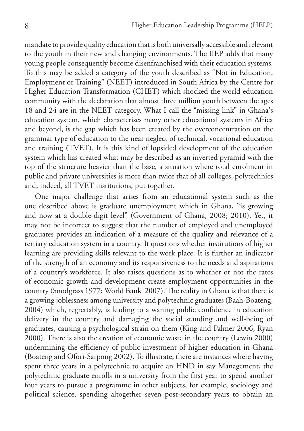mandate to provide quality education that is both universally accessible and relevant to the youth in their new and changing environments. The IIEP adds that many young people consequently become disenfranchised with their education systems. To this may be added a category of the youth described as "Not in Education, Employment or Training" (NEET) introduced in South Africa by the Centre for Higher Education Transformation (CHET) which shocked the world education community with the declaration that almost three million youth between the ages 18 and 24 are in the NEET category. What I call the "missing link" in Ghana's education system, which characterises many other educational systems in Africa and beyond, is the gap which has been created by the overconcentration on the grammar type of education to the near neglect of technical, vocational education and training (TVET). It is this kind of lopsided development of the education system which has created what may be described as an inverted pyramid with the top of the structure heavier than the base, a situation where total enrolment in public and private universities is more than twice that of all colleges, polytechnics and, indeed, all TVET institutions, put together.

One major challenge that arises from an educational system such as the one described above is graduate unemployment which in Ghana, "is growing and now at a double-digit level" (Government of Ghana, 2008; 2010). Yet, it may not be incorrect to suggest that the number of employed and unemployed graduates provides an indication of a measure of the quality and relevance of a tertiary education system in a country. It questions whether institutions of higher learning are providing skills relevant to the work place. It is further an indicator of the strength of an economy and its responsiveness to the needs and aspirations of a country's workforce. It also raises questions as to whether or not the rates of economic growth and development create employment opportunities in the country (Snodgrass 1977; World Bank 2007). The reality in Ghana is that there is a growing joblessness among university and polytechnic graduates (Baah-Boateng, 2004) which, regrettably, is leading to a waning public confidence in education delivery in the country and damaging the social standing and well-being of graduates, causing a psychological strain on them (King and Palmer 2006; Ryan 2000). There is also the creation of economic waste in the country (Lewin 2000) undermining the efficiency of public investment of higher education in Ghana (Boateng and Ofori-Sarpong 2002). To illustrate, there are instances where having spent three years in a polytechnic to acquire an HND in say Management, the polytechnic graduate enrolls in a university from the first year to spend another four years to pursue a programme in other subjects, for example, sociology and political science, spending altogether seven post-secondary years to obtain an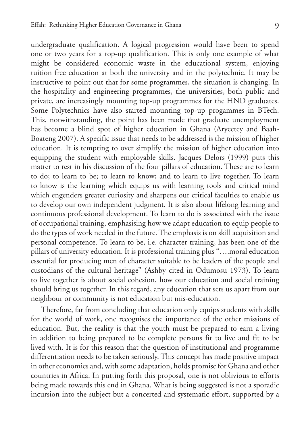undergraduate qualification. A logical progression would have been to spend one or two years for a top-up qualification. This is only one example of what might be considered economic waste in the educational system, enjoying tuition free education at both the university and in the polytechnic. It may be instructive to point out that for some programmes, the situation is changing. In the hospitality and engineering programmes, the universities, both public and private, are increasingly mounting top-up programmes for the HND graduates. Some Polytechnics have also started mounting top-up progammes in BTech. This, notwithstanding, the point has been made that graduate unemployment has become a blind spot of higher education in Ghana (Aryeetey and Baah-Boateng 2007). A specific issue that needs to be addressed is the mission of higher education. It is tempting to over simplify the mission of higher education into equipping the student with employable skills. Jacques Delors (1999) puts this matter to rest in his discussion of the four pillars of education. These are to learn to do; to learn to be; to learn to know; and to learn to live together. To learn to know is the learning which equips us with learning tools and critical mind which engenders greater curiosity and sharpens our critical faculties to enable us to develop our own independent judgment. It is also about lifelong learning and continuous professional development. To learn to do is associated with the issue of occupational training, emphasising how we adapt education to equip people to do the types of work needed in the future. The emphasis is on skill acquisition and personal competence. To learn to be, i.e. character training, has been one of the pillars of university education. It is professional training plus "….moral education essential for producing men of character suitable to be leaders of the people and custodians of the cultural heritage" (Ashby cited in Odumosu 1973). To learn to live together is about social cohesion, how our education and social training should bring us together. In this regard, any education that sets us apart from our neighbour or community is not education but mis-education.

Therefore, far from concluding that education only equips students with skills for the world of work, one recognises the importance of the other missions of education. But, the reality is that the youth must be prepared to earn a living in addition to being prepared to be complete persons fit to live and fit to be lived with. It is for this reason that the question of institutional and programme differentiation needs to be taken seriously. This concept has made positive impact in other economies and, with some adaptation, holds promise for Ghana and other countries in Africa. In putting forth this proposal, one is not oblivious to efforts being made towards this end in Ghana. What is being suggested is not a sporadic incursion into the subject but a concerted and systematic effort, supported by a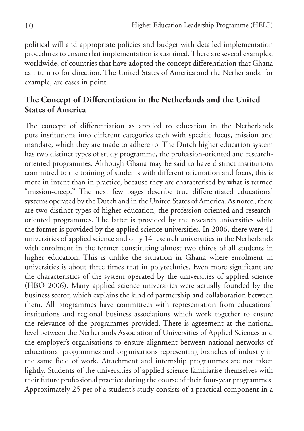political will and appropriate policies and budget with detailed implementation procedures to ensure that implementation is sustained. There are several examples, worldwide, of countries that have adopted the concept differentiation that Ghana can turn to for direction. The United States of America and the Netherlands, for example, are cases in point.

#### **The Concept of Differentiation in the Netherlands and the United States of America**

The concept of differentiation as applied to education in the Netherlands puts institutions into different categories each with specific focus, mission and mandate, which they are made to adhere to. The Dutch higher education system has two distinct types of study programme, the profession-oriented and researchoriented programmes. Although Ghana may be said to have distinct institutions committed to the training of students with different orientation and focus, this is more in intent than in practice, because they are characterised by what is termed "mission-creep." The next few pages describe true differentiated educational systems operated by the Dutch and in the United States of America. As noted, there are two distinct types of higher education, the profession-oriented and researchoriented programmes. The latter is provided by the research universities while the former is provided by the applied science universities. In 2006, there were 41 universities of applied science and only 14 research universities in the Netherlands with enrolment in the former constituting almost two thirds of all students in higher education. This is unlike the situation in Ghana where enrolment in universities is about three times that in polytechnics. Even more significant are the characteristics of the system operated by the universities of applied science (HBO 2006). Many applied science universities were actually founded by the business sector, which explains the kind of partnership and collaboration between them. All programmes have committees with representation from educational institutions and regional business associations which work together to ensure the relevance of the programmes provided. There is agreement at the national level between the Netherlands Association of Universities of Applied Sciences and the employer's organisations to ensure alignment between national networks of educational programmes and organisations representing branches of industry in the same field of work. Attachment and internship programmes are not taken lightly. Students of the universities of applied science familiarise themselves with their future professional practice during the course of their four-year programmes. Approximately 25 per of a student's study consists of a practical component in a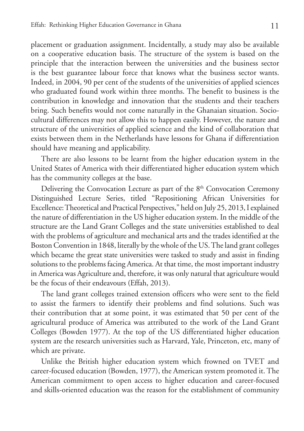placement or graduation assignment. Incidentally, a study may also be available on a cooperative education basis. The structure of the system is based on the principle that the interaction between the universities and the business sector is the best guarantee labour force that knows what the business sector wants. Indeed, in 2004, 90 per cent of the students of the universities of applied sciences who graduated found work within three months. The benefit to business is the contribution in knowledge and innovation that the students and their teachers bring. Such benefits would not come naturally in the Ghanaian situation. Sociocultural differences may not allow this to happen easily. However, the nature and structure of the universities of applied science and the kind of collaboration that exists between them in the Netherlands have lessons for Ghana if differentiation should have meaning and applicability.

There are also lessons to be learnt from the higher education system in the United States of America with their differentiated higher education system which has the community colleges at the base.

Delivering the Convocation Lecture as part of the 8<sup>th</sup> Convocation Ceremony Distinguished Lecture Series, titled "Repositioning African Universities for Excellence: Theoretical and Practical Perspectives," held on July 25, 2013, I explained the nature of differentiation in the US higher education system. In the middle of the structure are the Land Grant Colleges and the state universities established to deal with the problems of agriculture and mechanical arts and the trades identified at the Boston Convention in 1848, literally by the whole of the US. The land grant colleges which became the great state universities were tasked to study and assist in finding solutions to the problems facing America. At that time, the most important industry in America was Agriculture and, therefore, it was only natural that agriculture would be the focus of their endeavours (Effah, 2013).

The land grant colleges trained extension officers who were sent to the field to assist the farmers to identify their problems and find solutions. Such was their contribution that at some point, it was estimated that 50 per cent of the agricultural produce of America was attributed to the work of the Land Grant Colleges (Bowden 1977). At the top of the US differentiated higher education system are the research universities such as Harvard, Yale, Princeton, etc, many of which are private.

Unlike the British higher education system which frowned on TVET and career-focused education (Bowden, 1977), the American system promoted it. The American commitment to open access to higher education and career-focused and skills-oriented education was the reason for the establishment of community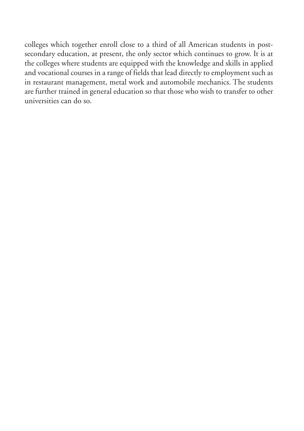colleges which together enroll close to a third of all American students in postsecondary education, at present, the only sector which continues to grow. It is at the colleges where students are equipped with the knowledge and skills in applied and vocational courses in a range of fields that lead directly to employment such as in restaurant management, metal work and automobile mechanics. The students are further trained in general education so that those who wish to transfer to other universities can do so.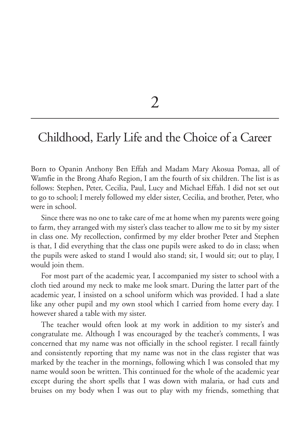2

### Childhood, Early Life and the Choice of a Career

Born to Opanin Anthony Ben Effah and Madam Mary Akosua Pomaa, all of Wamfie in the Brong Ahafo Region, I am the fourth of six children. The list is as follows: Stephen, Peter, Cecilia, Paul, Lucy and Michael Effah. I did not set out to go to school; I merely followed my elder sister, Cecilia, and brother, Peter, who were in school.

Since there was no one to take care of me at home when my parents were going to farm, they arranged with my sister's class teacher to allow me to sit by my sister in class one. My recollection, confirmed by my elder brother Peter and Stephen is that, I did everything that the class one pupils were asked to do in class; when the pupils were asked to stand I would also stand; sit, I would sit; out to play, I would join them.

For most part of the academic year, I accompanied my sister to school with a cloth tied around my neck to make me look smart. During the latter part of the academic year, I insisted on a school uniform which was provided. I had a slate like any other pupil and my own stool which I carried from home every day. I however shared a table with my sister.

The teacher would often look at my work in addition to my sister's and congratulate me. Although I was encouraged by the teacher's comments, I was concerned that my name was not officially in the school register. I recall faintly and consistently reporting that my name was not in the class register that was marked by the teacher in the mornings, following which I was consoled that my name would soon be written. This continued for the whole of the academic year except during the short spells that I was down with malaria, or had cuts and bruises on my body when I was out to play with my friends, something that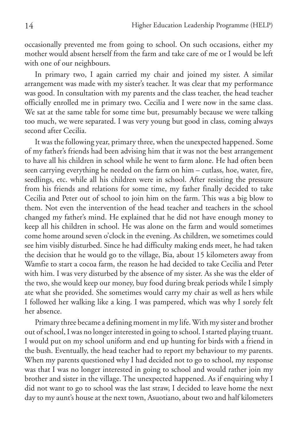occasionally prevented me from going to school. On such occasions, either my mother would absent herself from the farm and take care of me or I would be left with one of our neighbours.

In primary two, I again carried my chair and joined my sister. A similar arrangement was made with my sister's teacher. It was clear that my performance was good. In consultation with my parents and the class teacher, the head teacher officially enrolled me in primary two. Cecilia and I were now in the same class. We sat at the same table for some time but, presumably because we were talking too much, we were separated. I was very young but good in class, coming always second after Cecilia.

It was the following year, primary three, when the unexpected happened. Some of my father's friends had been advising him that it was not the best arrangement to have all his children in school while he went to farm alone. He had often been seen carrying everything he needed on the farm on him – cutlass, hoe, water, fire, seedlings, etc. while all his children were in school. After resisting the pressure from his friends and relations for some time, my father finally decided to take Cecilia and Peter out of school to join him on the farm. This was a big blow to them. Not even the intervention of the head teacher and teachers in the school changed my father's mind. He explained that he did not have enough money to keep all his children in school. He was alone on the farm and would sometimes come home around seven o'clock in the evening. As children, we sometimes could see him visibly disturbed. Since he had difficulty making ends meet, he had taken the decision that he would go to the village, Bia, about 15 kilometers away from Wamfie to start a cocoa farm, the reason he had decided to take Cecilia and Peter with him. I was very disturbed by the absence of my sister. As she was the elder of the two, she would keep our money, buy food during break periods while I simply ate what she provided. She sometimes would carry my chair as well as hers while I followed her walking like a king. I was pampered, which was why I sorely felt her absence.

Primary three became a defining moment in my life. With my sister and brother out of school, I was no longer interested in going to school. I started playing truant. I would put on my school uniform and end up hunting for birds with a friend in the bush. Eventually, the head teacher had to report my behaviour to my parents. When my parents questioned why I had decided not to go to school, my response was that I was no longer interested in going to school and would rather join my brother and sister in the village. The unexpected happened. As if enquiring why I did not want to go to school was the last straw, I decided to leave home the next day to my aunt's house at the next town, Asuotiano, about two and half kilometers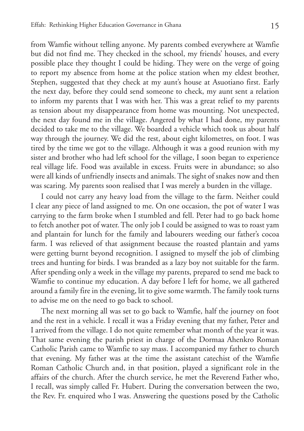from Wamfie without telling anyone. My parents combed everywhere at Wamfie but did not find me. They checked in the school, my friends' houses, and every possible place they thought I could be hiding. They were on the verge of going to report my absence from home at the police station when my eldest brother, Stephen, suggested that they check at my aunt's house at Asuotiano first. Early the next day, before they could send someone to check, my aunt sent a relation to inform my parents that I was with her. This was a great relief to my parents as tension about my disappearance from home was mounting. Not unexpected, the next day found me in the village. Angered by what I had done, my parents decided to take me to the village. We boarded a vehicle which took us about half way through the journey. We did the rest, about eight kilometres, on foot. I was tired by the time we got to the village. Although it was a good reunion with my sister and brother who had left school for the village, I soon began to experience real village life. Food was available in excess. Fruits were in abundance; so also were all kinds of unfriendly insects and animals. The sight of snakes now and then was scaring. My parents soon realised that I was merely a burden in the village.

I could not carry any heavy load from the village to the farm. Neither could I clear any piece of land assigned to me. On one occasion, the pot of water I was carrying to the farm broke when I stumbled and fell. Peter had to go back home to fetch another pot of water. The only job I could be assigned to was to roast yam and plantain for lunch for the family and labourers weeding our father's cocoa farm. I was relieved of that assignment because the roasted plantain and yams were getting burnt beyond recognition. I assigned to myself the job of climbing trees and hunting for birds. I was branded as a lazy boy not suitable for the farm. After spending only a week in the village my parents, prepared to send me back to Wamfie to continue my education. A day before I left for home, we all gathered around a family fire in the evening, lit to give some warmth. The family took turns to advise me on the need to go back to school.

The next morning all was set to go back to Wamfie, half the journey on foot and the rest in a vehicle. I recall it was a Friday evening that my father, Peter and I arrived from the village. I do not quite remember what month of the year it was. That same evening the parish priest in charge of the Dormaa Ahenkro Roman Catholic Parish came to Wamfie to say mass. I accompanied my father to church that evening. My father was at the time the assistant catechist of the Wamfie Roman Catholic Church and, in that position, played a significant role in the affairs of the church. After the church service, he met the Reverend Father who, I recall, was simply called Fr. Hubert. During the conversation between the two, the Rev. Fr. enquired who I was. Answering the questions posed by the Catholic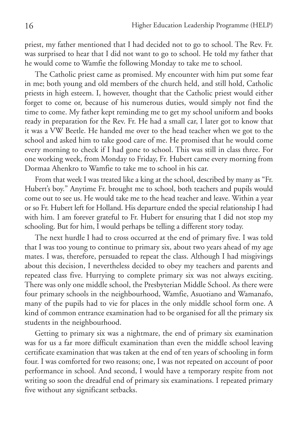priest, my father mentioned that I had decided not to go to school. The Rev. Fr. was surprised to hear that I did not want to go to school. He told my father that he would come to Wamfie the following Monday to take me to school.

The Catholic priest came as promised. My encounter with him put some fear in me; both young and old members of the church held, and still hold, Catholic priests in high esteem. I, however, thought that the Catholic priest would either forget to come or, because of his numerous duties, would simply not find the time to come. My father kept reminding me to get my school uniform and books ready in preparation for the Rev. Fr. He had a small car, I later got to know that it was a VW Beetle. He handed me over to the head teacher when we got to the school and asked him to take good care of me. He promised that he would come every morning to check if I had gone to school. This was still in class three. For one working week, from Monday to Friday, Fr. Hubert came every morning from Dormaa Ahenkro to Wamfie to take me to school in his car.

From that week I was treated like a king at the school, described by many as "Fr. Hubert's boy." Anytime Fr. brought me to school, both teachers and pupils would come out to see us. He would take me to the head teacher and leave. Within a year or so Fr. Hubert left for Holland. His departure ended the special relationship I had with him. I am forever grateful to Fr. Hubert for ensuring that I did not stop my schooling. But for him, I would perhaps be telling a different story today.

The next hurdle I had to cross occurred at the end of primary five. I was told that I was too young to continue to primary six, about two years ahead of my age mates. I was, therefore, persuaded to repeat the class. Although I had misgivings about this decision, I nevertheless decided to obey my teachers and parents and repeated class five. Hurrying to complete primary six was not always exciting. There was only one middle school, the Presbyterian Middle School. As there were four primary schools in the neighbourhood, Wamfie, Asuotiano and Wamanafo, many of the pupils had to vie for places in the only middle school form one. A kind of common entrance examination had to be organised for all the primary six students in the neighbourhood.

Getting to primary six was a nightmare, the end of primary six examination was for us a far more difficult examination than even the middle school leaving certificate examination that was taken at the end of ten years of schooling in form four. I was comforted for two reasons; one, I was not repeated on account of poor performance in school. And second, I would have a temporary respite from not writing so soon the dreadful end of primary six examinations. I repeated primary five without any significant setbacks.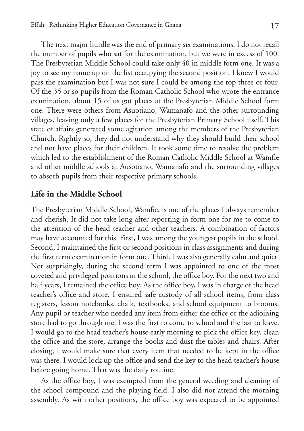The next major hurdle was the end of primary six examinations. I do not recall the number of pupils who sat for the examination, but we were in excess of 100. The Presbyterian Middle School could take only 40 in middle form one. It was a joy to see my name up on the list occupying the second position. I knew I would pass the examination but I was not sure I could be among the top three or four. Of the 35 or so pupils from the Roman Catholic School who wrote the entrance examination, about 15 of us got places at the Presbyterian Middle School form one. There were others from Asuotiano, Wamanafo and the other surrounding villages, leaving only a few places for the Presbyterian Primary School itself. This state of affairs generated some agitation among the members of the Presbyterian Church. Rightly so, they did not understand why they should build their school and not have places for their children. It took some time to resolve the problem which led to the establishment of the Roman Catholic Middle School at Wamfie and other middle schools at Ausotiano, Wamanafo and the surrounding villages to absorb pupils from their respective primary schools.

#### **Life in the Middle School**

The Presbyterian Middle School, Wamfie, is one of the places I always remember and cherish. It did not take long after reporting in form one for me to come to the attention of the head teacher and other teachers. A combination of factors may have accounted for this. First, I was among the youngest pupils in the school. Second, I maintained the first or second positions in class assignments and during the first term examination in form one. Third, I was also generally calm and quiet. Not surprisingly, during the second term I was appointed to one of the most coveted and privileged positions in the school, the office boy. For the next two and half years, I remained the office boy. As the office boy, I was in charge of the head teacher's office and store. I ensured safe custody of all school items, from class registers, lesson notebooks, chalk, textbooks, and school equipment to brooms. Any pupil or teacher who needed any item from either the office or the adjoining store had to go through me. I was the first to come to school and the last to leave. I would go to the head teacher's house early morning to pick the office key, clean the office and the store, arrange the books and dust the tables and chairs. After closing, I would make sure that every item that needed to be kept in the office was there. I would lock up the office and send the key to the head teacher's house before going home. That was the daily routine.

As the office boy, I was exempted from the general weeding and cleaning of the school compound and the playing field. I also did not attend the morning assembly. As with other positions, the office boy was expected to be appointed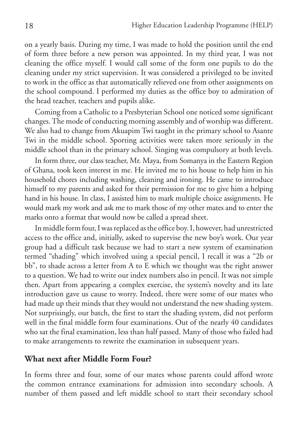on a yearly basis. During my time, I was made to hold the position until the end of form three before a new person was appointed. In my third year, I was not cleaning the office myself. I would call some of the form one pupils to do the cleaning under my strict supervision. It was considered a privileged to be invited to work in the office as that automatically relieved one from other assignments on the school compound. I performed my duties as the office boy to admiration of the head teacher, teachers and pupils alike.

Coming from a Catholic to a Presbyterian School one noticed some significant changes. The mode of conducting morning assembly and of worship was different. We also had to change from Akuapim Twi taught in the primary school to Asante Twi in the middle school. Sporting activities were taken more seriously in the middle school than in the primary school. Singing was compulsory at both levels.

In form three, our class teacher, Mr. Maya, from Somanya in the Eastern Region of Ghana, took keen interest in me. He invited me to his house to help him in his household chores including washing, cleaning and ironing. He came to introduce himself to my parents and asked for their permission for me to give him a helping hand in his house. In class, I assisted him to mark multiple choice assignments. He would mark my work and ask me to mark those of my other mates and to enter the marks onto a format that would now be called a spread sheet.

In middle form four, I was replaced as the office boy. I, however, had unrestricted access to the office and, initially, asked to supervise the new boy's work. Our year group had a difficult task because we had to start a new system of examination termed "shading" which involved using a special pencil, I recall it was a "2b or bb", to shade across a letter from A to E which we thought was the right answer to a question. We had to write our index numbers also in pencil. It was not simple then. Apart from appearing a complex exercise, the system's novelty and its late introduction gave us cause to worry. Indeed, there were some of our mates who had made up their minds that they would not understand the new shading system. Not surprisingly, our batch, the first to start the shading system, did not perform well in the final middle form four examinations. Out of the nearly 40 candidates who sat the final examination, less than half passed. Many of those who failed had to make arrangements to rewrite the examination in subsequent years.

#### **What next after Middle Form Four?**

In forms three and four, some of our mates whose parents could afford wrote the common entrance examinations for admission into secondary schools. A number of them passed and left middle school to start their secondary school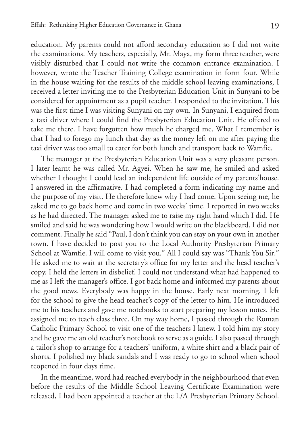education. My parents could not afford secondary education so I did not write the examinations. My teachers, especially, Mr. Maya, my form three teacher, were visibly disturbed that I could not write the common entrance examination. I however, wrote the Teacher Training College examination in form four. While in the house waiting for the results of the middle school leaving examinations, I received a letter inviting me to the Presbyterian Education Unit in Sunyani to be considered for appointment as a pupil teacher. I responded to the invitation. This was the first time I was visiting Sunyani on my own. In Sunyani, I enquired from a taxi driver where I could find the Presbyterian Education Unit. He offered to take me there. I have forgotten how much he charged me. What I remember is that I had to forego my lunch that day as the money left on me after paying the taxi driver was too small to cater for both lunch and transport back to Wamfie.

The manager at the Presbyterian Education Unit was a very pleasant person. I later learnt he was called Mr. Agyei. When he saw me, he smiled and asked whether I thought I could lead an independent life outside of my parents'house. I answered in the affirmative. I had completed a form indicating my name and the purpose of my visit. He therefore knew why I had come. Upon seeing me, he asked me to go back home and come in two weeks' time. I reported in two weeks as he had directed. The manager asked me to raise my right hand which I did. He smiled and said he was wondering how I would write on the blackboard. I did not comment. Finally he said "Paul, I don't think you can stay on your own in another town. I have decided to post you to the Local Authority Presbyterian Primary School at Wamfie. I will come to visit you." All I could say was "Thank You Sir." He asked me to wait at the secretary's office for my letter and the head teacher's copy. I held the letters in disbelief. I could not understand what had happened to me as I left the manager's office. I got back home and informed my parents about the good news. Everybody was happy in the house. Early next morning, I left for the school to give the head teacher's copy of the letter to him. He introduced me to his teachers and gave me notebooks to start preparing my lesson notes. He assigned me to teach class three. On my way home, I passed through the Roman Catholic Primary School to visit one of the teachers I knew. I told him my story and he gave me an old teacher's notebook to serve as a guide. I also passed through a tailor's shop to arrange for a teachers' uniform, a white shirt and a black pair of shorts. I polished my black sandals and I was ready to go to school when school reopened in four days time.

In the meantime, word had reached everybody in the neighbourhood that even before the results of the Middle School Leaving Certificate Examination were released, I had been appointed a teacher at the L/A Presbyterian Primary School.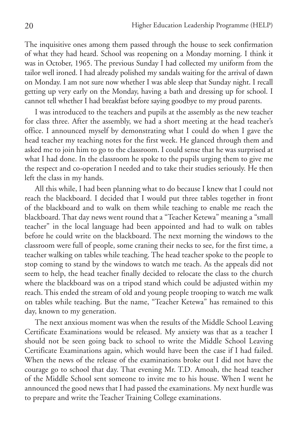The inquisitive ones among them passed through the house to seek confirmation of what they had heard. School was reopening on a Monday morning. I think it was in October, 1965. The previous Sunday I had collected my uniform from the tailor well ironed. I had already polished my sandals waiting for the arrival of dawn on Monday. I am not sure now whether I was able sleep that Sunday night. I recall getting up very early on the Monday, having a bath and dressing up for school. I cannot tell whether I had breakfast before saying goodbye to my proud parents.

I was introduced to the teachers and pupils at the assembly as the new teacher for class three. After the assembly, we had a short meeting at the head teacher's office. I announced myself by demonstrating what I could do when I gave the head teacher my teaching notes for the first week. He glanced through them and asked me to join him to go to the classroom. I could sense that he was surprised at what I had done. In the classroom he spoke to the pupils urging them to give me the respect and co-operation I needed and to take their studies seriously. He then left the class in my hands.

All this while, I had been planning what to do because I knew that I could not reach the blackboard. I decided that I would put three tables together in front of the blackboard and to walk on them while teaching to enable me reach the blackboard. That day news went round that a "Teacher Ketewa" meaning a "small teacher" in the local language had been appointed and had to walk on tables before he could write on the blackboard. The next morning the windows to the classroom were full of people, some craning their necks to see, for the first time, a teacher walking on tables while teaching. The head teacher spoke to the people to stop coming to stand by the windows to watch me teach. As the appeals did not seem to help, the head teacher finally decided to relocate the class to the church where the blackboard was on a tripod stand which could be adjusted within my reach. This ended the stream of old and young people trooping to watch me walk on tables while teaching. But the name, "Teacher Ketewa" has remained to this day, known to my generation.

The next anxious moment was when the results of the Middle School Leaving Certificate Examinations would be released. My anxiety was that as a teacher I should not be seen going back to school to write the Middle School Leaving Certificate Examinations again, which would have been the case if I had failed. When the news of the release of the examinations broke out I did not have the courage go to school that day. That evening Mr. T.D. Amoah, the head teacher of the Middle School sent someone to invite me to his house. When I went he announced the good news that I had passed the examinations. My next hurdle was to prepare and write the Teacher Training College examinations.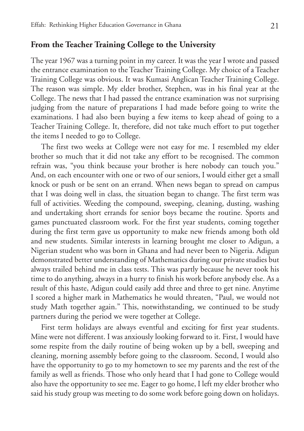#### **From the Teacher Training College to the University**

The year 1967 was a turning point in my career. It was the year I wrote and passed the entrance examination to the Teacher Training College. My choice of a Teacher Training College was obvious. It was Kumasi Anglican Teacher Training College. The reason was simple. My elder brother, Stephen, was in his final year at the College. The news that I had passed the entrance examination was not surprising judging from the nature of preparations I had made before going to write the examinations. I had also been buying a few items to keep ahead of going to a Teacher Training College. It, therefore, did not take much effort to put together the items I needed to go to College.

The first two weeks at College were not easy for me. I resembled my elder brother so much that it did not take any effort to be recognised. The common refrain was, "you think because your brother is here nobody can touch you." And, on each encounter with one or two of our seniors, I would either get a small knock or push or be sent on an errand. When news began to spread on campus that I was doing well in class, the situation began to change. The first term was full of activities. Weeding the compound, sweeping, cleaning, dusting, washing and undertaking short errands for senior boys became the routine. Sports and games punctuated classroom work. For the first year students, coming together during the first term gave us opportunity to make new friends among both old and new students. Similar interests in learning brought me closer to Adigun, a Nigerian student who was born in Ghana and had never been to Nigeria. Adigun demonstrated better understanding of Mathematics during our private studies but always trailed behind me in class tests. This was partly because he never took his time to do anything, always in a hurry to finish his work before anybody else. As a result of this haste, Adigun could easily add three and three to get nine. Anytime I scored a higher mark in Mathematics he would threaten, "Paul, we would not study Math together again." This, notwithstanding, we continued to be study partners during the period we were together at College.

First term holidays are always eventful and exciting for first year students. Mine were not different. I was anxiously looking forward to it. First, I would have some respite from the daily routine of being woken up by a bell, sweeping and cleaning, morning assembly before going to the classroom. Second, I would also have the opportunity to go to my hometown to see my parents and the rest of the family as well as friends. Those who only heard that I had gone to College would also have the opportunity to see me. Eager to go home, I left my elder brother who said his study group was meeting to do some work before going down on holidays.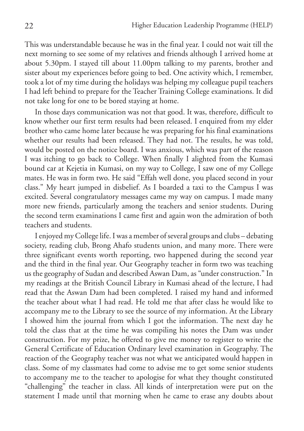This was understandable because he was in the final year. I could not wait till the next morning to see some of my relatives and friends although I arrived home at about 5.30pm. I stayed till about 11.00pm talking to my parents, brother and sister about my experiences before going to bed. One activity which, I remember, took a lot of my time during the holidays was helping my colleague pupil teachers I had left behind to prepare for the Teacher Training College examinations. It did not take long for one to be bored staying at home.

In those days communication was not that good. It was, therefore, difficult to know whether our first term results had been released. I enquired from my elder brother who came home later because he was preparing for his final examinations whether our results had been released. They had not. The results, he was told, would be posted on the notice board. I was anxious, which was part of the reason I was itching to go back to College. When finally I alighted from the Kumasi bound car at Kejetia in Kumasi, on my way to College, I saw one of my College mates. He was in form two. He said "Effah well done, you placed second in your class." My heart jumped in disbelief. As I boarded a taxi to the Campus I was excited. Several congratulatory messages came my way on campus. I made many more new friends, particularly among the teachers and senior students. During the second term examinations I came first and again won the admiration of both teachers and students.

I enjoyed my College life. I was a member of several groups and clubs – debating society, reading club, Brong Ahafo students union, and many more. There were three significant events worth reporting, two happened during the second year and the third in the final year. Our Geography teacher in form two was teaching us the geography of Sudan and described Aswan Dam, as "under construction." In my readings at the British Council Library in Kumasi ahead of the lecture, I had read that the Aswan Dam had been completed. I raised my hand and informed the teacher about what I had read. He told me that after class he would like to accompany me to the Library to see the source of my information. At the Library I showed him the journal from which I got the information. The next day he told the class that at the time he was compiling his notes the Dam was under construction. For my prize, he offered to give me money to register to write the General Certificate of Education Ordinary level examination in Geography. The reaction of the Geography teacher was not what we anticipated would happen in class. Some of my classmates had come to advise me to get some senior students to accompany me to the teacher to apologise for what they thought constituted "challenging" the teacher in class. All kinds of interpretation were put on the statement I made until that morning when he came to erase any doubts about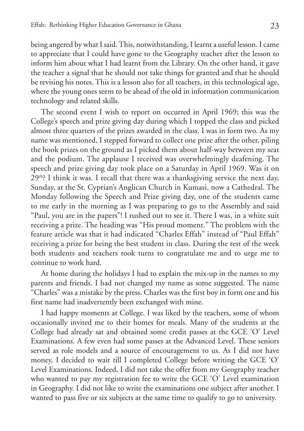being angered by what I said. This, notwithstanding, I learnt a useful lesson. I came to appreciate that I could have gone to the Geography teacher after the lesson to inform him about what I had learnt from the Library. On the other hand, it gave the teacher a signal that he should not take things for granted and that he should be revising his notes. This is a lesson also for all teachers, in this technological age, where the young ones seem to be ahead of the old in information communication technology and related skills.

The second event I wish to report on occurred in April 1969; this was the College's speech and prize giving day during which I topped the class and picked almost three quarters of the prizes awarded in the class. I was in form two. As my name was mentioned, I stepped forward to collect one prize after the other, piling the book prizes on the ground as I picked them about half-way between my seat and the podium. The applause I received was overwhelmingly deafening. The speech and prize giving day took place on a Saturday in April 1969. Was it on  $29<sup>th</sup>$ ? I think it was. I recall that there was a thanksgiving service the next day, Sunday, at the St. Cyprian's Anglican Church in Kumasi, now a Cathedral. The Monday following the Speech and Prize giving day, one of the students came to me early in the morning as I was preparing to go to the Assembly and said "Paul, you are in the papers"! I rushed out to see it. There I was, in a white suit receiving a prize. The heading was "His proud moment." The problem with the feature article was that it had indicated "Charles Effah" instead of "Paul Effah" receiving a prize for being the best student in class. During the rest of the week both students and teachers took turns to congratulate me and to urge me to continue to work hard.

At home during the holidays I had to explain the mix-up in the names to my parents and friends. I had not changed my name as some suggested. The name "Charles" was a mistake by the press. Charles was the first boy in form one and his first name had inadvertently been exchanged with mine.

I had happy moments at College. I was liked by the teachers, some of whom occasionally invited me to their homes for meals. Many of the students at the College had already sat and obtained some credit passes at the GCE 'O' Level Examinations. A few even had some passes at the Advanced Level. These seniors served as role models and a source of encouragement to us. As I did not have money, I decided to wait till I completed College before writing the GCE 'O' Level Examinations. Indeed, I did not take the offer from my Geography teacher who wanted to pay my registration fee to write the GCE 'O' Level examination in Geography. I did not like to write the examinations one subject after another. I wanted to pass five or six subjects at the same time to qualify to go to university.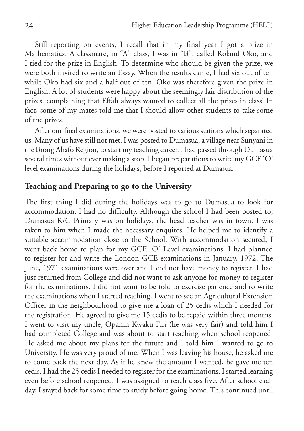Still reporting on events, I recall that in my final year I got a prize in Mathematics. A classmate, in "A" class, I was in "B", called Roland Oko, and I tied for the prize in English. To determine who should be given the prize, we were both invited to write an Essay. When the results came, I had six out of ten while Oko had six and a half out of ten. Oko was therefore given the prize in English. A lot of students were happy about the seemingly fair distribution of the prizes, complaining that Effah always wanted to collect all the prizes in class! In fact, some of my mates told me that I should allow other students to take some of the prizes.

After our final examinations, we were posted to various stations which separated us. Many of us have still not met. I was posted to Dumasua, a village near Sunyani in the Brong Ahafo Region, to start my teaching career. I had passed through Dumasua several times without ever making a stop. I began preparations to write my GCE 'O' level examinations during the holidays, before I reported at Dumasua.

## **Teaching and Preparing to go to the University**

The first thing I did during the holidays was to go to Dumasua to look for accommodation. I had no difficulty. Although the school I had been posted to, Dumasua R/C Primary was on holidays, the head teacher was in town. I was taken to him when I made the necessary enquires. He helped me to identify a suitable accommodation close to the School. With accommodation secured, I went back home to plan for my GCE 'O' Level examinations. I had planned to register for and write the London GCE examinations in January, 1972. The June, 1971 examinations were over and I did not have money to register. I had just returned from College and did not want to ask anyone for money to register for the examinations. I did not want to be told to exercise patience and to write the examinations when I started teaching. I went to see an Agricultural Extension Officer in the neighbourhood to give me a loan of 25 cedis which I needed for the registration. He agreed to give me 15 cedis to be repaid within three months. I went to visit my uncle, Opanin Kwaku Firi (he was very fair) and told him I had completed College and was about to start teaching when school reopened. He asked me about my plans for the future and I told him I wanted to go to University. He was very proud of me. When I was leaving his house, he asked me to come back the next day. As if he knew the amount I wanted, he gave me ten cedis. I had the 25 cedis I needed to register for the examinations. I started learning even before school reopened. I was assigned to teach class five. After school each day, I stayed back for some time to study before going home. This continued until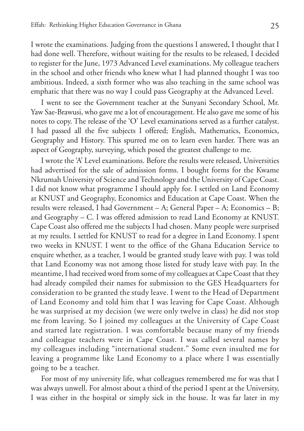I wrote the examinations. Judging from the questions I answered, I thought that I had done well. Therefore, without waiting for the results to be released, I decided to register for the June, 1973 Advanced Level examinations. My colleague teachers in the school and other friends who knew what I had planned thought I was too ambitious. Indeed, a sixth former who was also teaching in the same school was emphatic that there was no way I could pass Geography at the Advanced Level.

I went to see the Government teacher at the Sunyani Secondary School, Mr. Yaw Sae-Brawusi, who gave me a lot of encouragement. He also gave me some of his notes to copy. The release of the 'O' Level examinations served as a further catalyst. I had passed all the five subjects I offered; English, Mathematics, Economics, Geography and History. This spurred me on to learn even harder. There was an aspect of Geography, surveying, which posed the greatest challenge to me.

I wrote the 'A' Level examinations. Before the results were released, Universities had advertised for the sale of admission forms. I bought forms for the Kwame Nkrumah University of Science and Technology and the University of Cape Coast. I did not know what programme I should apply for. I settled on Land Economy at KNUST and Geography, Economics and Education at Cape Coast. When the results were released, I had Government – A; General Paper – A; Economics – B; and Geography – C. I was offered admission to read Land Economy at KNUST. Cape Coast also offered me the subjects I had chosen. Many people were surprised at my results. I settled for KNUST to read for a degree in Land Economy. I spent two weeks in KNUST. I went to the office of the Ghana Education Service to enquire whether, as a teacher, I would be granted study leave with pay. I was told that Land Economy was not among those listed for study leave with pay. In the meantime, I had received word from some of my colleagues at Cape Coast that they had already compiled their names for submission to the GES Headquarters for consideration to be granted the study leave. I went to the Head of Department of Land Economy and told him that I was leaving for Cape Coast. Although he was surprised at my decision (we were only twelve in class) he did not stop me from leaving. So I joined my colleagues at the University of Cape Coast and started late registration. I was comfortable because many of my friends and colleague teachers were in Cape Coast. I was called several names by my colleagues including "international student." Some even insulted me for leaving a programme like Land Economy to a place where I was essentially going to be a teacher.

For most of my university life, what colleagues remembered me for was that I was always unwell. For almost about a third of the period I spent at the University, I was either in the hospital or simply sick in the house. It was far later in my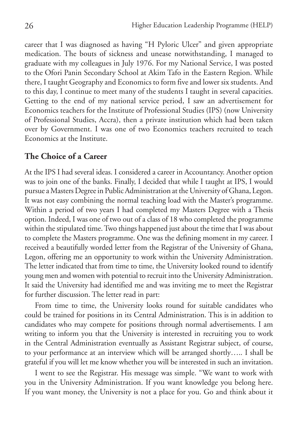career that I was diagnosed as having "H Pyloric Ulcer" and given appropriate medication. The bouts of sickness and unease notwithstanding, I managed to graduate with my colleagues in July 1976. For my National Service, I was posted to the Ofori Panin Secondary School at Akim Tafo in the Eastern Region. While there, I taught Geography and Economics to form five and lower six students. And to this day, I continue to meet many of the students I taught in several capacities. Getting to the end of my national service period, I saw an advertisement for Economics teachers for the Institute of Professional Studies (IPS) (now University of Professional Studies, Accra), then a private institution which had been taken over by Government. I was one of two Economics teachers recruited to teach Economics at the Institute.

#### **The Choice of a Career**

At the IPS I had several ideas. I considered a career in Accountancy. Another option was to join one of the banks. Finally, I decided that while I taught at IPS, I would pursue a Masters Degree in Public Administration at the University of Ghana, Legon. It was not easy combining the normal teaching load with the Master's programme. Within a period of two years I had completed my Masters Degree with a Thesis option. Indeed, I was one of two out of a class of 18 who completed the programme within the stipulated time. Two things happened just about the time that I was about to complete the Masters programme. One was the defining moment in my career. I received a beautifully worded letter from the Registrar of the University of Ghana, Legon, offering me an opportunity to work within the University Administration. The letter indicated that from time to time, the University looked round to identify young men and women with potential to recruit into the University Administration. It said the University had identified me and was inviting me to meet the Registrar for further discussion. The letter read in part:

From time to time, the University looks round for suitable candidates who could be trained for positions in its Central Administration. This is in addition to candidates who may compete for positions through normal advertisements. I am writing to inform you that the University is interested in recruiting you to work in the Central Administration eventually as Assistant Registrar subject, of course, to your performance at an interview which will be arranged shortly….. I shall be grateful if you will let me know whether you will be interested in such an invitation.

I went to see the Registrar. His message was simple. "We want to work with you in the University Administration. If you want knowledge you belong here. If you want money, the University is not a place for you. Go and think about it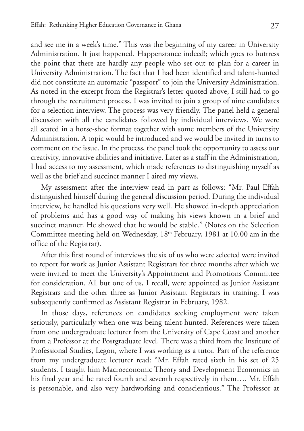and see me in a week's time." This was the beginning of my career in University Administration. It just happened. Happenstance indeed!; which goes to buttress the point that there are hardly any people who set out to plan for a career in University Administration. The fact that I had been identified and talent-hunted did not constitute an automatic "passport" to join the University Administration. As noted in the excerpt from the Registrar's letter quoted above, I still had to go through the recruitment process. I was invited to join a group of nine candidates for a selection interview. The process was very friendly. The panel held a general discussion with all the candidates followed by individual interviews. We were all seated in a horse-shoe format together with some members of the University Administration. A topic would be introduced and we would be invited in turns to comment on the issue. In the process, the panel took the opportunity to assess our creativity, innovative abilities and initiative. Later as a staff in the Administration, I had access to my assessment, which made references to distinguishing myself as well as the brief and succinct manner I aired my views.

My assessment after the interview read in part as follows: "Mr. Paul Effah distinguished himself during the general discussion period. During the individual interview, he handled his questions very well. He showed in-depth appreciation of problems and has a good way of making his views known in a brief and succinct manner. He showed that he would be stable." (Notes on the Selection Committee meeting held on Wednesday, 18<sup>th</sup> February, 1981 at 10.00 am in the office of the Registrar).

After this first round of interviews the six of us who were selected were invited to report for work as Junior Assistant Registrars for three months after which we were invited to meet the University's Appointment and Promotions Committee for consideration. All but one of us, I recall, were appointed as Junior Assistant Registrars and the other three as Junior Assistant Registrars in training. I was subsequently confirmed as Assistant Registrar in February, 1982.

In those days, references on candidates seeking employment were taken seriously, particularly when one was being talent-hunted. References were taken from one undergraduate lecturer from the University of Cape Coast and another from a Professor at the Postgraduate level. There was a third from the Institute of Professional Studies, Legon, where I was working as a tutor. Part of the reference from my undergraduate lecturer read: "Mr. Effah rated sixth in his set of 25 students. I taught him Macroeconomic Theory and Development Economics in his final year and he rated fourth and seventh respectively in them…. Mr. Effah is personable, and also very hardworking and conscientious." The Professor at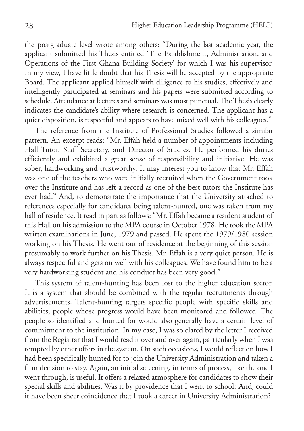the postgraduate level wrote among others: "During the last academic year, the applicant submitted his Thesis entitled 'The Establishment, Administration, and Operations of the First Ghana Building Society' for which I was his supervisor. In my view, I have little doubt that his Thesis will be accepted by the appropriate Board. The applicant applied himself with diligence to his studies, effectively and intelligently participated at seminars and his papers were submitted according to schedule. Attendance at lectures and seminars was most punctual. The Thesis clearly indicates the candidate's ability where research is concerned. The applicant has a quiet disposition, is respectful and appears to have mixed well with his colleagues."

The reference from the Institute of Professional Studies followed a similar pattern. An excerpt reads: "Mr. Effah held a number of appointments including Hall Tutor, Staff Secretary, and Director of Studies. He performed his duties efficiently and exhibited a great sense of responsibility and initiative. He was sober, hardworking and trustworthy. It may interest you to know that Mr. Effah was one of the teachers who were initially recruited when the Government took over the Institute and has left a record as one of the best tutors the Institute has ever had." And, to demonstrate the importance that the University attached to references especially for candidates being talent-hunted, one was taken from my hall of residence. It read in part as follows: "Mr. Effah became a resident student of this Hall on his admission to the MPA course in October 1978. He took the MPA written examinations in June, 1979 and passed. He spent the 1979/1980 session working on his Thesis. He went out of residence at the beginning of this session presumably to work further on his Thesis. Mr. Effah is a very quiet person. He is always respectful and gets on well with his colleagues. We have found him to be a very hardworking student and his conduct has been very good."

This system of talent-hunting has been lost to the higher education sector. It is a system that should be combined with the regular recruitments through advertisements. Talent-hunting targets specific people with specific skills and abilities, people whose progress would have been monitored and followed. The people so identified and hunted for would also generally have a certain level of commitment to the institution. In my case, I was so elated by the letter I received from the Registrar that I would read it over and over again, particularly when I was tempted by other offers in the system. On such occasions, I would reflect on how I had been specifically hunted for to join the University Administration and taken a firm decision to stay. Again, an initial screening, in terms of process, like the one I went through, is useful. It offers a relaxed atmosphere for candidates to show their special skills and abilities. Was it by providence that I went to school? And, could it have been sheer coincidence that I took a career in University Administration?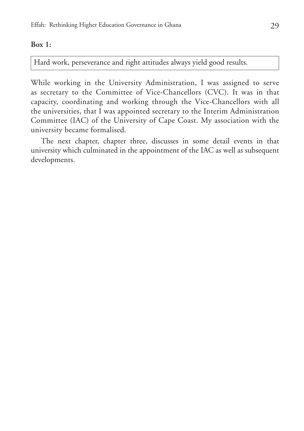#### **Box 1:**

Hard work, perseverance and right attitudes always yield good results.

While working in the University Administration, I was assigned to serve as secretary to the Committee of Vice-Chancellors (CVC). It was in that capacity, coordinating and working through the Vice-Chancellors with all the universities, that I was appointed secretary to the Interim Administration Committee (IAC) of the University of Cape Coast. My association with the university became formalised.

The next chapter, chapter three, discusses in some detail events in that university which culminated in the appointment of the IAC as well as subsequent developments.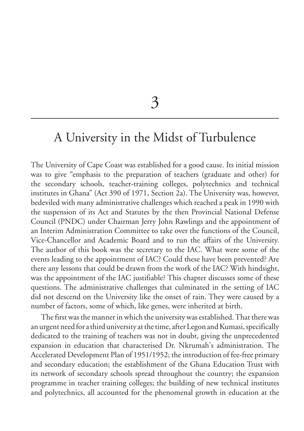3

## A University in the Midst of Turbulence

The University of Cape Coast was established for a good cause. Its initial mission was to give "emphasis to the preparation of teachers (graduate and other) for the secondary schools, teacher-training colleges, polytechnics and technical institutes in Ghana" (Act 390 of 1971, Section 2a). The University was, however, bedeviled with many administrative challenges which reached a peak in 1990 with the suspension of its Act and Statutes by the then Provincial National Defense Council (PNDC) under Chairman Jerry John Rawlings and the appointment of an Interim Administration Committee to take over the functions of the Council, Vice-Chancellor and Academic Board and to run the affairs of the University. The author of this book was the secretary to the IAC. What were some of the events leading to the appointment of IAC? Could these have been prevented? Are there any lessons that could be drawn from the work of the IAC? With hindsight, was the appointment of the IAC justifiable? This chapter discusses some of these questions. The administrative challenges that culminated in the setting of IAC did not descend on the University like the onset of rain. They were caused by a number of factors, some of which, like genes, were inherited at birth.

The first was the manner in which the university was established. That there was an urgent need for a third university at the time, after Legon and Kumasi, specifically dedicated to the training of teachers was not in doubt, giving the unprecedented expansion in education that characterised Dr. Nkrumah's administration. The Accelerated Development Plan of 1951/1952; the introduction of fee-free primary and secondary education; the establishment of the Ghana Education Trust with its network of secondary schools spread throughout the country; the expansion programme in teacher training colleges; the building of new technical institutes and polytechnics, all accounted for the phenomenal growth in education at the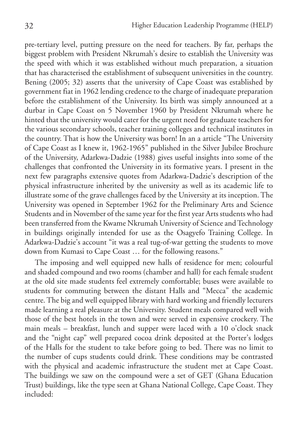pre-tertiary level, putting pressure on the need for teachers. By far, perhaps the biggest problem with President Nkrumah's desire to establish the University was the speed with which it was established without much preparation, a situation that has characterised the establishment of subsequent universities in the country. Bening (2005; 32) asserts that the university of Cape Coast was established by government fiat in 1962 lending credence to the charge of inadequate preparation before the establishment of the University. Its birth was simply announced at a durbar in Cape Coast on 5 November 1960 by President Nkrumah where he hinted that the university would cater for the urgent need for graduate teachers for the various secondary schools, teacher training colleges and technical institutes in the country. That is how the University was born! In an a article "The University of Cape Coast as I knew it, 1962-1965" published in the Silver Jubilee Brochure of the University, Adarkwa-Dadzie (1988) gives useful insights into some of the challenges that confronted the University in its formative years. I present in the next few paragraphs extensive quotes from Adarkwa-Dadzie's description of the physical infrastructure inherited by the university as well as its academic life to illustrate some of the grave challenges faced by the University at its inception. The University was opened in September 1962 for the Preliminary Arts and Science Students and in November of the same year for the first year Arts students who had been transferred from the Kwame Nkrumah University of Science and Technology in buildings originally intended for use as the Osagyefo Training College. In Adarkwa-Dadzie's account "it was a real tug-of-war getting the students to move down from Kumasi to Cape Coast … for the following reasons."

The imposing and well equipped new halls of residence for men; colourful and shaded compound and two rooms (chamber and hall) for each female student at the old site made students feel extremely comfortable; buses were available to students for commuting between the distant Halls and "Mecca" the academic centre. The big and well equipped library with hard working and friendly lecturers made learning a real pleasure at the University. Student meals compared well with those of the best hotels in the town and were served in expensive crockery. The main meals – breakfast, lunch and supper were laced with a 10 o'clock snack and the "night cap" well prepared cocoa drink deposited at the Porter's lodges of the Halls for the student to take before going to bed. There was no limit to the number of cups students could drink. These conditions may be contrasted with the physical and academic infrastructure the student met at Cape Coast. The buildings we saw on the compound were a set of GET (Ghana Education Trust) buildings, like the type seen at Ghana National College, Cape Coast. They included: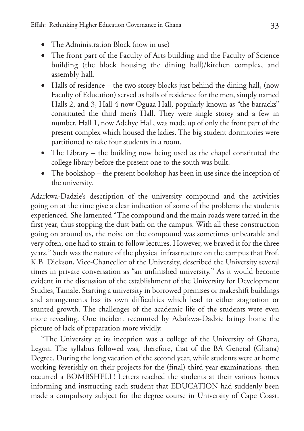- The Administration Block (now in use)
- The front part of the Faculty of Arts building and the Faculty of Science building (the block housing the dining hall)/kitchen complex, and assembly hall.
- Halls of residence the two storey blocks just behind the dining hall, (now Faculty of Education) served as halls of residence for the men, simply named Halls 2, and 3, Hall 4 now Oguaa Hall, popularly known as "the barracks" constituted the third men's Hall. They were single storey and a few in number. Hall 1, now Adehye Hall, was made up of only the front part of the present complex which housed the ladies. The big student dormitories were partitioned to take four students in a room.
- The Library the building now being used as the chapel constituted the college library before the present one to the south was built.
- The bookshop the present bookshop has been in use since the inception of the university.

Adarkwa-Dadzie's description of the university compound and the activities going on at the time give a clear indication of some of the problems the students experienced. She lamented "The compound and the main roads were tarred in the first year, thus stopping the dust bath on the campus. With all these construction going on around us, the noise on the compound was sometimes unbearable and very often, one had to strain to follow lectures. However, we braved it for the three years." Such was the nature of the physical infrastructure on the campus that Prof. K.B. Dickson, Vice-Chancellor of the University, described the University several times in private conversation as "an unfinished university." As it would become evident in the discussion of the establishment of the University for Development Studies, Tamale. Starting a university in borrowed premises or makeshift buildings and arrangements has its own difficulties which lead to either stagnation or stunted growth. The challenges of the academic life of the students were even more revealing. One incident recounted by Adarkwa-Dadzie brings home the picture of lack of preparation more vividly.

"The University at its inception was a college of the University of Ghana, Legon. The syllabus followed was, therefore, that of the BA General (Ghana) Degree. During the long vacation of the second year, while students were at home working feverishly on their projects for the (final) third year examinations, then occurred a BOMBSHELL! Letters reached the students at their various homes informing and instructing each student that EDUCATION had suddenly been made a compulsory subject for the degree course in University of Cape Coast.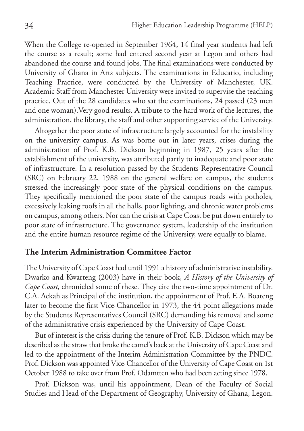When the College re-opened in September 1964, 14 final year students had left the course as a result; some had entered second year at Legon and others had abandoned the course and found jobs. The final examinations were conducted by University of Ghana in Arts subjects. The examinations in Educatio, including Teaching Practice, were conducted by the University of Manchester, UK. Academic Staff from Manchester University were invited to supervise the teaching practice. Out of the 28 candidates who sat the examinations, 24 passed (23 men and one woman).Very good results. A tribute to the hard work of the lectures, the administration, the library, the staff and other supporting service of the University.

Altogether the poor state of infrastructure largely accounted for the instability on the university campus. As was borne out in later years, crises during the administration of Prof. K.B. Dickson beginning in 1987, 25 years after the establishment of the university, was attributed partly to inadequate and poor state of infrastructure. In a resolution passed by the Students Representative Council (SRC) on February 22, 1988 on the general welfare on campus, the students stressed the increasingly poor state of the physical conditions on the campus. They specifically mentioned the poor state of the campus roads with potholes, excessively leaking roofs in all the halls, poor lighting, and chronic water problems on campus, among others. Nor can the crisis at Cape Coast be put down entirely to poor state of infrastructure. The governance system, leadership of the institution and the entire human resource regime of the University, were equally to blame.

#### **The Interim Administration Committee Factor**

The University of Cape Coast had until 1991 a history of administrative instability. Dwarko and Kwarteng (2003) have in their book, *A History of the University of Cape Coast,* chronicled some of these. They cite the two-time appointment of Dr. C.A. Ackah as Principal of the institution, the appointment of Prof. E.A. Boateng later to become the first Vice-Chancellor in 1973, the 44 point allegations made by the Students Representatives Council (SRC) demanding his removal and some of the administrative crisis experienced by the University of Cape Coast.

But of interest is the crisis during the tenure of Prof. K.B. Dickson which may be described as the straw that broke the camel's back at the University of Cape Coast and led to the appointment of the Interim Administration Committee by the PNDC. Prof. Dickson was appointed Vice-Chancellor of the University of Cape Coast on 1st October 1988 to take over from Prof. Odamtten who had been acting since 1978.

Prof. Dickson was, until his appointment, Dean of the Faculty of Social Studies and Head of the Department of Geography, University of Ghana, Legon.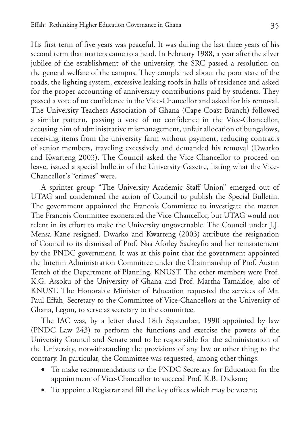His first term of five years was peaceful. It was during the last three years of his second term that matters came to a head. In February 1988, a year after the silver jubilee of the establishment of the university, the SRC passed a resolution on the general welfare of the campus. They complained about the poor state of the roads, the lighting system, excessive leaking roofs in halls of residence and asked for the proper accounting of anniversary contributions paid by students. They passed a vote of no confidence in the Vice-Chancellor and asked for his removal. The University Teachers Association of Ghana (Cape Coast Branch) followed a similar pattern, passing a vote of no confidence in the Vice-Chancellor, accusing him of administrative mismanagement, unfair allocation of bungalows, receiving items from the university farm without payment, reducing contracts of senior members, traveling excessively and demanded his removal (Dwarko and Kwarteng 2003). The Council asked the Vice-Chancellor to proceed on leave, issued a special bulletin of the University Gazette, listing what the Vice-Chancellor's "crimes" were.

A sprinter group "The University Academic Staff Union" emerged out of UTAG and condemned the action of Council to publish the Special Bulletin. The government appointed the Francois Committee to investigate the matter. The Francois Committee exonerated the Vice-Chancellor, but UTAG would not relent in its effort to make the University ungovernable. The Council under J.J. Mensa Kane resigned. Dwarko and Kwarteng (2003) attribute the resignation of Council to its dismissal of Prof. Naa Aforley Sackeyfio and her reinstatement by the PNDC government. It was at this point that the government appointed the Interim Administration Committee under the Chairmanship of Prof. Austin Tetteh of the Department of Planning, KNUST. The other members were Prof. K.G. Assoku of the University of Ghana and Prof. Martha Tamakloe, also of KNUST. The Honorable Minister of Education requested the services of Mr. Paul Effah, Secretary to the Committee of Vice-Chancellors at the University of Ghana, Legon, to serve as secretary to the committee.

The IAC was, by a letter dated 18th September, 1990 appointed by law (PNDC Law 243) to perform the functions and exercise the powers of the University Council and Senate and to be responsible for the administration of the University, notwithstanding the provisions of any law or other thing to the contrary. In particular, the Committee was requested, among other things:

- • To make recommendations to the PNDC Secretary for Education for the appointment of Vice-Chancellor to succeed Prof. K.B. Dickson;
- • To appoint a Registrar and fill the key offices which may be vacant;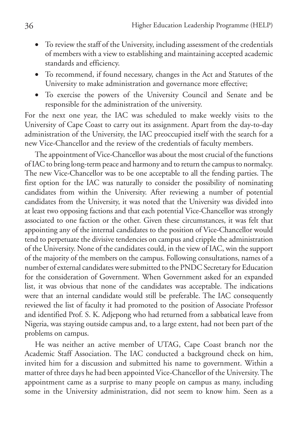- To review the staff of the University, including assessment of the credentials of members with a view to establishing and maintaining accepted academic standards and efficiency.
- • To recommend, if found necessary, changes in the Act and Statutes of the University to make administration and governance more effective;
- • To exercise the powers of the University Council and Senate and be responsible for the administration of the university.

For the next one year, the IAC was scheduled to make weekly visits to the University of Cape Coast to carry out its assignment. Apart from the day-to-day administration of the University, the IAC preoccupied itself with the search for a new Vice-Chancellor and the review of the credentials of faculty members.

The appointment of Vice-Chancellor was about the most crucial of the functions of IAC to bring long-term peace and harmony and to return the campus to normalcy. The new Vice-Chancellor was to be one acceptable to all the fending parties. The first option for the IAC was naturally to consider the possibility of nominating candidates from within the University. After reviewing a number of potential candidates from the University, it was noted that the University was divided into at least two opposing factions and that each potential Vice-Chancellor was strongly associated to one faction or the other. Given these circumstances, it was felt that appointing any of the internal candidates to the position of Vice-Chancellor would tend to perpetuate the divisive tendencies on campus and cripple the administration of the University. None of the candidates could, in the view of IAC, win the support of the majority of the members on the campus. Following consultations, names of a number of external candidates were submitted to the PNDC Secretary for Education for the consideration of Government. When Government asked for an expanded list, it was obvious that none of the candidates was acceptable. The indications were that an internal candidate would still be preferable. The IAC consequently reviewed the list of faculty it had promoted to the position of Associate Professor and identified Prof. S. K. Adjepong who had returned from a sabbatical leave from Nigeria, was staying outside campus and, to a large extent, had not been part of the problems on campus.

He was neither an active member of UTAG, Cape Coast branch nor the Academic Staff Association. The IAC conducted a background check on him, invited him for a discussion and submitted his name to government. Within a matter of three days he had been appointed Vice-Chancellor of the University. The appointment came as a surprise to many people on campus as many, including some in the University administration, did not seem to know him. Seen as a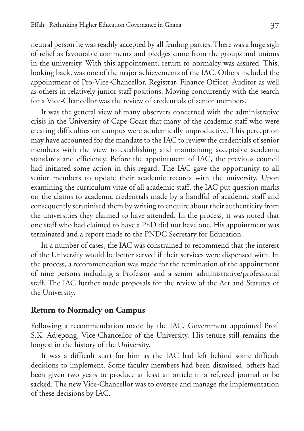neutral person he was readily accepted by all feuding parties. There was a huge sigh of relief as favourable comments and pledges came from the groups and unions in the university. With this appointment, return to normalcy was assured. This, looking back, was one of the major achievements of the IAC. Others included the appointment of Pro-Vice-Chancellor, Registrar, Finance Officer, Auditor as well as others in relatively junior staff positions. Moving concurrently with the search for a Vice-Chancellor was the review of credentials of senior members.

It was the general view of many observers concerned with the administrative crisis in the University of Cape Coast that many of the academic staff who were creating difficulties on campus were academically unproductive. This perception may have accounted for the mandate to the IAC to review the credentials of senior members with the view to establishing and maintaining acceptable academic standards and efficiency. Before the appointment of IAC, the previous council had initiated some action in this regard. The IAC gave the opportunity to all senior members to update their academic records with the university. Upon examining the curriculum vitae of all academic staff, the IAC put question marks on the claims to academic credentials made by a handful of academic staff and consequently scrutinised them by writing to enquire about their authenticity from the universities they claimed to have attended. In the process, it was noted that one staff who had claimed to have a PhD did not have one. His appointment was terminated and a report made to the PNDC Secretary for Education.

In a number of cases, the IAC was constrained to recommend that the interest of the University would be better served if their services were dispensed with. In the process, a recommendation was made for the termination of the appointment of nine persons including a Professor and a senior administrative/professional staff. The IAC further made proposals for the review of the Act and Statutes of the University.

#### **Return to Normalcy on Campus**

Following a recommendation made by the IAC, Government appointed Prof. S.K. Adjepong, Vice-Chancellor of the University. His tenure still remains the longest in the history of the University.

It was a difficult start for him as the IAC had left behind some difficult decisions to implement. Some faculty members had been dismissed, others had been given two years to produce at least an article in a refereed journal or be sacked. The new Vice-Chancellor was to oversee and manage the implementation of these decisions by IAC.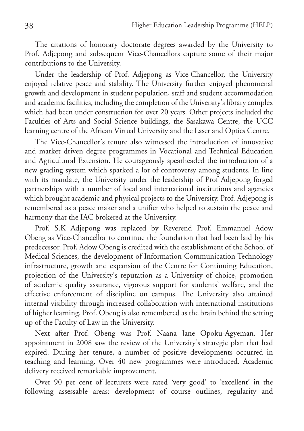The citations of honorary doctorate degrees awarded by the University to Prof. Adjepong and subsequent Vice-Chancellors capture some of their major contributions to the University.

Under the leadership of Prof. Adjepong as Vice-Chancellor, the University enjoyed relative peace and stability. The University further enjoyed phenomenal growth and development in student population, staff and student accommodation and academic facilities, including the completion of the University's library complex which had been under construction for over 20 years. Other projects included the Faculties of Arts and Social Science buildings, the Sasakawa Centre, the UCC learning centre of the African Virtual University and the Laser and Optics Centre.

The Vice-Chancellor's tenure also witnessed the introduction of innovative and market driven degree programmes in Vocational and Technical Education and Agricultural Extension. He courageously spearheaded the introduction of a new grading system which sparked a lot of controversy among students. In line with its mandate, the University under the leadership of Prof Adjepong forged partnerships with a number of local and international institutions and agencies which brought academic and physical projects to the University. Prof. Adjepong is remembered as a peace maker and a unifier who helped to sustain the peace and harmony that the IAC brokered at the University.

Prof. S.K Adjepong was replaced by Reverend Prof. Emmanuel Adow Obeng as Vice-Chancellor to continue the foundation that had been laid by his predecessor. Prof. Adow Obeng is credited with the establishment of the School of Medical Sciences, the development of Information Communication Technology infrastructure, growth and expansion of the Centre for Continuing Education, projection of the University's reputation as a University of choice, promotion of academic quality assurance, vigorous support for students' welfare, and the effective enforcement of discipline on campus. The University also attained internal visibility through increased collaboration with international institutions of higher learning. Prof. Obeng is also remembered as the brain behind the setting up of the Faculty of Law in the University.

Next after Prof. Obeng was Prof. Naana Jane Opoku-Agyeman. Her appointment in 2008 saw the review of the University's strategic plan that had expired. During her tenure, a number of positive developments occurred in teaching and learning. Over 40 new programmes were introduced. Academic delivery received remarkable improvement.

Over 90 per cent of lecturers were rated 'very good' to 'excellent' in the following assessable areas: development of course outlines, regularity and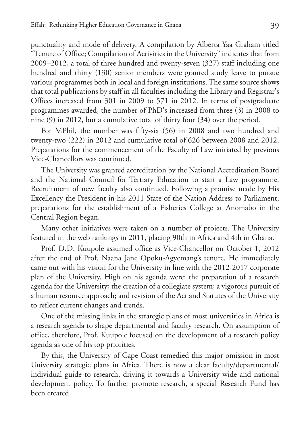punctuality and mode of delivery. A compilation by Alberta Yaa Graham titled "Tenure of Office; Compilation of Activities in the University" indicates that from 2009–2012, a total of three hundred and twenty-seven (327) staff including one hundred and thirty (130) senior members were granted study leave to pursue various programmes both in local and foreign institutions. The same source shows that total publications by staff in all faculties including the Library and Registrar's Offices increased from 301 in 2009 to 571 in 2012. In terms of postgraduate programmes awarded, the number of PhD's increased from three (3) in 2008 to nine (9) in 2012, but a cumulative total of thirty four (34) over the period.

For MPhil, the number was fifty-six (56) in 2008 and two hundred and twenty-two (222) in 2012 and cumulative total of 626 between 2008 and 2012. Preparations for the commencement of the Faculty of Law initiated by previous Vice-Chancellors was continued.

The University was granted accreditation by the National Accreditation Board and the National Council for Tertiary Education to start a Law programme. Recruitment of new faculty also continued. Following a promise made by His Excellency the President in his 2011 State of the Nation Address to Parliament, preparations for the establishment of a Fisheries College at Anomabo in the Central Region began.

Many other initiatives were taken on a number of projects. The University featured in the web rankings in 2011, placing 90th in Africa and 4th in Ghana.

Prof. D.D. Kuupole assumed office as Vice-Chancellor on October 1, 2012 after the end of Prof. Naana Jane Opoku-Agyemang's tenure. He immediately came out with his vision for the University in line with the 2012-2017 corporate plan of the University. High on his agenda were: the preparation of a research agenda for the University; the creation of a collegiate system; a vigorous pursuit of a human resource approach; and revision of the Act and Statutes of the University to reflect current changes and trends.

One of the missing links in the strategic plans of most universities in Africa is a research agenda to shape departmental and faculty research. On assumption of office, therefore, Prof. Kuupole focused on the development of a research policy agenda as one of his top priorities.

By this, the University of Cape Coast remedied this major omission in most University strategic plans in Africa. There is now a clear faculty/departmental/ individual guide to research, driving it towards a University wide and national development policy. To further promote research, a special Research Fund has been created.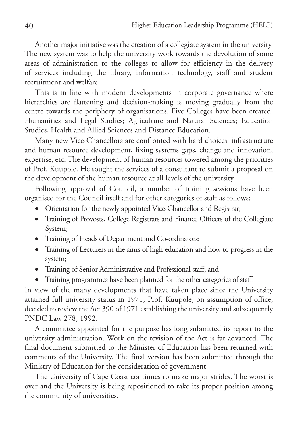Another major initiative was the creation of a collegiate system in the university. The new system was to help the university work towards the devolution of some areas of administration to the colleges to allow for efficiency in the delivery of services including the library, information technology, staff and student recruitment and welfare.

This is in line with modern developments in corporate governance where hierarchies are flattening and decision-making is moving gradually from the centre towards the periphery of organisations. Five Colleges have been created: Humanities and Legal Studies; Agriculture and Natural Sciences; Education Studies, Health and Allied Sciences and Distance Education.

Many new Vice-Chancellors are confronted with hard choices: infrastructure and human resource development, fixing systems gaps, change and innovation, expertise, etc. The development of human resources towered among the priorities of Prof. Kuupole. He sought the services of a consultant to submit a proposal on the development of the human resource at all levels of the university.

Following approval of Council, a number of training sessions have been organised for the Council itself and for other categories of staff as follows:

- Orientation for the newly appointed Vice-Chancellor and Registrar;
- • Training of Provosts, College Registrars and Finance Officers of the Collegiate System;
- Training of Heads of Department and Co-ordinators;
- • Training of Lecturers in the aims of high education and how to progress in the system;
- • Training of Senior Administrative and Professional staff; and
- Training programmes have been planned for the other categories of staff.

In view of the many developments that have taken place since the University attained full university status in 1971, Prof. Kuupole, on assumption of office, decided to review the Act 390 of 1971 establishing the university and subsequently PNDC Law 278, 1992.

A committee appointed for the purpose has long submitted its report to the university administration. Work on the revision of the Act is far advanced. The final document submitted to the Minister of Education has been returned with comments of the University. The final version has been submitted through the Ministry of Education for the consideration of government.

The University of Cape Coast continues to make major strides. The worst is over and the University is being repositioned to take its proper position among the community of universities.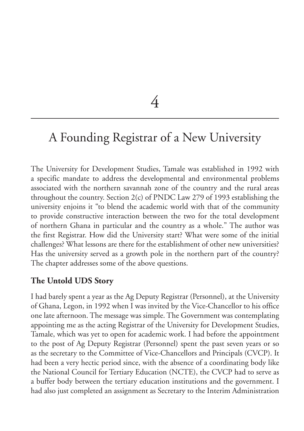4

# A Founding Registrar of a New University

The University for Development Studies, Tamale was established in 1992 with a specific mandate to address the developmental and environmental problems associated with the northern savannah zone of the country and the rural areas throughout the country. Section 2(c) of PNDC Law 279 of 1993 establishing the university enjoins it "to blend the academic world with that of the community to provide constructive interaction between the two for the total development of northern Ghana in particular and the country as a whole." The author was the first Registrar. How did the University start? What were some of the initial challenges? What lessons are there for the establishment of other new universities? Has the university served as a growth pole in the northern part of the country? The chapter addresses some of the above questions.

## **The Untold UDS Story**

I had barely spent a year as the Ag Deputy Registrar (Personnel), at the University of Ghana, Legon, in 1992 when I was invited by the Vice-Chancellor to his office one late afternoon. The message was simple. The Government was contemplating appointing me as the acting Registrar of the University for Development Studies, Tamale, which was yet to open for academic work. I had before the appointment to the post of Ag Deputy Registrar (Personnel) spent the past seven years or so as the secretary to the Committee of Vice-Chancellors and Principals (CVCP). It had been a very hectic period since, with the absence of a coordinating body like the National Council for Tertiary Education (NCTE), the CVCP had to serve as a buffer body between the tertiary education institutions and the government. I had also just completed an assignment as Secretary to the Interim Administration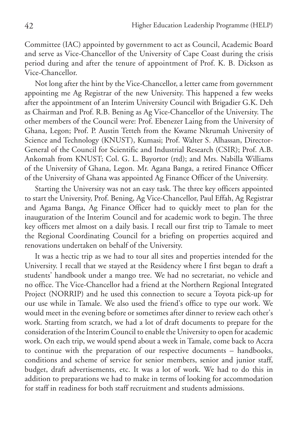Committee (IAC) appointed by government to act as Council, Academic Board and serve as Vice-Chancellor of the University of Cape Coast during the crisis period during and after the tenure of appointment of Prof. K. B. Dickson as Vice-Chancellor.

Not long after the hint by the Vice-Chancellor, a letter came from government appointing me Ag Registrar of the new University. This happened a few weeks after the appointment of an Interim University Council with Brigadier G.K. Deh as Chairman and Prof. R.B. Bening as Ag Vice-Chancellor of the University. The other members of the Council were: Prof. Ebenezer Laing from the University of Ghana, Legon; Prof. P. Austin Tetteh from the Kwame Nkrumah University of Science and Technology (KNUST), Kumasi; Prof. Walter S. Alhassan, Director-General of the Council for Scientific and Industrial Research (CSIR); Prof. A.B. Ankomah from KNUST; Col. G. L. Bayortor (rtd); and Mrs. Nabilla Williams of the University of Ghana, Legon. Mr. Agana Banga, a retired Finance Officer of the University of Ghana was appointed Ag Finance Officer of the University.

Starting the University was not an easy task. The three key officers appointed to start the University, Prof. Bening, Ag Vice-Chancellor, Paul Effah, Ag Registrar and Agama Banga, Ag Finance Officer had to quickly meet to plan for the inauguration of the Interim Council and for academic work to begin. The three key officers met almost on a daily basis. I recall our first trip to Tamale to meet the Regional Coordinating Council for a briefing on properties acquired and renovations undertaken on behalf of the University.

It was a hectic trip as we had to tour all sites and properties intended for the University. I recall that we stayed at the Residency where I first began to draft a students' handbook under a mango tree. We had no secretariat, no vehicle and no office. The Vice-Chancellor had a friend at the Northern Regional Integrated Project (NORRIP) and he used this connection to secure a Toyota pick-up for our use while in Tamale. We also used the friend's office to type our work. We would meet in the evening before or sometimes after dinner to review each other's work. Starting from scratch, we had a lot of draft documents to prepare for the consideration of the Interim Council to enable the University to open for academic work. On each trip, we would spend about a week in Tamale, come back to Accra to continue with the preparation of our respective documents – handbooks, conditions and scheme of service for senior members, senior and junior staff, budget, draft advertisements, etc. It was a lot of work. We had to do this in addition to preparations we had to make in terms of looking for accommodation for staff in readiness for both staff recruitment and students admissions.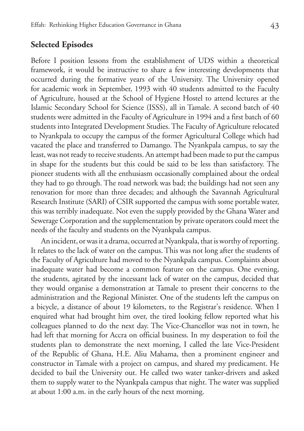## **Selected Episodes**

Before I position lessons from the establishment of UDS within a theoretical framework, it would be instructive to share a few interesting developments that occurred during the formative years of the University. The University opened for academic work in September, 1993 with 40 students admitted to the Faculty of Agriculture, housed at the School of Hygiene Hostel to attend lectures at the Islamic Secondary School for Science (ISSS), all in Tamale. A second batch of 40 students were admitted in the Faculty of Agriculture in 1994 and a first batch of 60 students into Integrated Development Studies. The Faculty of Agriculture relocated to Nyankpala to occupy the campus of the former Agricultural College which had vacated the place and transferred to Damango. The Nyankpala campus, to say the least, was not ready to receive students. An attempt had been made to put the campus in shape for the students but this could be said to be less than satisfactory. The pioneer students with all the enthusiasm occasionally complained about the ordeal they had to go through. The road network was bad; the buildings had not seen any renovation for more than three decades; and although the Savannah Agricultural Research Institute (SARI) of CSIR supported the campus with some portable water, this was terribly inadequate. Not even the supply provided by the Ghana Water and Sewerage Corporation and the supplementation by private operators could meet the needs of the faculty and students on the Nyankpala campus.

An incident, or was it a drama, occurred at Nyankpala, that is worthy of reporting. It relates to the lack of water on the campus. This was not long after the students of the Faculty of Agriculture had moved to the Nyankpala campus. Complaints about inadequate water had become a common feature on the campus. One evening, the students, agitated by the incessant lack of water on the campus, decided that they would organise a demonstration at Tamale to present their concerns to the administration and the Regional Minister. One of the students left the campus on a bicycle, a distance of about 19 kilometers, to the Registrar's residence. When I enquired what had brought him over, the tired looking fellow reported what his colleagues planned to do the next day. The Vice-Chancellor was not in town, he had left that morning for Accra on official business. In my desperation to foil the students plan to demonstrate the next morning, I called the late Vice-President of the Republic of Ghana, H.E. Aliu Mahama, then a prominent engineer and constructor in Tamale with a project on campus, and shared my predicament. He decided to bail the University out. He called two water tanker-drivers and asked them to supply water to the Nyankpala campus that night. The water was supplied at about 1:00 a.m. in the early hours of the next morning.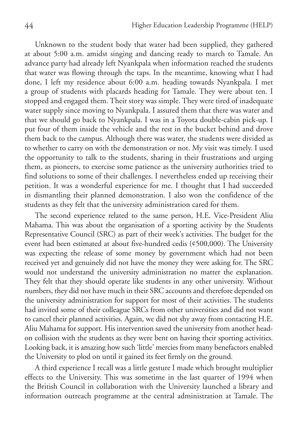Unknown to the student body that water had been supplied, they gathered at about 5:00 a.m. amidst singing and dancing ready to march to Tamale. An advance party had already left Nyankpala when information reached the students that water was flowing through the taps. In the meantime, knowing what I had done, I left my residence about 6:00 a.m. heading towards Nyankpala. I met a group of students with placards heading for Tamale. They were about ten. I stopped and engaged them. Their story was simple. They were tired of inadequate water supply since moving to Nyankpala. I assured them that there was water and that we should go back to Nyankpala. I was in a Toyota double-cabin pick-up. I put four of them inside the vehicle and the rest in the bucket behind and drove them back to the campus. Although there was water, the students were divided as to whether to carry on with the demonstration or not. My visit was timely. I used the opportunity to talk to the students, sharing in their frustrations and urging them, as pioneers, to exercise some patience as the university authorities tried to find solutions to some of their challenges. I nevertheless ended up receiving their petition. It was a wonderful experience for me. I thought that I had succeeded in dismantling their planned demonstration. I also won the confidence of the students as they felt that the university administration cared for them.

The second experience related to the same person, H.E. Vice-President Aliu Mahama. This was about the organisation of a sporting activity by the Students Representative Council (SRC) as part of their week's activities. The budget for the event had been estimated at about five-hundred cedis (¢500,000). The University was expecting the release of some money by government which had not been received yet and genuinely did not have the money they were asking for. The SRC would not understand the university administration no matter the explanation. They felt that they should operate like students in any other university. Without numbers, they did not have much in their SRC accounts and therefore depended on the university administration for support for most of their activities. The students had invited some of their colleague SRCs from other universities and did not want to cancel their planned activities. Again, we did not shy away from contacting H.E. Aliu Mahama for support. His intervention saved the university from another headon collision with the students as they were bent on having their sporting activities. Looking back, it is amazing how such 'little' mercies from many benefactors enabled the University to plod on until it gained its feet firmly on the ground.

A third experience I recall was a little gesture I made which brought multiplier effects to the University. This was sometime in the last quarter of 1994 when the British Council in collaboration with the University launched a library and information outreach programme at the central administration at Tamale. The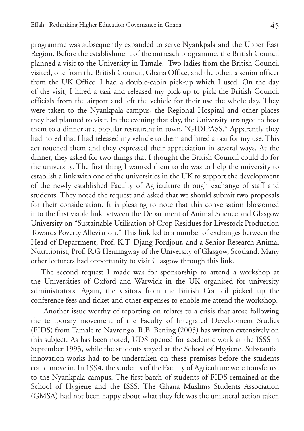programme was subsequently expanded to serve Nyankpala and the Upper East Region. Before the establishment of the outreach programme, the British Council planned a visit to the University in Tamale. Two ladies from the British Council visited, one from the British Council, Ghana Office, and the other, a senior officer from the UK Office. I had a double-cabin pick-up which I used. On the day of the visit, I hired a taxi and released my pick-up to pick the British Council officials from the airport and left the vehicle for their use the whole day. They were taken to the Nyankpala campus, the Regional Hospital and other places they had planned to visit. In the evening that day, the University arranged to host them to a dinner at a popular restaurant in town, "GIDIPASS." Apparently they had noted that I had released my vehicle to them and hired a taxi for my use. This act touched them and they expressed their appreciation in several ways. At the dinner, they asked for two things that I thought the British Council could do for the university. The first thing I wanted them to do was to help the university to establish a link with one of the universities in the UK to support the development of the newly established Faculty of Agriculture through exchange of staff and students. They noted the request and asked that we should submit two proposals for their consideration. It is pleasing to note that this conversation blossomed into the first viable link between the Department of Animal Science and Glasgow University on "Sustainable Utilisation of Crop Residues for Livestock Production Towards Poverty Alleviation." This link led to a number of exchanges between the Head of Department, Prof. K.T. Djang-Fordjour, and a Senior Research Animal Nutritionist, Prof. R.G Hemingway of the University of Glasgow, Scotland. Many other lecturers had opportunity to visit Glasgow through this link.

The second request I made was for sponsorship to attend a workshop at the Universities of Oxford and Warwick in the UK organised for university administrators. Again, the visitors from the British Council picked up the conference fees and ticket and other expenses to enable me attend the workshop.

 Another issue worthy of reporting on relates to a crisis that arose following the temporary movement of the Faculty of Integrated Development Studies (FIDS) from Tamale to Navrongo. R.B. Bening (2005) has written extensively on this subject. As has been noted, UDS opened for academic work at the ISSS in September 1993, while the students stayed at the School of Hygiene. Substantial innovation works had to be undertaken on these premises before the students could move in. In 1994, the students of the Faculty of Agriculture were transferred to the Nyankpala campus. The first batch of students of FIDS remained at the School of Hygiene and the ISSS. The Ghana Muslims Students Association (GMSA) had not been happy about what they felt was the unilateral action taken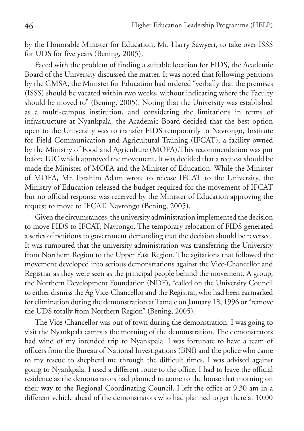by the Honorable Minister for Education, Mr. Harry Sawyerr, to take over ISSS for UDS for five years (Bening, 2005).

Faced with the problem of finding a suitable location for FIDS, the Academic Board of the University discussed the matter. It was noted that following petitions by the GMSA, the Minister for Education had ordered "verbally that the premises (ISSS) should be vacated within two weeks, without indicating where the Faculty should be moved to" (Bening, 2005). Noting that the University was established as a multi-campus institution, and considering the limitations in terms of infrastructure at Nyankpala, the Academic Board decided that the best option open to the University was to transfer FIDS temporarily to Navrongo, Institute for Field Communication and Agricultural Training (IFCAT), a facility owned by the Ministry of Food and Agriculture (MOFA).This recommendation was put before IUC which approved the movement. It was decided that a request should be made the Minister of MOFA and the Minister of Education. While the Minister of MOFA, Mr. Ibrahim Adam wrote to release IFCAT to the University, the Ministry of Education released the budget required for the movement of IFCAT but no official response was received by the Minister of Education approving the request to move to IFCAT, Navrongo (Bening, 2005).

Given the circumstances, the university administration implemented the decision to move FIDS to IFCAT, Navrongo. The temporary relocation of FIDS generated a series of petitions to government demanding that the decision should be reversed. It was rumoured that the university administration was transferring the University from Northern Region to the Upper East Region. The agitations that followed the movement developed into serious demonstrations against the Vice-Chancellor and Registrar as they were seen as the principal people behind the movement. A group, the Northern Development Foundation (NDF), "called on the University Council to either dismiss the Ag Vice-Chancellor and the Registrar, who had been earmarked for elimination during the demonstration at Tamale on January 18, 1996 or "remove the UDS totally from Northern Region" (Bening, 2005).

The Vice-Chancellor was out of town during the demonstration. I was going to visit the Nyankpala campus the morning of the demonstration. The demonstrators had wind of my intended trip to Nyankpala. I was fortunate to have a team of officers from the Bureau of National Investigations (BNI) and the police who came to my rescue to shepherd me through the difficult times. I was advised against going to Nyankpala. I used a different route to the office. I had to leave the official residence as the demonstrators had planned to come to the house that morning on their way to the Regional Coordinating Council. I left the office at 9:30 am in a different vehicle ahead of the demonstrators who had planned to get there at 10:00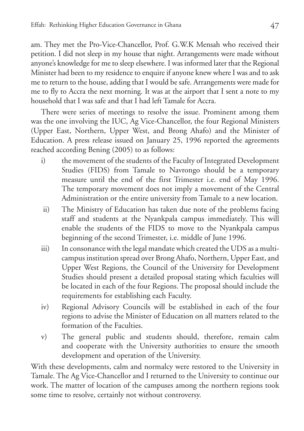am. They met the Pro-Vice-Chancellor, Prof. G.W.K Mensah who received their petition. I did not sleep in my house that night. Arrangements were made without anyone's knowledge for me to sleep elsewhere. I was informed later that the Regional Minister had been to my residence to enquire if anyone knew where I was and to ask me to return to the house, adding that I would be safe. Arrangements were made for me to fly to Accra the next morning. It was at the airport that I sent a note to my household that I was safe and that I had left Tamale for Accra.

There were series of meetings to resolve the issue. Prominent among them was the one involving the IUC, Ag Vice-Chancellor, the four Regional Ministers (Upper East, Northern, Upper West, and Brong Ahafo) and the Minister of Education. A press release issued on January 25, 1996 reported the agreements reached according Bening (2005) to as follows:

- i) the movement of the students of the Faculty of Integrated Development Studies (FIDS) from Tamale to Navrongo should be a temporary measure until the end of the first Trimester i.e. end of May 1996. The temporary movement does not imply a movement of the Central Administration or the entire university from Tamale to a new location.
- ii) The Ministry of Education has taken due note of the problems facing staff and students at the Nyankpala campus immediately. This will enable the students of the FIDS to move to the Nyankpala campus beginning of the second Trimester, i.e. middle of June 1996.
- iii) In consonance with the legal mandate which created the UDS as a multicampus institution spread over Brong Ahafo, Northern, Upper East, and Upper West Regions, the Council of the University for Development Studies should present a detailed proposal stating which faculties will be located in each of the four Regions. The proposal should include the requirements for establishing each Faculty.
- iv) Regional Advisory Councils will be established in each of the four regions to advise the Minister of Education on all matters related to the formation of the Faculties.
- v) The general public and students should, therefore, remain calm and cooperate with the University authorities to ensure the smooth development and operation of the University.

With these developments, calm and normalcy were restored to the University in Tamale. The Ag Vice-Chancellor and I returned to the University to continue our work. The matter of location of the campuses among the northern regions took some time to resolve, certainly not without controversy.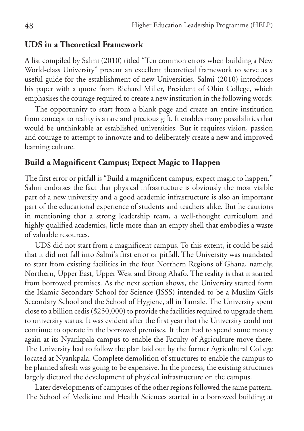#### **UDS in a Theoretical Framework**

A list compiled by Salmi (2010) titled "Ten common errors when building a New World-class University" present an excellent theoretical framework to serve as a useful guide for the establishment of new Universities. Salmi (2010) introduces his paper with a quote from Richard Miller, President of Ohio College, which emphasises the courage required to create a new institution in the following words:

The opportunity to start from a blank page and create an entire institution from concept to reality is a rare and precious gift. It enables many possibilities that would be unthinkable at established universities. But it requires vision, passion and courage to attempt to innovate and to deliberately create a new and improved learning culture.

#### **Build a Magnificent Campus; Expect Magic to Happen**

The first error or pitfall is "Build a magnificent campus; expect magic to happen." Salmi endorses the fact that physical infrastructure is obviously the most visible part of a new university and a good academic infrastructure is also an important part of the educational experience of students and teachers alike. But he cautions in mentioning that a strong leadership team, a well-thought curriculum and highly qualified academics, little more than an empty shell that embodies a waste of valuable resources.

UDS did not start from a magnificent campus. To this extent, it could be said that it did not fall into Salmi's first error or pitfall. The University was mandated to start from existing facilities in the four Northern Regions of Ghana, namely, Northern, Upper East, Upper West and Brong Ahafo. The reality is that it started from borrowed premises. As the next section shows, the University started form the Islamic Secondary School for Science (ISSS) intended to be a Muslim Girls Secondary School and the School of Hygiene, all in Tamale. The University spent close to a billion cedis (\$250,000) to provide the facilities required to upgrade them to university status. It was evident after the first year that the University could not continue to operate in the borrowed premises. It then had to spend some money again at its Nyankpala campus to enable the Faculty of Agriculture move there. The University had to follow the plan laid out by the former Agricultural College located at Nyankpala. Complete demolition of structures to enable the campus to be planned afresh was going to be expensive. In the process, the existing structures largely dictated the development of physical infrastructure on the campus.

Later developments of campuses of the other regions followed the same pattern. The School of Medicine and Health Sciences started in a borrowed building at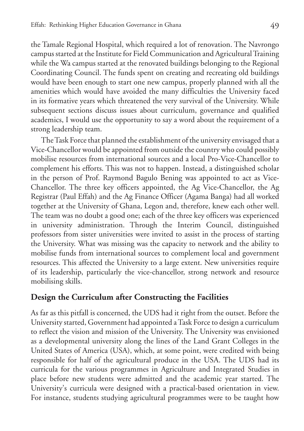the Tamale Regional Hospital, which required a lot of renovation. The Navrongo campus started at the Institute for Field Communication and Agricultural Training while the Wa campus started at the renovated buildings belonging to the Regional Coordinating Council. The funds spent on creating and recreating old buildings would have been enough to start one new campus, properly planned with all the amenities which would have avoided the many difficulties the University faced in its formative years which threatened the very survival of the University. While subsequent sections discuss issues about curriculum, governance and qualified academics, I would use the opportunity to say a word about the requirement of a strong leadership team.

The Task Force that planned the establishment of the university envisaged that a Vice-Chancellor would be appointed from outside the country who could possibly mobilise resources from international sources and a local Pro-Vice-Chancellor to complement his efforts. This was not to happen. Instead, a distinguished scholar in the person of Prof. Raymond Bagulo Bening was appointed to act as Vice-Chancellor. The three key officers appointed, the Ag Vice-Chancellor, the Ag Registrar (Paul Effah) and the Ag Finance Officer (Agama Banga) had all worked together at the University of Ghana, Legon and, therefore, knew each other well. The team was no doubt a good one; each of the three key officers was experienced in university administration. Through the Interim Council, distinguished professors from sister universities were invited to assist in the process of starting the University. What was missing was the capacity to network and the ability to mobilise funds from international sources to complement local and government resources. This affected the University to a large extent. New universities require of its leadership, particularly the vice-chancellor, strong network and resource mobilising skills.

## **Design the Curriculum after Constructing the Facilities**

As far as this pitfall is concerned, the UDS had it right from the outset. Before the University started, Government had appointed a Task Force to design a curriculum to reflect the vision and mission of the University. The University was envisioned as a developmental university along the lines of the Land Grant Colleges in the United States of America (USA), which, at some point, were credited with being responsible for half of the agricultural produce in the USA. The UDS had its curricula for the various programmes in Agriculture and Integrated Studies in place before new students were admitted and the academic year started. The University's curricula were designed with a practical-based orientation in view. For instance, students studying agricultural programmes were to be taught how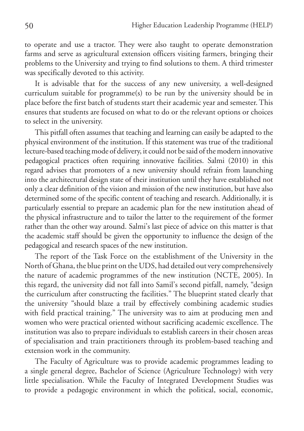to operate and use a tractor. They were also taught to operate demonstration farms and serve as agricultural extension officers visiting farmers, bringing their problems to the University and trying to find solutions to them. A third trimester was specifically devoted to this activity.

It is advisable that for the success of any new university, a well-designed curriculum suitable for programme(s) to be run by the university should be in place before the first batch of students start their academic year and semester. This ensures that students are focused on what to do or the relevant options or choices to select in the university.

This pitfall often assumes that teaching and learning can easily be adapted to the physical environment of the institution. If this statement was true of the traditional lecture-based teaching mode of delivery, it could not be said of the modern innovative pedagogical practices often requiring innovative facilities. Salmi (2010) in this regard advises that promoters of a new university should refrain from launching into the architectural design state of their institution until they have established not only a clear definition of the vision and mission of the new institution, but have also determined some of the specific content of teaching and research. Additionally, it is particularly essential to prepare an academic plan for the new institution ahead of the physical infrastructure and to tailor the latter to the requirement of the former rather than the other way around. Salmi's last piece of advice on this matter is that the academic staff should be given the opportunity to influence the design of the pedagogical and research spaces of the new institution.

The report of the Task Force on the establishment of the University in the North of Ghana, the blue print on the UDS, had detailed out very comprehensively the nature of academic programmes of the new institution (NCTE, 2005). In this regard, the university did not fall into Samil's second pitfall, namely, "design the curriculum after constructing the facilities." The blueprint stated clearly that the university "should blaze a trail by effectively combining academic studies with field practical training." The university was to aim at producing men and women who were practical oriented without sacrificing academic excellence. The institution was also to prepare individuals to establish careers in their chosen areas of specialisation and train practitioners through its problem-based teaching and extension work in the community.

The Faculty of Agriculture was to provide academic programmes leading to a single general degree, Bachelor of Science (Agriculture Technology) with very little specialisation. While the Faculty of Integrated Development Studies was to provide a pedagogic environment in which the political, social, economic,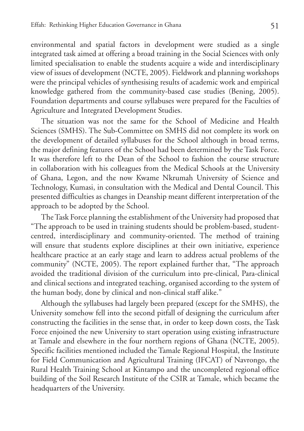environmental and spatial factors in development were studied as a single integrated task aimed at offering a broad training in the Social Sciences with only limited specialisation to enable the students acquire a wide and interdisciplinary view of issues of development (NCTE, 2005). Fieldwork and planning workshops were the principal vehicles of synthesising results of academic work and empirical knowledge gathered from the community-based case studies (Bening, 2005). Foundation departments and course syllabuses were prepared for the Faculties of Agriculture and Integrated Development Studies.

The situation was not the same for the School of Medicine and Health Sciences (SMHS). The Sub-Committee on SMHS did not complete its work on the development of detailed syllabuses for the School although in broad terms, the major defining features of the School had been determined by the Task Force. It was therefore left to the Dean of the School to fashion the course structure in collaboration with his colleagues from the Medical Schools at the University of Ghana, Legon, and the now Kwame Nkrumah University of Science and Technology, Kumasi, in consultation with the Medical and Dental Council. This presented difficulties as changes in Deanship meant different interpretation of the approach to be adopted by the School.

The Task Force planning the establishment of the University had proposed that "The approach to be used in training students should be problem-based, studentcentred, interdisciplinary and community-oriented. The method of training will ensure that students explore disciplines at their own initiative, experience healthcare practice at an early stage and learn to address actual problems of the community" (NCTE, 2005). The report explained further that, "The approach avoided the traditional division of the curriculum into pre-clinical, Para-clinical and clinical sections and integrated teaching, organised according to the system of the human body, done by clinical and non-clinical staff alike."

Although the syllabuses had largely been prepared (except for the SMHS), the University somehow fell into the second pitfall of designing the curriculum after constructing the facilities in the sense that, in order to keep down costs, the Task Force enjoined the new University to start operation using existing infrastructure at Tamale and elsewhere in the four northern regions of Ghana (NCTE, 2005). Specific facilities mentioned included the Tamale Regional Hospital, the Institute for Field Communication and Agricultural Training (IFCAT) of Navrongo, the Rural Health Training School at Kintampo and the uncompleted regional office building of the Soil Research Institute of the CSIR at Tamale, which became the headquarters of the University.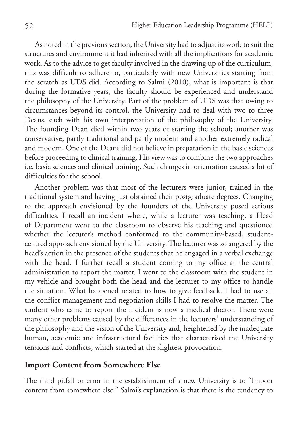As noted in the previous section, the University had to adjust its work to suit the structures and environment it had inherited with all the implications for academic work. As to the advice to get faculty involved in the drawing up of the curriculum, this was difficult to adhere to, particularly with new Universities starting from the scratch as UDS did. According to Salmi (2010), what is important is that during the formative years, the faculty should be experienced and understand the philosophy of the University. Part of the problem of UDS was that owing to circumstances beyond its control, the University had to deal with two to three Deans, each with his own interpretation of the philosophy of the University. The founding Dean died within two years of starting the school; another was conservative, partly traditional and partly modern and another extremely radical and modern. One of the Deans did not believe in preparation in the basic sciences before proceeding to clinical training. His view was to combine the two approaches i.e. basic sciences and clinical training. Such changes in orientation caused a lot of difficulties for the school.

Another problem was that most of the lecturers were junior, trained in the traditional system and having just obtained their postgraduate degrees. Changing to the approach envisioned by the founders of the University posed serious difficulties. I recall an incident where, while a lecturer was teaching, a Head of Department went to the classroom to observe his teaching and questioned whether the lecturer's method conformed to the community-based, studentcentred approach envisioned by the University. The lecturer was so angered by the head's action in the presence of the students that he engaged in a verbal exchange with the head. I further recall a student coming to my office at the central administration to report the matter. I went to the classroom with the student in my vehicle and brought both the head and the lecturer to my office to handle the situation. What happened related to how to give feedback. I had to use all the conflict management and negotiation skills I had to resolve the matter. The student who came to report the incident is now a medical doctor. There were many other problems caused by the differences in the lecturers' understanding of the philosophy and the vision of the University and, heightened by the inadequate human, academic and infrastructural facilities that characterised the University tensions and conflicts, which started at the slightest provocation.

## **Import Content from Somewhere Else**

The third pitfall or error in the establishment of a new University is to "Import content from somewhere else." Salmi's explanation is that there is the tendency to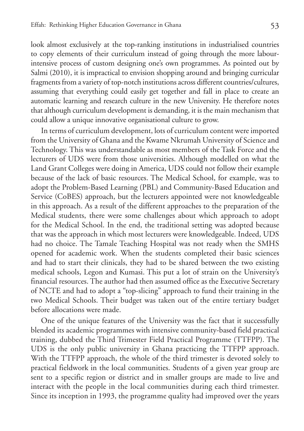look almost exclusively at the top-ranking institutions in industrialised countries to copy elements of their curriculum instead of going through the more labourintensive process of custom designing one's own programmes. As pointed out by Salmi (2010), it is impractical to envision shopping around and bringing curricular fragments from a variety of top-notch institutions across different countries/cultures, assuming that everything could easily get together and fall in place to create an automatic learning and research culture in the new University. He therefore notes that although curriculum development is demanding, it is the main mechanism that could allow a unique innovative organisational culture to grow.

In terms of curriculum development, lots of curriculum content were imported from the University of Ghana and the Kwame Nkrumah University of Science and Technology. This was understandable as most members of the Task Force and the lecturers of UDS were from those universities. Although modelled on what the Land Grant Colleges were doing in America, UDS could not follow their example because of the lack of basic resources. The Medical School, for example, was to adopt the Problem-Based Learning (PBL) and Community-Based Education and Service (CoBES) approach, but the lecturers appointed were not knowledgeable in this approach. As a result of the different approaches to the preparation of the Medical students, there were some challenges about which approach to adopt for the Medical School. In the end, the traditional setting was adopted because that was the approach in which most lecturers were knowledgeable. Indeed, UDS had no choice. The Tamale Teaching Hospital was not ready when the SMHS opened for academic work. When the students completed their basic sciences and had to start their clinicals, they had to be shared between the two existing medical schools, Legon and Kumasi. This put a lot of strain on the University's financial resources. The author had then assumed office as the Executive Secretary of NCTE and had to adopt a "top-slicing" approach to fund their training in the two Medical Schools. Their budget was taken out of the entire tertiary budget before allocations were made.

One of the unique features of the University was the fact that it successfully blended its academic programmes with intensive community-based field practical training, dubbed the Third Trimester Field Practical Programme (TTFPP). The UDS is the only public university in Ghana practicing the TTFPP approach. With the TTFPP approach, the whole of the third trimester is devoted solely to practical fieldwork in the local communities. Students of a given year group are sent to a specific region or district and in smaller groups are made to live and interact with the people in the local communities during each third trimester. Since its inception in 1993, the programme quality had improved over the years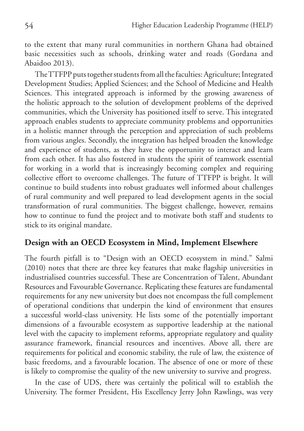to the extent that many rural communities in northern Ghana had obtained basic necessities such as schools, drinking water and roads (Gordana and Abaidoo 2013).

The TTFPP puts together students from all the faculties: Agriculture; Integrated Development Studies; Applied Sciences; and the School of Medicine and Health Sciences. This integrated approach is informed by the growing awareness of the holistic approach to the solution of development problems of the deprived communities, which the University has positioned itself to serve. This integrated approach enables students to appreciate community problems and opportunities in a holistic manner through the perception and appreciation of such problems from various angles. Secondly, the integration has helped broaden the knowledge and experience of students, as they have the opportunity to interact and learn from each other. It has also fostered in students the spirit of teamwork essential for working in a world that is increasingly becoming complex and requiring collective effort to overcome challenges. The future of TTFPP is bright. It will continue to build students into robust graduates well informed about challenges of rural community and well prepared to lead development agents in the social transformation of rural communities. The biggest challenge, however, remains how to continue to fund the project and to motivate both staff and students to stick to its original mandate.

#### **Design with an OECD Ecosystem in Mind, Implement Elsewhere**

The fourth pitfall is to "Design with an OECD ecosystem in mind." Salmi (2010) notes that there are three key features that make flagship universities in industrialised countries successful. These are Concentration of Talent, Abundant Resources and Favourable Governance. Replicating these features are fundamental requirements for any new university but does not encompass the full complement of operational conditions that underpin the kind of environment that ensures a successful world-class university. He lists some of the potentially important dimensions of a favourable ecosystem as supportive leadership at the national level with the capacity to implement reforms, appropriate regulatory and quality assurance framework, financial resources and incentives. Above all, there are requirements for political and economic stability, the rule of law, the existence of basic freedoms, and a favourable location. The absence of one or more of these is likely to compromise the quality of the new university to survive and progress.

In the case of UDS, there was certainly the political will to establish the University. The former President, His Excellency Jerry John Rawlings, was very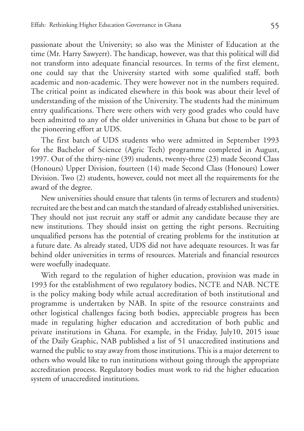passionate about the University; so also was the Minister of Education at the time (Mr. Harry Sawyerr). The handicap, however, was that this political will did not transform into adequate financial resources. In terms of the first element, one could say that the University started with some qualified staff, both academic and non-academic. They were however not in the numbers required. The critical point as indicated elsewhere in this book was about their level of understanding of the mission of the University. The students had the minimum entry qualifications. There were others with very good grades who could have been admitted to any of the older universities in Ghana but chose to be part of the pioneering effort at UDS.

The first batch of UDS students who were admitted in September 1993 for the Bachelor of Science (Agric Tech) programme completed in August, 1997. Out of the thirty-nine (39) students, twenty-three (23) made Second Class (Honours) Upper Division, fourteen (14) made Second Class (Honours) Lower Division. Two (2) students, however, could not meet all the requirements for the award of the degree.

New universities should ensure that talents (in terms of lecturers and students) recruited are the best and can match the standard of already established universities. They should not just recruit any staff or admit any candidate because they are new institutions. They should insist on getting the right persons. Recruiting unqualified persons has the potential of creating problems for the institution at a future date. As already stated, UDS did not have adequate resources. It was far behind older universities in terms of resources. Materials and financial resources were woefully inadequate.

With regard to the regulation of higher education, provision was made in 1993 for the establishment of two regulatory bodies, NCTE and NAB. NCTE is the policy making body while actual accreditation of both institutional and programme is undertaken by NAB. In spite of the resource constraints and other logistical challenges facing both bodies, appreciable progress has been made in regulating higher education and accreditation of both public and private institutions in Ghana. For example, in the Friday, July10, 2015 issue of the Daily Graphic, NAB published a list of 51 unaccredited institutions and warned the public to stay away from those institutions. This is a major deterrent to others who would like to run institutions without going through the appropriate accreditation process. Regulatory bodies must work to rid the higher education system of unaccredited institutions.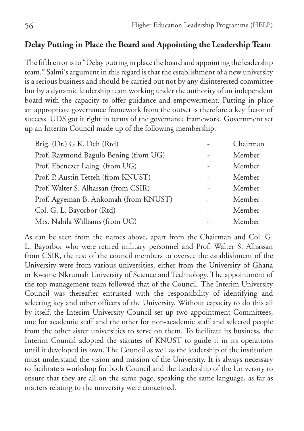## **Delay Putting in Place the Board and Appointing the Leadership Team**

The fifth error is to "Delay putting in place the board and appointing the leadership team." Salmi's argument in this regard is that the establishment of a new university is a serious business and should be carried out not by any disinterested committee but by a dynamic leadership team working under the authority of an independent board with the capacity to offer guidance and empowerment. Putting in place an appropriate governance framework from the outset is therefore a key factor of success. UDS got it right in terms of the governance framework. Government set up an Interim Council made up of the following membership:

| Brig. (Dr.) G.K. Deh (Rtd)            |   | Chairman |
|---------------------------------------|---|----------|
| Prof. Raymond Bagulo Bening (from UG) |   | Member   |
| Prof. Ebenezer Laing (from UG)        |   | Member   |
| Prof. P. Austin Tetteh (from KNUST)   |   | Member   |
| Prof. Walter S. Alhassan (from CSIR)  |   | Member   |
| Prof. Agyeman B. Ankomah (from KNUST) |   | Member   |
| Col. G. L. Bayorbor (Rtd)             | - | Member   |
| Mrs. Nabila Williams (from UG)        |   | Member   |
|                                       |   |          |

As can be seen from the names above, apart from the Chairman and Col. G. L. Bayorbor who were retired military personnel and Prof. Walter S. Alhassan from CSIR, the rest of the council members to oversee the establishment of the University were from various universities, either from the University of Ghana or Kwame Nkrumah University of Science and Technology. The appointment of the top management team followed that of the Council. The Interim University Council was thereafter entrusted with the responsibility of identifying and selecting key and other officers of the University. Without capacity to do this all by itself, the Interim University Council set up two appointment Committees, one for academic staff and the other for non-academic staff and selected people from the other sister universities to serve on them. To facilitate its business, the Interim Council adopted the statutes of KNUST to guide it in its operations until it developed its own. The Council as well as the leadership of the institution must understand the vision and mission of the University. It is always necessary to facilitate a workshop for both Council and the Leadership of the University to ensure that they are all on the same page, speaking the same language, as far as matters relating to the university were concerned.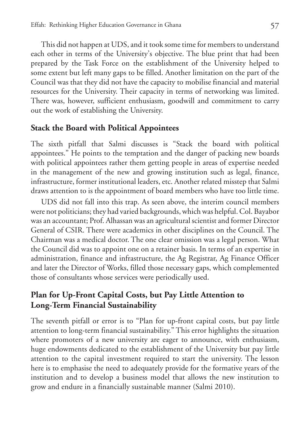This did not happen at UDS, and it took some time for members to understand each other in terms of the University's objective. The blue print that had been prepared by the Task Force on the establishment of the University helped to some extent but left many gaps to be filled. Another limitation on the part of the Council was that they did not have the capacity to mobilise financial and material resources for the University. Their capacity in terms of networking was limited. There was, however, sufficient enthusiasm, goodwill and commitment to carry out the work of establishing the University.

## **Stack the Board with Political Appointees**

The sixth pitfall that Salmi discusses is "Stack the board with political appointees." He points to the temptation and the danger of packing new boards with political appointees rather them getting people in areas of expertise needed in the management of the new and growing institution such as legal, finance, infrastructure, former institutional leaders, etc. Another related misstep that Salmi draws attention to is the appointment of board members who have too little time.

UDS did not fall into this trap. As seen above, the interim council members were not politicians; they had varied backgrounds, which was helpful. Col. Bayabor was an accountant; Prof. Alhassan was an agricultural scientist and former Director General of CSIR. There were academics in other disciplines on the Council. The Chairman was a medical doctor. The one clear omission was a legal person. What the Council did was to appoint one on a retainer basis. In terms of an expertise in administration, finance and infrastructure, the Ag Registrar, Ag Finance Officer and later the Director of Works, filled those necessary gaps, which complemented those of consultants whose services were periodically used.

## **Plan for Up-Front Capital Costs, but Pay Little Attention to Long-Term Financial Sustainability**

The seventh pitfall or error is to "Plan for up-front capital costs, but pay little attention to long-term financial sustainability." This error highlights the situation where promoters of a new university are eager to announce, with enthusiasm, huge endowments dedicated to the establishment of the University but pay little attention to the capital investment required to start the university. The lesson here is to emphasise the need to adequately provide for the formative years of the institution and to develop a business model that allows the new institution to grow and endure in a financially sustainable manner (Salmi 2010).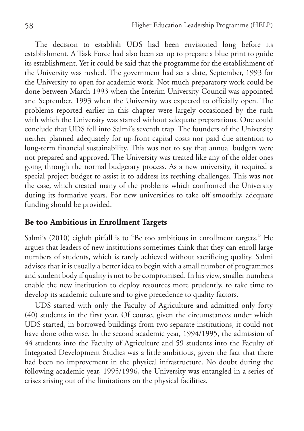The decision to establish UDS had been envisioned long before its establishment. A Task Force had also been set up to prepare a blue print to guide its establishment. Yet it could be said that the programme for the establishment of the University was rushed. The government had set a date, September, 1993 for the University to open for academic work. Not much preparatory work could be done between March 1993 when the Interim University Council was appointed and September, 1993 when the University was expected to officially open. The problems reported earlier in this chapter were largely occasioned by the rush with which the University was started without adequate preparations. One could conclude that UDS fell into Salmi's seventh trap. The founders of the University neither planned adequately for up-front capital costs nor paid due attention to long-term financial sustainability. This was not to say that annual budgets were not prepared and approved. The University was treated like any of the older ones going through the normal budgetary process. As a new university, it required a special project budget to assist it to address its teething challenges. This was not the case, which created many of the problems which confronted the University during its formative years. For new universities to take off smoothly, adequate funding should be provided.

#### **Be too Ambitious in Enrollment Targets**

Salmi's (2010) eighth pitfall is to "Be too ambitious in enrollment targets." He argues that leaders of new institutions sometimes think that they can enroll large numbers of students, which is rarely achieved without sacrificing quality. Salmi advises that it is usually a better idea to begin with a small number of programmes and student body if quality is not to be compromised. In his view, smaller numbers enable the new institution to deploy resources more prudently, to take time to develop its academic culture and to give precedence to quality factors.

UDS started with only the Faculty of Agriculture and admitted only forty (40) students in the first year. Of course, given the circumstances under which UDS started, in borrowed buildings from two separate institutions, it could not have done otherwise. In the second academic year, 1994/1995, the admission of 44 students into the Faculty of Agriculture and 59 students into the Faculty of Integrated Development Studies was a little ambitious, given the fact that there had been no improvement in the physical infrastructure. No doubt during the following academic year, 1995/1996, the University was entangled in a series of crises arising out of the limitations on the physical facilities.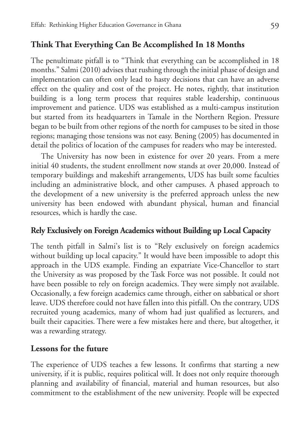## **Think That Everything Can Be Accomplished In 18 Months**

The penultimate pitfall is to "Think that everything can be accomplished in 18 months." Salmi (2010) advises that rushing through the initial phase of design and implementation can often only lead to hasty decisions that can have an adverse effect on the quality and cost of the project. He notes, rightly, that institution building is a long term process that requires stable leadership, continuous improvement and patience. UDS was established as a multi-campus institution but started from its headquarters in Tamale in the Northern Region. Pressure began to be built from other regions of the north for campuses to be sited in those regions; managing those tensions was not easy. Bening (2005) has documented in detail the politics of location of the campuses for readers who may be interested.

The University has now been in existence for over 20 years. From a mere initial 40 students, the student enrollment now stands at over 20,000. Instead of temporary buildings and makeshift arrangements, UDS has built some faculties including an administrative block, and other campuses. A phased approach to the development of a new university is the preferred approach unless the new university has been endowed with abundant physical, human and financial resources, which is hardly the case.

### **Rely Exclusively on Foreign Academics without Building up Local Capacity**

The tenth pitfall in Salmi's list is to "Rely exclusively on foreign academics without building up local capacity." It would have been impossible to adopt this approach in the UDS example. Finding an expatriate Vice-Chancellor to start the University as was proposed by the Task Force was not possible. It could not have been possible to rely on foreign academics. They were simply not available. Occasionally, a few foreign academics came through, either on sabbatical or short leave. UDS therefore could not have fallen into this pitfall. On the contrary, UDS recruited young academics, many of whom had just qualified as lecturers, and built their capacities. There were a few mistakes here and there, but altogether, it was a rewarding strategy.

## **Lessons for the future**

The experience of UDS teaches a few lessons. It confirms that starting a new university, if it is public, requires political will. It does not only require thorough planning and availability of financial, material and human resources, but also commitment to the establishment of the new university. People will be expected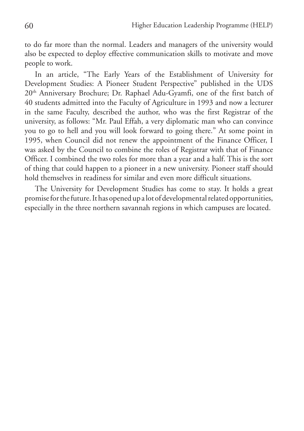to do far more than the normal. Leaders and managers of the university would also be expected to deploy effective communication skills to motivate and move people to work.

In an article, "The Early Years of the Establishment of University for Development Studies: A Pioneer Student Perspective" published in the UDS 20th Anniversary Brochure; Dr. Raphael Adu-Gyamfi, one of the first batch of 40 students admitted into the Faculty of Agriculture in 1993 and now a lecturer in the same Faculty, described the author, who was the first Registrar of the university, as follows: "Mr. Paul Effah, a very diplomatic man who can convince you to go to hell and you will look forward to going there." At some point in 1995, when Council did not renew the appointment of the Finance Officer, I was asked by the Council to combine the roles of Registrar with that of Finance Officer. I combined the two roles for more than a year and a half. This is the sort of thing that could happen to a pioneer in a new university. Pioneer staff should hold themselves in readiness for similar and even more difficult situations.

The University for Development Studies has come to stay. It holds a great promise for the future. It has opened up a lot of developmental related opportunities, especially in the three northern savannah regions in which campuses are located.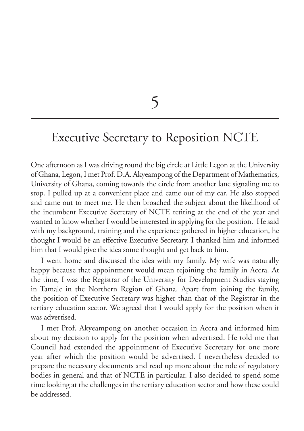5

## Executive Secretary to Reposition NCTE

One afternoon as I was driving round the big circle at Little Legon at the University of Ghana, Legon, I met Prof. D.A. Akyeampong of the Department of Mathematics, University of Ghana, coming towards the circle from another lane signaling me to stop. I pulled up at a convenient place and came out of my car. He also stopped and came out to meet me. He then broached the subject about the likelihood of the incumbent Executive Secretary of NCTE retiring at the end of the year and wanted to know whether I would be interested in applying for the position. He said with my background, training and the experience gathered in higher education, he thought I would be an effective Executive Secretary. I thanked him and informed him that I would give the idea some thought and get back to him.

I went home and discussed the idea with my family. My wife was naturally happy because that appointment would mean rejoining the family in Accra. At the time, I was the Registrar of the University for Development Studies staying in Tamale in the Northern Region of Ghana. Apart from joining the family, the position of Executive Secretary was higher than that of the Registrar in the tertiary education sector. We agreed that I would apply for the position when it was advertised.

I met Prof. Akyeampong on another occasion in Accra and informed him about my decision to apply for the position when advertised. He told me that Council had extended the appointment of Executive Secretary for one more year after which the position would be advertised. I nevertheless decided to prepare the necessary documents and read up more about the role of regulatory bodies in general and that of NCTE in particular. I also decided to spend some time looking at the challenges in the tertiary education sector and how these could be addressed.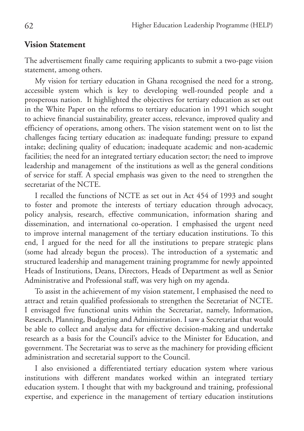### **Vision Statement**

The advertisement finally came requiring applicants to submit a two-page vision statement, among others.

My vision for tertiary education in Ghana recognised the need for a strong, accessible system which is key to developing well-rounded people and a prosperous nation. It highlighted the objectives for tertiary education as set out in the White Paper on the reforms to tertiary education in 1991 which sought to achieve financial sustainability, greater access, relevance, improved quality and efficiency of operations, among others. The vision statement went on to list the challenges facing tertiary education as: inadequate funding; pressure to expand intake; declining quality of education; inadequate academic and non-academic facilities; the need for an integrated tertiary education sector; the need to improve leadership and management of the institutions as well as the general conditions of service for staff. A special emphasis was given to the need to strengthen the secretariat of the NCTE.

I recalled the functions of NCTE as set out in Act 454 of 1993 and sought to foster and promote the interests of tertiary education through advocacy, policy analysis, research, effective communication, information sharing and dissemination, and international co-operation. I emphasised the urgent need to improve internal management of the tertiary education institutions. To this end, I argued for the need for all the institutions to prepare strategic plans (some had already begun the process). The introduction of a systematic and structured leadership and management training programme for newly appointed Heads of Institutions, Deans, Directors, Heads of Department as well as Senior Administrative and Professional staff, was very high on my agenda.

To assist in the achievement of my vision statement, I emphasised the need to attract and retain qualified professionals to strengthen the Secretariat of NCTE. I envisaged five functional units within the Secretariat, namely, Information, Research, Planning, Budgeting and Administration. I saw a Secretariat that would be able to collect and analyse data for effective decision-making and undertake research as a basis for the Council's advice to the Minister for Education, and government. The Secretariat was to serve as the machinery for providing efficient administration and secretarial support to the Council.

I also envisioned a differentiated tertiary education system where various institutions with different mandates worked within an integrated tertiary education system. I thought that with my background and training, professional expertise, and experience in the management of tertiary education institutions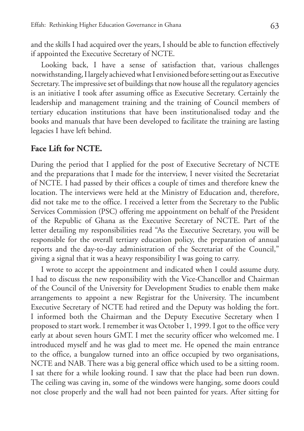and the skills I had acquired over the years, I should be able to function effectively if appointed the Executive Secretary of NCTE.

Looking back, I have a sense of satisfaction that, various challenges notwithstanding, I largely achieved what I envisioned before setting out as Executive Secretary. The impressive set of buildings that now house all the regulatory agencies is an initiative I took after assuming office as Executive Secretary. Certainly the leadership and management training and the training of Council members of tertiary education institutions that have been institutionalised today and the books and manuals that have been developed to facilitate the training are lasting legacies I have left behind.

#### **Face Lift for NCTE.**

During the period that I applied for the post of Executive Secretary of NCTE and the preparations that I made for the interview, I never visited the Secretariat of NCTE. I had passed by their offices a couple of times and therefore knew the location. The interviews were held at the Ministry of Education and, therefore, did not take me to the office. I received a letter from the Secretary to the Public Services Commission (PSC) offering me appointment on behalf of the President of the Republic of Ghana as the Executive Secretary of NCTE. Part of the letter detailing my responsibilities read "As the Executive Secretary, you will be responsible for the overall tertiary education policy, the preparation of annual reports and the day-to-day administration of the Secretariat of the Council," giving a signal that it was a heavy responsibility I was going to carry.

I wrote to accept the appointment and indicated when I could assume duty. I had to discuss the new responsibility with the Vice-Chancellor and Chairman of the Council of the University for Development Studies to enable them make arrangements to appoint a new Registrar for the University. The incumbent Executive Secretary of NCTE had retired and the Deputy was holding the fort. I informed both the Chairman and the Deputy Executive Secretary when I proposed to start work. I remember it was October 1, 1999. I got to the office very early at about seven hours GMT. I met the security officer who welcomed me. I introduced myself and he was glad to meet me. He opened the main entrance to the office, a bungalow turned into an office occupied by two organisations, NCTE and NAB. There was a big general office which used to be a sitting room. I sat there for a while looking round. I saw that the place had been run down. The ceiling was caving in, some of the windows were hanging, some doors could not close properly and the wall had not been painted for years. After sitting for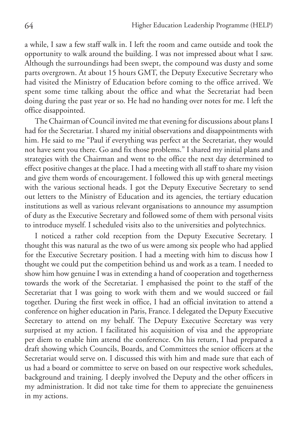a while, I saw a few staff walk in. I left the room and came outside and took the opportunity to walk around the building. I was not impressed about what I saw. Although the surroundings had been swept, the compound was dusty and some parts overgrown. At about 15 hours GMT, the Deputy Executive Secretary who had visited the Ministry of Education before coming to the office arrived. We spent some time talking about the office and what the Secretariat had been doing during the past year or so. He had no handing over notes for me. I left the office disappointed.

The Chairman of Council invited me that evening for discussions about plans I had for the Secretariat. I shared my initial observations and disappointments with him. He said to me "Paul if everything was perfect at the Secretariat, they would not have sent you there. Go and fix those problems." I shared my initial plans and strategies with the Chairman and went to the office the next day determined to effect positive changes at the place. I had a meeting with all staff to share my vision and give them words of encouragement. I followed this up with general meetings with the various sectional heads. I got the Deputy Executive Secretary to send out letters to the Ministry of Education and its agencies, the tertiary education institutions as well as various relevant organisations to announce my assumption of duty as the Executive Secretary and followed some of them with personal visits to introduce myself. I scheduled visits also to the universities and polytechnics.

I noticed a rather cold reception from the Deputy Executive Secretary. I thought this was natural as the two of us were among six people who had applied for the Executive Secretary position. I had a meeting with him to discuss how I thought we could put the competition behind us and work as a team. I needed to show him how genuine I was in extending a hand of cooperation and togetherness towards the work of the Secretariat. I emphasised the point to the staff of the Secretariat that I was going to work with them and we would succeed or fail together. During the first week in office, I had an official invitation to attend a conference on higher education in Paris, France. I delegated the Deputy Executive Secretary to attend on my behalf. The Deputy Executive Secretary was very surprised at my action. I facilitated his acquisition of visa and the appropriate per diem to enable him attend the conference. On his return, I had prepared a draft showing which Councils, Boards, and Committees the senior officers at the Secretariat would serve on. I discussed this with him and made sure that each of us had a board or committee to serve on based on our respective work schedules, background and training. I deeply involved the Deputy and the other officers in my administration. It did not take time for them to appreciate the genuineness in my actions.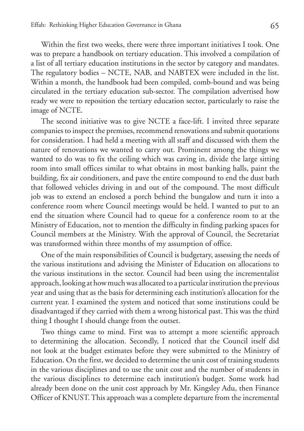Within the first two weeks, there were three important initiatives I took. One was to prepare a handbook on tertiary education. This involved a compilation of a list of all tertiary education institutions in the sector by category and mandates. The regulatory bodies – NCTE, NAB, and NABTEX were included in the list. Within a month, the handbook had been compiled, comb-bound and was being circulated in the tertiary education sub-sector. The compilation advertised how ready we were to reposition the tertiary education sector, particularly to raise the image of NCTE.

The second initiative was to give NCTE a face-lift. I invited three separate companies to inspect the premises, recommend renovations and submit quotations for consideration. I had held a meeting with all staff and discussed with them the nature of renovations we wanted to carry out. Prominent among the things we wanted to do was to fix the ceiling which was caving in, divide the large sitting room into small offices similar to what obtains in most banking halls, paint the building, fix air conditioners, and pave the entire compound to end the dust bath that followed vehicles driving in and out of the compound. The most difficult job was to extend an enclosed a porch behind the bungalow and turn it into a conference room where Council meetings would be held. I wanted to put to an end the situation where Council had to queue for a conference room to at the Ministry of Education, not to mention the difficulty in finding parking spaces for Council members at the Ministry. With the approval of Council, the Secretariat was transformed within three months of my assumption of office.

One of the main responsibilities of Council is budgetary, assessing the needs of the various institutions and advising the Minister of Education on allocations to the various institutions in the sector. Council had been using the incrementalist approach, looking at how much was allocated to a particular institution the previous year and using that as the basis for determining each institution's allocation for the current year. I examined the system and noticed that some institutions could be disadvantaged if they carried with them a wrong historical past. This was the third thing I thought I should change from the outset.

Two things came to mind. First was to attempt a more scientific approach to determining the allocation. Secondly, I noticed that the Council itself did not look at the budget estimates before they were submitted to the Ministry of Education. On the first, we decided to determine the unit cost of training students in the various disciplines and to use the unit cost and the number of students in the various disciplines to determine each institution's budget. Some work had already been done on the unit cost approach by Mr. Kingsley Adu, then Finance Officer of KNUST. This approach was a complete departure from the incremental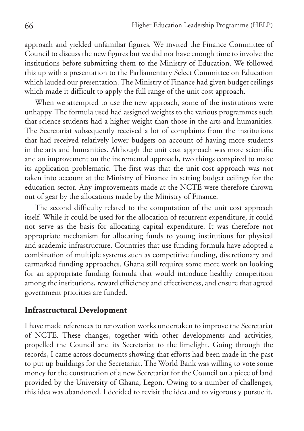approach and yielded unfamiliar figures. We invited the Finance Committee of Council to discuss the new figures but we did not have enough time to involve the institutions before submitting them to the Ministry of Education. We followed this up with a presentation to the Parliamentary Select Committee on Education which lauded our presentation. The Ministry of Finance had given budget ceilings which made it difficult to apply the full range of the unit cost approach.

When we attempted to use the new approach, some of the institutions were unhappy. The formula used had assigned weights to the various programmes such that science students had a higher weight than those in the arts and humanities. The Secretariat subsequently received a lot of complaints from the institutions that had received relatively lower budgets on account of having more students in the arts and humanities. Although the unit cost approach was more scientific and an improvement on the incremental approach, two things conspired to make its application problematic. The first was that the unit cost approach was not taken into account at the Ministry of Finance in setting budget ceilings for the education sector. Any improvements made at the NCTE were therefore thrown out of gear by the allocations made by the Ministry of Finance.

The second difficulty related to the computation of the unit cost approach itself. While it could be used for the allocation of recurrent expenditure, it could not serve as the basis for allocating capital expenditure. It was therefore not appropriate mechanism for allocating funds to young institutions for physical and academic infrastructure. Countries that use funding formula have adopted a combination of multiple systems such as competitive funding, discretionary and earmarked funding approaches. Ghana still requires some more work on looking for an appropriate funding formula that would introduce healthy competition among the institutions, reward efficiency and effectiveness, and ensure that agreed government priorities are funded.

### **Infrastructural Development**

I have made references to renovation works undertaken to improve the Secretariat of NCTE. These changes, together with other developments and activities, propelled the Council and its Secretariat to the limelight. Going through the records, I came across documents showing that efforts had been made in the past to put up buildings for the Secretariat. The World Bank was willing to vote some money for the construction of a new Secretariat for the Council on a piece of land provided by the University of Ghana, Legon. Owing to a number of challenges, this idea was abandoned. I decided to revisit the idea and to vigorously pursue it.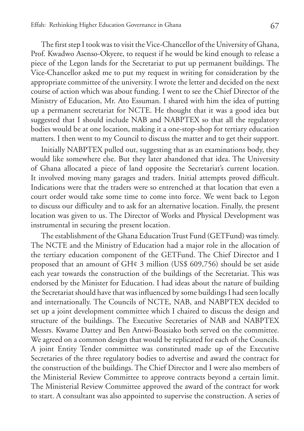The first step I took was to visit the Vice-Chancellor of the University of Ghana, Prof. Kwadwo Asenso-Okyere, to request if he would be kind enough to release a piece of the Legon lands for the Secretariat to put up permanent buildings. The Vice-Chancellor asked me to put my request in writing for consideration by the appropriate committee of the university. I wrote the letter and decided on the next course of action which was about funding. I went to see the Chief Director of the Ministry of Education, Mr. Ato Essuman. I shared with him the idea of putting up a permanent secretariat for NCTE. He thought that it was a good idea but suggested that I should include NAB and NABPTEX so that all the regulatory bodies would be at one location, making it a one-stop-shop for tertiary education matters. I then went to my Council to discuss the matter and to get their support.

Initially NABPTEX pulled out, suggesting that as an examinations body, they would like somewhere else. But they later abandoned that idea. The University of Ghana allocated a piece of land opposite the Secretariat's current location. It involved moving many garages and traders. Initial attempts proved difficult. Indications were that the traders were so entrenched at that location that even a court order would take some time to come into force. We went back to Legon to discuss our difficulty and to ask for an alternative location. Finally, the present location was given to us. The Director of Works and Physical Development was instrumental in securing the present location.

The establishment of the Ghana Education Trust Fund (GETFund) was timely. The NCTE and the Ministry of Education had a major role in the allocation of the tertiary education component of the GETFund. The Chief Director and I proposed that an amount of GH¢ 3 million (US\$ 609,756) should be set aside each year towards the construction of the buildings of the Secretariat. This was endorsed by the Minister for Education. I had ideas about the nature of building the Secretariat should have that was influenced by some buildings I had seen locally and internationally. The Councils of NCTE, NAB, and NABPTEX decided to set up a joint development committee which I chaired to discuss the design and structure of the buildings. The Executive Secretaries of NAB and NABPTEX Messrs. Kwame Dattey and Ben Antwi-Boasiako both served on the committee. We agreed on a common design that would be replicated for each of the Councils. A joint Entity Tender committee was constituted made up of the Executive Secretaries of the three regulatory bodies to advertise and award the contract for the construction of the buildings. The Chief Director and I were also members of the Ministerial Review Committee to approve contracts beyond a certain limit. The Ministerial Review Committee approved the award of the contract for work to start. A consultant was also appointed to supervise the construction. A series of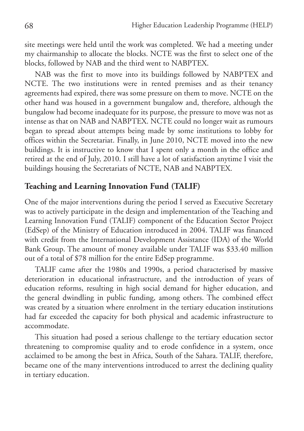site meetings were held until the work was completed. We had a meeting under my chairmanship to allocate the blocks. NCTE was the first to select one of the blocks, followed by NAB and the third went to NABPTEX.

NAB was the first to move into its buildings followed by NABPTEX and NCTE. The two institutions were in rented premises and as their tenancy agreements had expired, there was some pressure on them to move. NCTE on the other hand was housed in a government bungalow and, therefore, although the bungalow had become inadequate for its purpose, the pressure to move was not as intense as that on NAB and NABPTEX. NCTE could no longer wait as rumours began to spread about attempts being made by some institutions to lobby for offices within the Secretariat. Finally, in June 2010, NCTE moved into the new buildings. It is instructive to know that I spent only a month in the office and retired at the end of July, 2010. I still have a lot of satisfaction anytime I visit the buildings housing the Secretariats of NCTE, NAB and NABPTEX.

### **Teaching and Learning Innovation Fund (TALIF)**

One of the major interventions during the period I served as Executive Secretary was to actively participate in the design and implementation of the Teaching and Learning Innovation Fund (TALIF) component of the Education Sector Project (EdSep) of the Ministry of Education introduced in 2004. TALIF was financed with credit from the International Development Assistance (IDA) of the World Bank Group. The amount of money available under TALIF was \$33.40 million out of a total of \$78 million for the entire EdSep programme.

TALIF came after the 1980s and 1990s, a period characterised by massive deterioration in educational infrastructure, and the introduction of years of education reforms, resulting in high social demand for higher education, and the general dwindling in public funding, among others. The combined effect was created by a situation where enrolment in the tertiary education institutions had far exceeded the capacity for both physical and academic infrastructure to accommodate.

This situation had posed a serious challenge to the tertiary education sector threatening to compromise quality and to erode confidence in a system, once acclaimed to be among the best in Africa, South of the Sahara. TALIF, therefore, became one of the many interventions introduced to arrest the declining quality in tertiary education.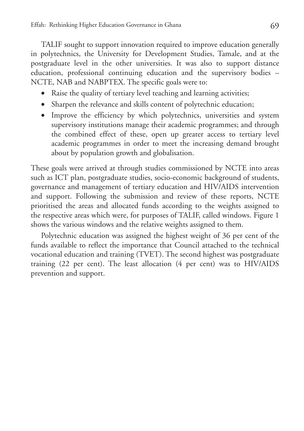TALIF sought to support innovation required to improve education generally in polytechnics, the University for Development Studies, Tamale, and at the postgraduate level in the other universities. It was also to support distance education, professional continuing education and the supervisory bodies – NCTE, NAB and NABPTEX. The specific goals were to:

- Raise the quality of tertiary level teaching and learning activities;
- Sharpen the relevance and skills content of polytechnic education;
- Improve the efficiency by which polytechnics, universities and system supervisory institutions manage their academic programmes; and through the combined effect of these, open up greater access to tertiary level academic programmes in order to meet the increasing demand brought about by population growth and globalisation.

These goals were arrived at through studies commissioned by NCTE into areas such as ICT plan, postgraduate studies, socio-economic background of students, governance and management of tertiary education and HIV/AIDS intervention and support. Following the submission and review of these reports, NCTE prioritised the areas and allocated funds according to the weights assigned to the respective areas which were, for purposes of TALIF, called windows. Figure 1 shows the various windows and the relative weights assigned to them.

Polytechnic education was assigned the highest weight of 36 per cent of the funds available to reflect the importance that Council attached to the technical vocational education and training (TVET). The second highest was postgraduate training (22 per cent). The least allocation (4 per cent) was to HIV/AIDS prevention and support.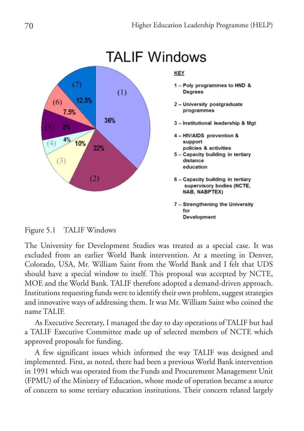

Figure 5.1 TALIF Windows

The University for Development Studies was treated as a special case. It was excluded from an earlier World Bank intervention. At a meeting in Denver, Colorado, USA, Mr. William Saint from the World Bank and I felt that UDS should have a special window to itself. This proposal was accepted by NCTE, MOE and the World Bank. TALIF therefore adopted a demand-driven approach. Institutions requesting funds were to identify their own problem, suggest strategies and innovative ways of addressing them. It was Mr. William Saint who coined the name TALIF.

As Executive Secretary, I managed the day to day operations of TALIF but had a TALIF Executive Committee made up of selected members of NCTE which approved proposals for funding.

A few significant issues which informed the way TALIF was designed and implemented. First, as noted, there had been a previous World Bank intervention in 1991 which was operated from the Funds and Procurement Management Unit (FPMU) of the Ministry of Education, whose mode of operation became a source of concern to some tertiary education institutions. Their concern related largely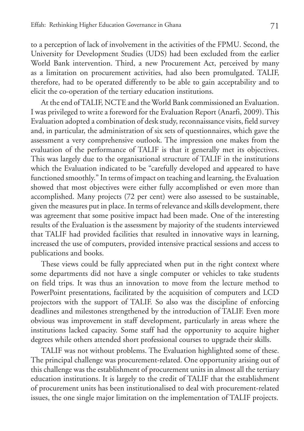to a perception of lack of involvement in the activities of the FPMU. Second, the University for Development Studies (UDS) had been excluded from the earlier World Bank intervention. Third, a new Procurement Act, perceived by many as a limitation on procurement activities, had also been promulgated. TALIF, therefore, had to be operated differently to be able to gain acceptability and to elicit the co-operation of the tertiary education institutions.

At the end of TALIF, NCTE and the World Bank commissioned an Evaluation. I was privileged to write a foreword for the Evaluation Report (Anarfi, 2009). This Evaluation adopted a combination of desk study, reconnaissance visits, field survey and, in particular, the administration of six sets of questionnaires, which gave the assessment a very comprehensive outlook. The impression one makes from the evaluation of the performance of TALIF is that it generally met its objectives. This was largely due to the organisational structure of TALIF in the institutions which the Evaluation indicated to be "carefully developed and appeared to have functioned smoothly." In terms of impact on teaching and learning, the Evaluation showed that most objectives were either fully accomplished or even more than accomplished. Many projects (72 per cent) were also assessed to be sustainable, given the measures put in place. In terms of relevance and skills development, there was agreement that some positive impact had been made. One of the interesting results of the Evaluation is the assessment by majority of the students interviewed that TALIF had provided facilities that resulted in innovative ways in learning, increased the use of computers, provided intensive practical sessions and access to publications and books.

These views could be fully appreciated when put in the right context where some departments did not have a single computer or vehicles to take students on field trips. It was thus an innovation to move from the lecture method to PowerPoint presentations, facilitated by the acquisition of computers and LCD projectors with the support of TALIF. So also was the discipline of enforcing deadlines and milestones strengthened by the introduction of TALIF. Even more obvious was improvement in staff development, particularly in areas where the institutions lacked capacity. Some staff had the opportunity to acquire higher degrees while others attended short professional courses to upgrade their skills.

TALIF was not without problems. The Evaluation highlighted some of these. The principal challenge was procurement-related. One opportunity arising out of this challenge was the establishment of procurement units in almost all the tertiary education institutions. It is largely to the credit of TALIF that the establishment of procurement units has been institutionalised to deal with procurement-related issues, the one single major limitation on the implementation of TALIF projects.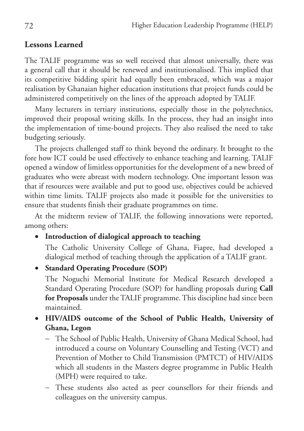## **Lessons Learned**

The TALIF programme was so well received that almost universally, there was a general call that it should be renewed and institutionalised. This implied that its competitive bidding spirit had equally been embraced, which was a major realisation by Ghanaian higher education institutions that project funds could be administered competitively on the lines of the approach adopted by TALIF.

Many lecturers in tertiary institutions, especially those in the polytechnics, improved their proposal writing skills. In the process, they had an insight into the implementation of time-bound projects. They also realised the need to take budgeting seriously.

The projects challenged staff to think beyond the ordinary. It brought to the fore how ICT could be used effectively to enhance teaching and learning. TALIF opened a window of limitless opportunities for the development of a new breed of graduates who were abreast with modern technology. One important lesson was that if resources were available and put to good use, objectives could be achieved within time limits. TALIF projects also made it possible for the universities to ensure that students finish their graduate programmes on time.

At the midterm review of TALIF, the following innovations were reported, among others:

• **Introduction of dialogical approach to teaching**

The Catholic University College of Ghana, Fiapre, had developed a dialogical method of teaching through the application of a TALIF grant.

• **Standard Operating Procedure (SOP)** 

The Noguchi Memorial Institute for Medical Research developed a Standard Operating Procedure (SOP) for handling proposals during **Call for Proposals** under the TALIF programme. This discipline had since been maintained.

- • **HIV/AIDS outcome of the School of Public Health, University of Ghana, Legon** 
	- − The School of Public Health, University of Ghana Medical School, had introduced a course on Voluntary Counselling and Testing (VCT) and Prevention of Mother to Child Transmission (PMTCT) of HIV/AIDS which all students in the Masters degree programme in Public Health (MPH) were required to take.
	- − These students also acted as peer counsellors for their friends and colleagues on the university campus.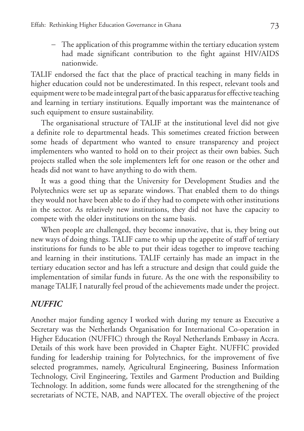− The application of this programme within the tertiary education system had made significant contribution to the fight against HIV/AIDS nationwide.

TALIF endorsed the fact that the place of practical teaching in many fields in higher education could not be underestimated. In this respect, relevant tools and equipment were to be made integral part of the basic apparatus for effective teaching and learning in tertiary institutions. Equally important was the maintenance of such equipment to ensure sustainability.

The organisational structure of TALIF at the institutional level did not give a definite role to departmental heads. This sometimes created friction between some heads of department who wanted to ensure transparency and project implementers who wanted to hold on to their project as their own babies. Such projects stalled when the sole implementers left for one reason or the other and heads did not want to have anything to do with them.

It was a good thing that the University for Development Studies and the Polytechnics were set up as separate windows. That enabled them to do things they would not have been able to do if they had to compete with other institutions in the sector. As relatively new institutions, they did not have the capacity to compete with the older institutions on the same basis.

When people are challenged, they become innovative, that is, they bring out new ways of doing things. TALIF came to whip up the appetite of staff of tertiary institutions for funds to be able to put their ideas together to improve teaching and learning in their institutions. TALIF certainly has made an impact in the tertiary education sector and has left a structure and design that could guide the implementation of similar funds in future. As the one with the responsibility to manage TALIF, I naturally feel proud of the achievements made under the project.

## *NUFFIC*

Another major funding agency I worked with during my tenure as Executive a Secretary was the Netherlands Organisation for International Co-operation in Higher Education (NUFFIC) through the Royal Netherlands Embassy in Accra. Details of this work have been provided in Chapter Eight. NUFFIC provided funding for leadership training for Polytechnics, for the improvement of five selected programmes, namely, Agricultural Engineering, Business Information Technology, Civil Engineering, Textiles and Garment Production and Building Technology. In addition, some funds were allocated for the strengthening of the secretariats of NCTE, NAB, and NAPTEX. The overall objective of the project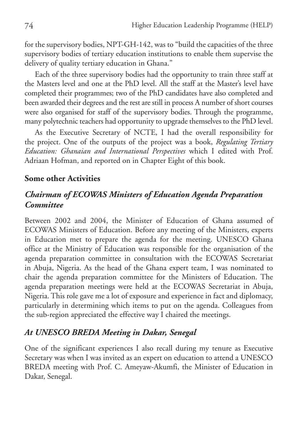for the supervisory bodies, NPT-GH-142, was to "build the capacities of the three supervisory bodies of tertiary education institutions to enable them supervise the delivery of quality tertiary education in Ghana."

Each of the three supervisory bodies had the opportunity to train three staff at the Masters level and one at the PhD level. All the staff at the Master's level have completed their programmes; two of the PhD candidates have also completed and been awarded their degrees and the rest are still in process A number of short courses were also organised for staff of the supervisory bodies. Through the programme, many polytechnic teachers had opportunity to upgrade themselves to the PhD level.

As the Executive Secretary of NCTE, I had the overall responsibility for the project. One of the outputs of the project was a book, *Regulating Tertiary Education: Ghanaian and International Perspectives* which I edited with Prof. Adriaan Hofman, and reported on in Chapter Eight of this book.

## **Some other Activities**

## *Chairman of ECOWAS Ministers of Education Agenda Preparation Committee*

Between 2002 and 2004, the Minister of Education of Ghana assumed of ECOWAS Ministers of Education. Before any meeting of the Ministers, experts in Education met to prepare the agenda for the meeting. UNESCO Ghana office at the Ministry of Education was responsible for the organisation of the agenda preparation committee in consultation with the ECOWAS Secretariat in Abuja, Nigeria. As the head of the Ghana expert team, I was nominated to chair the agenda preparation committee for the Ministers of Education. The agenda preparation meetings were held at the ECOWAS Secretariat in Abuja, Nigeria. This role gave me a lot of exposure and experience in fact and diplomacy, particularly in determining which items to put on the agenda. Colleagues from the sub-region appreciated the effective way I chaired the meetings.

## *At UNESCO BREDA Meeting in Dakar, Senegal*

One of the significant experiences I also recall during my tenure as Executive Secretary was when I was invited as an expert on education to attend a UNESCO BREDA meeting with Prof. C. Ameyaw-Akumfi, the Minister of Education in Dakar, Senegal.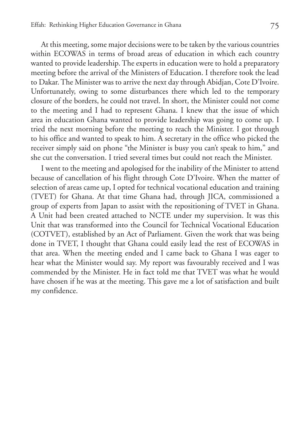At this meeting, some major decisions were to be taken by the various countries within ECOWAS in terms of broad areas of education in which each country wanted to provide leadership. The experts in education were to hold a preparatory meeting before the arrival of the Ministers of Education. I therefore took the lead to Dakar. The Minister was to arrive the next day through Abidjan, Cote D'Ivoire. Unfortunately, owing to some disturbances there which led to the temporary closure of the borders, he could not travel. In short, the Minister could not come to the meeting and I had to represent Ghana. I knew that the issue of which area in education Ghana wanted to provide leadership was going to come up. I tried the next morning before the meeting to reach the Minister. I got through to his office and wanted to speak to him. A secretary in the office who picked the receiver simply said on phone "the Minister is busy you can't speak to him," and she cut the conversation. I tried several times but could not reach the Minister.

I went to the meeting and apologised for the inability of the Minister to attend because of cancellation of his flight through Cote D'Ivoire. When the matter of selection of areas came up, I opted for technical vocational education and training (TVET) for Ghana. At that time Ghana had, through JICA, commissioned a group of experts from Japan to assist with the repositioning of TVET in Ghana. A Unit had been created attached to NCTE under my supervision. It was this Unit that was transformed into the Council for Technical Vocational Education (COTVET), established by an Act of Parliament. Given the work that was being done in TVET, I thought that Ghana could easily lead the rest of ECOWAS in that area. When the meeting ended and I came back to Ghana I was eager to hear what the Minister would say. My report was favourably received and I was commended by the Minister. He in fact told me that TVET was what he would have chosen if he was at the meeting. This gave me a lot of satisfaction and built my confidence.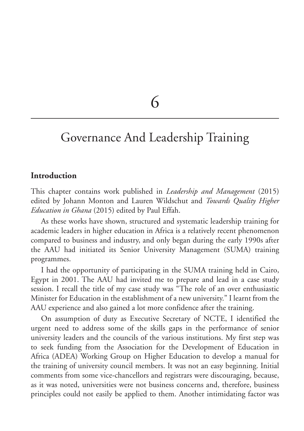6

# Governance And Leadership Training

### **Introduction**

This chapter contains work published in *Leadership and Management* (2015) edited by Johann Monton and Lauren Wildschut and *Towards Quality Higher Education in Ghana* (2015) edited by Paul Effah.

As these works have shown, structured and systematic leadership training for academic leaders in higher education in Africa is a relatively recent phenomenon compared to business and industry, and only began during the early 1990s after the AAU had initiated its Senior University Management (SUMA) training programmes.

I had the opportunity of participating in the SUMA training held in Cairo, Egypt in 2001. The AAU had invited me to prepare and lead in a case study session. I recall the title of my case study was "The role of an over enthusiastic Minister for Education in the establishment of a new university." I learnt from the AAU experience and also gained a lot more confidence after the training.

On assumption of duty as Executive Secretary of NCTE, I identified the urgent need to address some of the skills gaps in the performance of senior university leaders and the councils of the various institutions. My first step was to seek funding from the Association for the Development of Education in Africa (ADEA) Working Group on Higher Education to develop a manual for the training of university council members. It was not an easy beginning. Initial comments from some vice-chancellors and registrars were discouraging, because, as it was noted, universities were not business concerns and, therefore, business principles could not easily be applied to them. Another intimidating factor was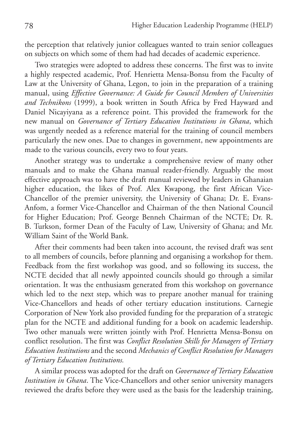the perception that relatively junior colleagues wanted to train senior colleagues on subjects on which some of them had had decades of academic experience.

Two strategies were adopted to address these concerns. The first was to invite a highly respected academic, Prof. Henrietta Mensa-Bonsu from the Faculty of Law at the University of Ghana, Legon, to join in the preparation of a training manual, using *Effective Governance: A Guide for Council Members of Universities and Technikons* (1999), a book written in South Africa by Fred Hayward and Daniel Nicayiyana as a reference point. This provided the framework for the new manual on *Governance of Tertiary Education Institutions in Ghana*, which was urgently needed as a reference material for the training of council members particularly the new ones. Due to changes in government, new appointments are made to the various councils, every two to four years.

Another strategy was to undertake a comprehensive review of many other manuals and to make the Ghana manual reader-friendly. Arguably the most effective approach was to have the draft manual reviewed by leaders in Ghanaian higher education, the likes of Prof. Alex Kwapong, the first African Vice-Chancellor of the premier university, the University of Ghana; Dr. E. Evans-Anfom, a former Vice-Chancellor and Chairman of the then National Council for Higher Education; Prof. George Benneh Chairman of the NCTE; Dr. R. B. Turkson, former Dean of the Faculty of Law, University of Ghana; and Mr. William Saint of the World Bank.

After their comments had been taken into account, the revised draft was sent to all members of councils, before planning and organising a workshop for them. Feedback from the first workshop was good, and so following its success, the NCTE decided that all newly appointed councils should go through a similar orientation. It was the enthusiasm generated from this workshop on governance which led to the next step, which was to prepare another manual for training Vice-Chancellors and heads of other tertiary education institutions. Carnegie Corporation of New York also provided funding for the preparation of a strategic plan for the NCTE and additional funding for a book on academic leadership. Two other manuals were written jointly with Prof. Henrietta Mensa-Bonsu on conflict resolution. The first was *Conflict Resolution Skills for Managers of Tertiary Education Institutions* and the second *Mechanics of Conflict Resolution for Managers of Tertiary Education Institutions.* 

A similar process was adopted for the draft on *Governance of Tertiary Education Institution in Ghana*. The Vice-Chancellors and other senior university managers reviewed the drafts before they were used as the basis for the leadership training,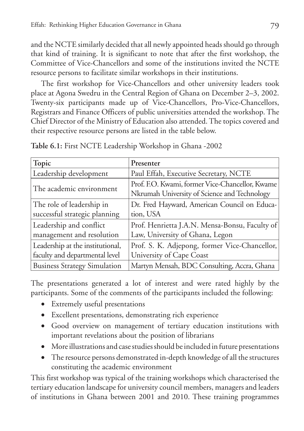and the NCTE similarly decided that all newly appointed heads should go through that kind of training. It is significant to note that after the first workshop, the Committee of Vice-Chancellors and some of the institutions invited the NCTE resource persons to facilitate similar workshops in their institutions.

The first workshop for Vice-Chancellors and other university leaders took place at Agona Swedru in the Central Region of Ghana on December 2–3, 2002. Twenty-six participants made up of Vice-Chancellors, Pro-Vice-Chancellors, Registrars and Finance Officers of public universities attended the workshop. The Chief Director of the Ministry of Education also attended. The topics covered and their respective resource persons are listed in the table below.

| Topic                               | Presenter                                                                                       |
|-------------------------------------|-------------------------------------------------------------------------------------------------|
| Leadership development              | Paul Effah, Executive Secretary, NCTE                                                           |
| The academic environment            | Prof. F.O. Kwami, former Vice-Chancellor, Kwame<br>Nkrumah University of Science and Technology |
| The role of leadership in           | Dr. Fred Hayward, American Council on Educa-                                                    |
| successful strategic planning       | tion, USA                                                                                       |
| Leadership and conflict             | Prof. Henrietta J.A.N. Mensa-Bonsu, Faculty of                                                  |
| management and resolution           | Law, University of Ghana, Legon                                                                 |
| Leadership at the institutional,    | Prof. S. K. Adjepong, former Vice-Chancellor,                                                   |
| faculty and departmental level      | University of Cape Coast                                                                        |
| <b>Business Strategy Simulation</b> | Martyn Mensah, BDC Consulting, Accra, Ghana                                                     |

**Table 6.1:** First NCTE Leadership Workshop in Ghana -2002

The presentations generated a lot of interest and were rated highly by the participants. Some of the comments of the participants included the following:

- • Extremely useful presentations
- • Excellent presentations, demonstrating rich experience
- • Good overview on management of tertiary education institutions with important revelations about the position of librarians
- • More illustrations and case studies should be included in future presentations
- The resource persons demonstrated in-depth knowledge of all the structures constituting the academic environment

This first workshop was typical of the training workshops which characterised the tertiary education landscape for university council members, managers and leaders of institutions in Ghana between 2001 and 2010. These training programmes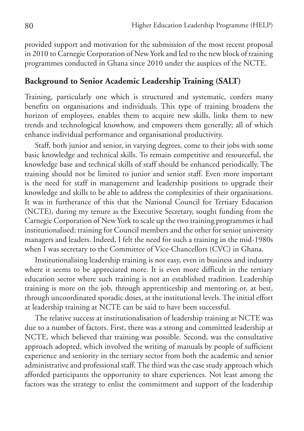provided support and motivation for the submission of the most recent proposal in 2010 to Carnegie Corporation of New York and led to the new block of training programmes conducted in Ghana since 2010 under the auspices of the NCTE.

### **Background to Senior Academic Leadership Training (SALT)**

Training, particularly one which is structured and systematic, confers many benefits on organisations and individuals. This type of training broadens the horizon of employees, enables them to acquire new skills, links them to new trends and technological knowhow, and empowers them generally; all of which enhance individual performance and organisational productivity.

Staff, both junior and senior, in varying degrees, come to their jobs with some basic knowledge and technical skills. To remain competitive and resourceful, the knowledge base and technical skills of staff should be enhanced periodically. The training should not be limited to junior and senior staff. Even more important is the need for staff in management and leadership positions to upgrade their knowledge and skills to be able to address the complexities of their organisations. It was in furtherance of this that the National Council for Tertiary Education (NCTE), during my tenure as the Executive Secretary, sought funding from the Carnegie Corporation of New York to scale up the two training programmes it had institutionalised: training for Council members and the other for senior university managers and leaders. Indeed, I felt the need for such a training in the mid-1980s when I was secretary to the Committee of Vice-Chancellors (CVC) in Ghana.

Institutionalising leadership training is not easy, even in business and industry where it seems to be appreciated more. It is even more difficult in the tertiary education sector where such training is not an established tradition. Leadership training is more on the job, through apprenticeship and mentoring or, at best, through uncoordinated sporadic doses, at the institutional levels. The initial effort at leadership training at NCTE can be said to have been successful.

The relative success at institutionalisation of leadership training at NCTE was due to a number of factors. First, there was a strong and committed leadership at NCTE, which believed that training was possible. Second, was the consultative approach adopted, which involved the writing of manuals by people of sufficient experience and seniority in the tertiary sector from both the academic and senior administrative and professional staff. The third was the case study approach which afforded participants the opportunity to share experiences. Not least among the factors was the strategy to enlist the commitment and support of the leadership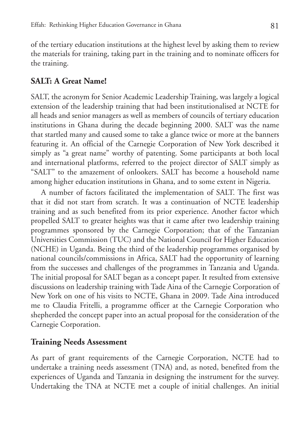of the tertiary education institutions at the highest level by asking them to review the materials for training, taking part in the training and to nominate officers for the training.

## **SALT: A Great Name!**

SALT, the acronym for Senior Academic Leadership Training, was largely a logical extension of the leadership training that had been institutionalised at NCTE for all heads and senior managers as well as members of councils of tertiary education institutions in Ghana during the decade beginning 2000. SALT was the name that startled many and caused some to take a glance twice or more at the banners featuring it. An official of the Carnegie Corporation of New York described it simply as "a great name" worthy of patenting. Some participants at both local and international platforms, referred to the project director of SALT simply as "SALT" to the amazement of onlookers. SALT has become a household name among higher education institutions in Ghana, and to some extent in Nigeria.

A number of factors facilitated the implementation of SALT. The first was that it did not start from scratch. It was a continuation of NCTE leadership training and as such benefited from its prior experience. Another factor which propelled SALT to greater heights was that it came after two leadership training programmes sponsored by the Carnegie Corporation; that of the Tanzanian Universities Commission (TUC) and the National Council for Higher Education (NCHE) in Uganda. Being the third of the leadership programmes organised by national councils/commissions in Africa, SALT had the opportunity of learning from the successes and challenges of the programmes in Tanzania and Uganda. The initial proposal for SALT began as a concept paper. It resulted from extensive discussions on leadership training with Tade Aina of the Carnegie Corporation of New York on one of his visits to NCTE, Ghana in 2009. Tade Aina introduced me to Claudia Fritelli, a programme officer at the Carnegie Corporation who shepherded the concept paper into an actual proposal for the consideration of the Carnegie Corporation.

### **Training Needs Assessment**

As part of grant requirements of the Carnegie Corporation, NCTE had to undertake a training needs assessment (TNA) and, as noted, benefited from the experiences of Uganda and Tanzania in designing the instrument for the survey. Undertaking the TNA at NCTE met a couple of initial challenges. An initial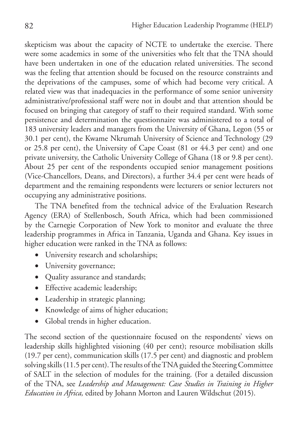skepticism was about the capacity of NCTE to undertake the exercise. There were some academics in some of the universities who felt that the TNA should have been undertaken in one of the education related universities. The second was the feeling that attention should be focused on the resource constraints and the deprivations of the campuses, some of which had become very critical. A related view was that inadequacies in the performance of some senior university administrative/professional staff were not in doubt and that attention should be focused on bringing that category of staff to their required standard. With some persistence and determination the questionnaire was administered to a total of 183 university leaders and managers from the University of Ghana, Legon (55 or 30.1 per cent), the Kwame Nkrumah University of Science and Technology (29 or 25.8 per cent), the University of Cape Coast (81 or 44.3 per cent) and one private university, the Catholic University College of Ghana (18 or 9.8 per cent). About 25 per cent of the respondents occupied senior management positions (Vice-Chancellors, Deans, and Directors), a further 34.4 per cent were heads of department and the remaining respondents were lecturers or senior lecturers not occupying any administrative positions.

The TNA benefited from the technical advice of the Evaluation Research Agency (ERA) of Stellenbosch, South Africa, which had been commissioned by the Carnegie Corporation of New York to monitor and evaluate the three leadership programmes in Africa in Tanzania, Uganda and Ghana. Key issues in higher education were ranked in the TNA as follows:

- University research and scholarships;
- University governance;
- • Quality assurance and standards;
- • Effective academic leadership;
- Leadership in strategic planning;
- • Knowledge of aims of higher education;
- Global trends in higher education.

The second section of the questionnaire focused on the respondents' views on leadership skills highlighted visioning (40 per cent); resource mobilisation skills (19.7 per cent), communication skills (17.5 per cent) and diagnostic and problem solving skills (11.5 per cent). The results of the TNA guided the Steering Committee of SALT in the selection of modules for the training. (For a detailed discussion of the TNA, see *Leadership and Management: Case Studies in Training in Higher Education in Africa,* edited by Johann Morton and Lauren Wildschut (2015).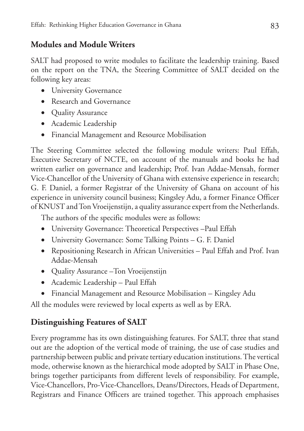## **Modules and Module Writers**

SALT had proposed to write modules to facilitate the leadership training. Based on the report on the TNA, the Steering Committee of SALT decided on the following key areas:

- University Governance
- Research and Governance
- Quality Assurance
- • Academic Leadership
- • Financial Management and Resource Mobilisation

The Steering Committee selected the following module writers: Paul Effah, Executive Secretary of NCTE, on account of the manuals and books he had written earlier on governance and leadership; Prof. Ivan Addae-Mensah, former Vice-Chancellor of the University of Ghana with extensive experience in research; G. F. Daniel, a former Registrar of the University of Ghana on account of his experience in university council business; Kingsley Adu, a former Finance Officer of KNUST and Ton Vroeijenstijn, a quality assurance expert from the Netherlands.

The authors of the specific modules were as follows:

- • University Governance: Theoretical Perspectives –Paul Effah
- University Governance: Some Talking Points G. F. Daniel
- • Repositioning Research in African Universities Paul Effah and Prof. Ivan Addae-Mensah
- • Quality Assurance –Ton Vroeijenstijn
- • Academic Leadership Paul Effah
- Financial Management and Resource Mobilisation Kingsley Adu

All the modules were reviewed by local experts as well as by ERA.

# **Distinguishing Features of SALT**

Every programme has its own distinguishing features. For SALT, three that stand out are the adoption of the vertical mode of training, the use of case studies and partnership between public and private tertiary education institutions. The vertical mode, otherwise known as the hierarchical mode adopted by SALT in Phase One, brings together participants from different levels of responsibility. For example, Vice-Chancellors, Pro-Vice-Chancellors, Deans/Directors, Heads of Department, Registrars and Finance Officers are trained together. This approach emphasises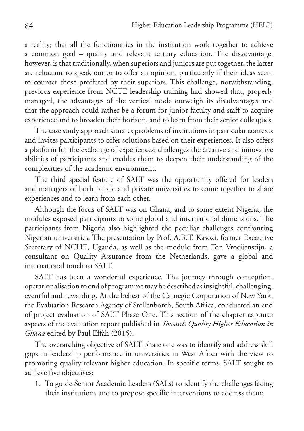a reality; that all the functionaries in the institution work together to achieve a common goal – quality and relevant tertiary education. The disadvantage, however, is that traditionally, when superiors and juniors are put together, the latter are reluctant to speak out or to offer an opinion, particularly if their ideas seem to counter those proffered by their superiors. This challenge, notwithstanding, previous experience from NCTE leadership training had showed that, properly managed, the advantages of the vertical mode outweigh its disadvantages and that the approach could rather be a forum for junior faculty and staff to acquire experience and to broaden their horizon, and to learn from their senior colleagues.

The case study approach situates problems of institutions in particular contexts and invites participants to offer solutions based on their experiences. It also offers a platform for the exchange of experiences; challenges the creative and innovative abilities of participants and enables them to deepen their understanding of the complexities of the academic environment.

The third special feature of SALT was the opportunity offered for leaders and managers of both public and private universities to come together to share experiences and to learn from each other.

Although the focus of SALT was on Ghana, and to some extent Nigeria, the modules exposed participants to some global and international dimensions. The participants from Nigeria also highlighted the peculiar challenges confronting Nigerian universities. The presentation by Prof. A.B.T. Kasozi, former Executive Secretary of NCHE, Uganda, as well as the module from Ton Vroeijenstijn, a consultant on Quality Assurance from the Netherlands, gave a global and international touch to SALT.

SALT has been a wonderful experience. The journey through conception, operationalisation to end of programme may be described as insightful, challenging, eventful and rewarding. At the behest of the Carnegie Corporation of New York, the Evaluation Research Agency of Stellenborch, South Africa, conducted an end of project evaluation of SALT Phase One. This section of the chapter captures aspects of the evaluation report published in *Towards Quality Higher Education in Ghana* edited by Paul Effah (2015).

The overarching objective of SALT phase one was to identify and address skill gaps in leadership performance in universities in West Africa with the view to promoting quality relevant higher education. In specific terms, SALT sought to achieve five objectives:

1. To guide Senior Academic Leaders (SALs) to identify the challenges facing their institutions and to propose specific interventions to address them;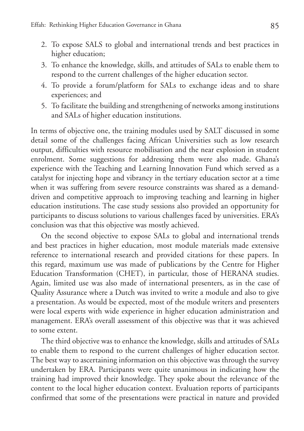- 2. To expose SALS to global and international trends and best practices in higher education;
- 3. To enhance the knowledge, skills, and attitudes of SALs to enable them to respond to the current challenges of the higher education sector.
- 4. To provide a forum/platform for SALs to exchange ideas and to share experiences; and
- 5. To facilitate the building and strengthening of networks among institutions and SALs of higher education institutions.

In terms of objective one, the training modules used by SALT discussed in some detail some of the challenges facing African Universities such as low research output, difficulties with resource mobilisation and the near explosion in student enrolment. Some suggestions for addressing them were also made. Ghana's experience with the Teaching and Learning Innovation Fund which served as a catalyst for injecting hope and vibrancy in the tertiary education sector at a time when it was suffering from severe resource constraints was shared as a demanddriven and competitive approach to improving teaching and learning in higher education institutions. The case study sessions also provided an opportunity for participants to discuss solutions to various challenges faced by universities. ERA's conclusion was that this objective was mostly achieved.

On the second objective to expose SALs to global and international trends and best practices in higher education, most module materials made extensive reference to international research and provided citations for these papers. In this regard, maximum use was made of publications by the Centre for Higher Education Transformation (CHET), in particular, those of HERANA studies. Again, limited use was also made of international presenters, as in the case of Quality Assurance where a Dutch was invited to write a module and also to give a presentation. As would be expected, most of the module writers and presenters were local experts with wide experience in higher education administration and management. ERA's overall assessment of this objective was that it was achieved to some extent.

The third objective was to enhance the knowledge, skills and attitudes of SALs to enable them to respond to the current challenges of higher education sector. The best way to ascertaining information on this objective was through the survey undertaken by ERA. Participants were quite unanimous in indicating how the training had improved their knowledge. They spoke about the relevance of the content to the local higher education context. Evaluation reports of participants confirmed that some of the presentations were practical in nature and provided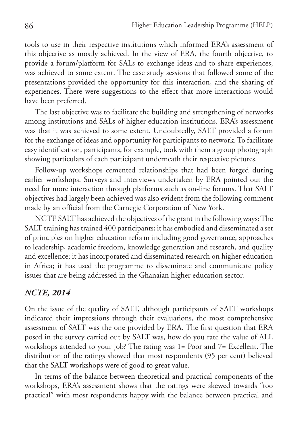tools to use in their respective institutions which informed ERA's assessment of this objective as mostly achieved. In the view of ERA, the fourth objective, to provide a forum/platform for SALs to exchange ideas and to share experiences, was achieved to some extent. The case study sessions that followed some of the presentations provided the opportunity for this interaction, and the sharing of experiences. There were suggestions to the effect that more interactions would have been preferred.

The last objective was to facilitate the building and strengthening of networks among institutions and SALs of higher education institutions. ERA's assessment was that it was achieved to some extent. Undoubtedly, SALT provided a forum for the exchange of ideas and opportunity for participants to network. To facilitate easy identification, participants, for example, took with them a group photograph showing particulars of each participant underneath their respective pictures.

Follow-up workshops cemented relationships that had been forged during earlier workshops. Surveys and interviews undertaken by ERA pointed out the need for more interaction through platforms such as on-line forums. That SALT objectives had largely been achieved was also evident from the following comment made by an official from the Carnegie Corporation of New York.

NCTE SALT has achieved the objectives of the grant in the following ways: The SALT training has trained 400 participants; it has embodied and disseminated a set of principles on higher education reform including good governance, approaches to leadership, academic freedom, knowledge generation and research, and quality and excellence; it has incorporated and disseminated research on higher education in Africa; it has used the programme to disseminate and communicate policy issues that are being addressed in the Ghanaian higher education sector.

### *NCTE, 2014*

On the issue of the quality of SALT, although participants of SALT workshops indicated their impressions through their evaluations, the most comprehensive assessment of SALT was the one provided by ERA. The first question that ERA posed in the survey carried out by SALT was, how do you rate the value of ALL workshops attended to your job? The rating was 1= Poor and 7= Excellent. The distribution of the ratings showed that most respondents (95 per cent) believed that the SALT workshops were of good to great value.

In terms of the balance between theoretical and practical components of the workshops, ERA's assessment shows that the ratings were skewed towards "too practical" with most respondents happy with the balance between practical and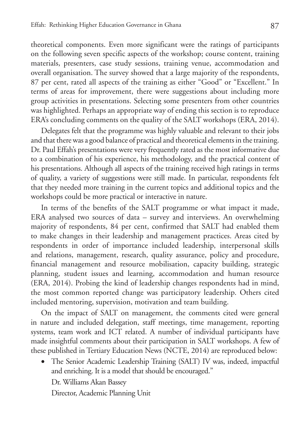theoretical components. Even more significant were the ratings of participants on the following seven specific aspects of the workshop; course content, training materials, presenters, case study sessions, training venue, accommodation and overall organisation. The survey showed that a large majority of the respondents, 87 per cent, rated all aspects of the training as either "Good" or "Excellent." In terms of areas for improvement, there were suggestions about including more group activities in presentations. Selecting some presenters from other countries was highlighted. Perhaps an appropriate way of ending this section is to reproduce ERA's concluding comments on the quality of the SALT workshops (ERA, 2014).

Delegates felt that the programme was highly valuable and relevant to their jobs and that there was a good balance of practical and theoretical elements in the training. Dr. Paul Effah's presentations were very frequently rated as the most informative due to a combination of his experience, his methodology, and the practical content of his presentations. Although all aspects of the training received high ratings in terms of quality, a variety of suggestions were still made. In particular, respondents felt that they needed more training in the current topics and additional topics and the workshops could be more practical or interactive in nature.

In terms of the benefits of the SALT programme or what impact it made, ERA analysed two sources of data – survey and interviews. An overwhelming majority of respondents, 84 per cent, confirmed that SALT had enabled them to make changes in their leadership and management practices. Areas cited by respondents in order of importance included leadership, interpersonal skills and relations, management, research, quality assurance, policy and procedure, financial management and resource mobilisation, capacity building, strategic planning, student issues and learning, accommodation and human resource (ERA, 2014). Probing the kind of leadership changes respondents had in mind, the most common reported change was participatory leadership. Others cited included mentoring, supervision, motivation and team building.

On the impact of SALT on management, the comments cited were general in nature and included delegation, staff meetings, time management, reporting systems, team work and ICT related. A number of individual participants have made insightful comments about their participation in SALT workshops. A few of these published in Tertiary Education News (NCTE, 2014) are reproduced below:

• The Senior Academic Leadership Training (SALT) IV was, indeed, impactful and enriching. It is a model that should be encouraged." Dr. Williams Akan Bassey

Director, Academic Planning Unit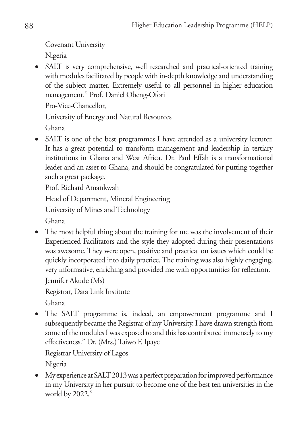Covenant University

Nigeria

• SALT is very comprehensive, well researched and practical-oriented training with modules facilitated by people with in-depth knowledge and understanding of the subject matter. Extremely useful to all personnel in higher education management." Prof. Daniel Obeng-Ofori

Pro-Vice-Chancellor,

University of Energy and Natural Resources

Ghana

• SALT is one of the best programmes I have attended as a university lecturer. It has a great potential to transform management and leadership in tertiary institutions in Ghana and West Africa. Dr. Paul Effah is a transformational leader and an asset to Ghana, and should be congratulated for putting together such a great package.

Prof. Richard Amankwah

Head of Department, Mineral Engineering

University of Mines and Technology

Ghana

• The most helpful thing about the training for me was the involvement of their Experienced Facilitators and the style they adopted during their presentations was awesome. They were open, positive and practical on issues which could be quickly incorporated into daily practice. The training was also highly engaging, very informative, enriching and provided me with opportunities for reflection. Jennifer Akude (Ms)

Registrar, Data Link Institute

Ghana

• The SALT programme is, indeed, an empowerment programme and I subsequently became the Registrar of my University. I have drawn strength from some of the modules I was exposed to and this has contributed immensely to my effectiveness." Dr. (Mrs.) Taiwo F. Ipaye

Registrar University of Lagos Nigeria

• My experience at SALT 2013 was a perfect preparation for improved performance in my University in her pursuit to become one of the best ten universities in the world by 2022."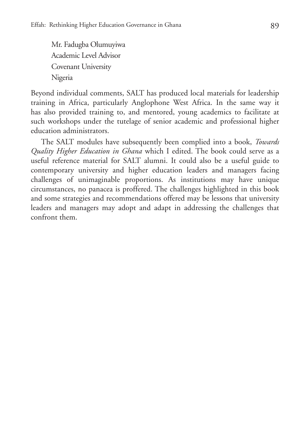Mr. Fadugba Olumuyiwa Academic Level Advisor Covenant University Nigeria

Beyond individual comments, SALT has produced local materials for leadership training in Africa, particularly Anglophone West Africa. In the same way it has also provided training to, and mentored, young academics to facilitate at such workshops under the tutelage of senior academic and professional higher education administrators.

The SALT modules have subsequently been complied into a book, *Towards Quality Higher Education in Ghana* which I edited. The book could serve as a useful reference material for SALT alumni. It could also be a useful guide to contemporary university and higher education leaders and managers facing challenges of unimaginable proportions. As institutions may have unique circumstances, no panacea is proffered. The challenges highlighted in this book and some strategies and recommendations offered may be lessons that university leaders and managers may adopt and adapt in addressing the challenges that confront them.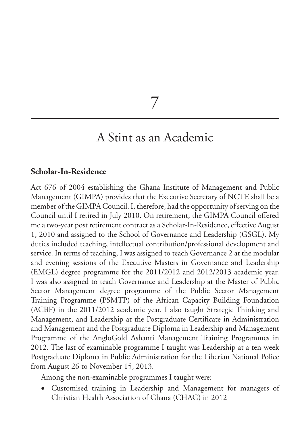7

# A Stint as an Academic

### **Scholar-In-Residence**

Act 676 of 2004 establishing the Ghana Institute of Management and Public Management (GIMPA) provides that the Executive Secretary of NCTE shall be a member of the GIMPA Council. I, therefore, had the opportunity of serving on the Council until I retired in July 2010. On retirement, the GIMPA Council offered me a two-year post retirement contract as a Scholar-In-Residence, effective August 1, 2010 and assigned to the School of Governance and Leadership (GSGL). My duties included teaching, intellectual contribution/professional development and service. In terms of teaching, I was assigned to teach Governance 2 at the modular and evening sessions of the Executive Masters in Governance and Leadership (EMGL) degree programme for the 2011/2012 and 2012/2013 academic year. I was also assigned to teach Governance and Leadership at the Master of Public Sector Management degree programme of the Public Sector Management Training Programme (PSMTP) of the African Capacity Building Foundation (ACBF) in the 2011/2012 academic year. I also taught Strategic Thinking and Management, and Leadership at the Postgraduate Certificate in Administration and Management and the Postgraduate Diploma in Leadership and Management Programme of the AngloGold Ashanti Management Training Programmes in 2012. The last of examinable programme I taught was Leadership at a ten-week Postgraduate Diploma in Public Administration for the Liberian National Police from August 26 to November 15, 2013.

Among the non-examinable programmes I taught were:

• Customised training in Leadership and Management for managers of Christian Health Association of Ghana (CHAG) in 2012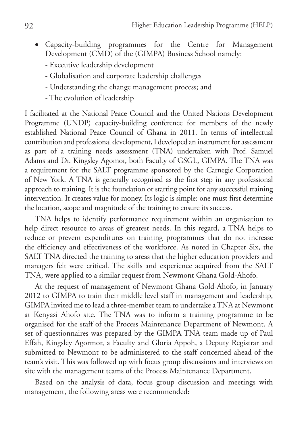- • Capacity-building programmes for the Centre for Management Development (CMD) of the (GIMPA) Business School namely:
	- Executive leadership development
	- Globalisation and corporate leadership challenges
	- Understanding the change management process; and
	- The evolution of leadership

I facilitated at the National Peace Council and the United Nations Development Programme (UNDP) capacity-building conference for members of the newly established National Peace Council of Ghana in 2011. In terms of intellectual contribution and professional development, I developed an instrument for assessment as part of a training needs assessment (TNA) undertaken with Prof. Samuel Adams and Dr. Kingsley Agomor, both Faculty of GSGL, GIMPA. The TNA was a requirement for the SALT programme sponsored by the Carnegie Corporation of New York. A TNA is generally recognised as the first step in any professional approach to training. It is the foundation or starting point for any successful training intervention. It creates value for money. Its logic is simple: one must first determine the location, scope and magnitude of the training to ensure its success.

TNA helps to identify performance requirement within an organisation to help direct resource to areas of greatest needs. In this regard, a TNA helps to reduce or prevent expenditures on training programmes that do not increase the efficiency and effectiveness of the workforce. As noted in Chapter Six, the SALT TNA directed the training to areas that the higher education providers and managers felt were critical. The skills and experience acquired from the SALT TNA, were applied to a similar request from Newmont Ghana Gold-Ahofo.

At the request of management of Newmont Ghana Gold-Ahofo, in January 2012 to GIMPA to train their middle level staff in management and leadership, GIMPA invited me to lead a three-member team to undertake a TNA at Newmont at Kenyasi Ahofo site. The TNA was to inform a training programme to be organised for the staff of the Process Maintenance Department of Newmont. A set of questionnaires was prepared by the GIMPA TNA team made up of Paul Effah, Kingsley Agormor, a Faculty and Gloria Appoh, a Deputy Registrar and submitted to Newmont to be administered to the staff concerned ahead of the team's visit. This was followed up with focus group discussions and interviews on site with the management teams of the Process Maintenance Department.

Based on the analysis of data, focus group discussion and meetings with management, the following areas were recommended: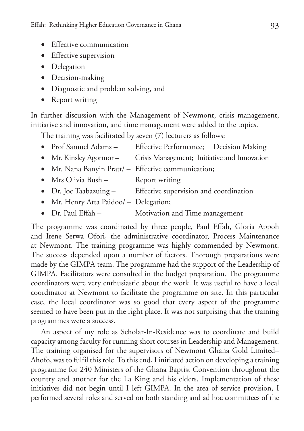- • Effective communication
- Effective supervision
- • Delegation
- Decision-making
- • Diagnostic and problem solving, and
- Report writing

In further discussion with the Management of Newmont, crisis management, initiative and innovation, and time management were added to the topics.

The training was facilitated by seven (7) lecturers as follows:

- Prof Samuel Adams Effective Performance; Decision Making
- Mr. Kinsley Agormor Crisis Management; Initiative and Innovation
- Mr. Nana Banyin Pratt/ Effective communication;
- Mrs Olivia Bush Report writing
- Dr. Joe Taabazuing Effective supervision and coordination
- Mr. Henry Atta Paidoo/ Delegation;
- Dr. Paul Effah Motivation and Time management

The programme was coordinated by three people, Paul Effah, Gloria Appoh and Irene Serwa Ofori, the administrative coordinator, Process Maintenance at Newmont. The training programme was highly commended by Newmont. The success depended upon a number of factors. Thorough preparations were made by the GIMPA team. The programme had the support of the Leadership of GIMPA. Facilitators were consulted in the budget preparation. The programme coordinators were very enthusiastic about the work. It was useful to have a local coordinator at Newmont to facilitate the programme on site. In this particular case, the local coordinator was so good that every aspect of the programme seemed to have been put in the right place. It was not surprising that the training programmes were a success.

An aspect of my role as Scholar-In-Residence was to coordinate and build capacity among faculty for running short courses in Leadership and Management. The training organised for the supervisors of Newmont Ghana Gold Limited– Ahofo, was to fulfil this role. To this end, I initiated action on developing a training programme for 240 Ministers of the Ghana Baptist Convention throughout the country and another for the La King and his elders. Implementation of these initiatives did not begin until I left GIMPA. In the area of service provision, I performed several roles and served on both standing and ad hoc committees of the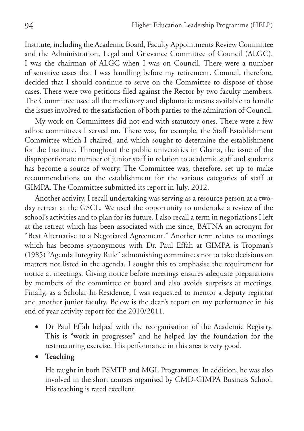Institute, including the Academic Board, Faculty Appointments Review Committee and the Administration, Legal and Grievance Committee of Council (ALGC). I was the chairman of ALGC when I was on Council. There were a number of sensitive cases that I was handling before my retirement. Council, therefore, decided that I should continue to serve on the Committee to dispose of those cases. There were two petitions filed against the Rector by two faculty members. The Committee used all the mediatory and diplomatic means available to handle the issues involved to the satisfaction of both parties to the admiration of Council.

My work on Committees did not end with statutory ones. There were a few adhoc committees I served on. There was, for example, the Staff Establishment Committee which I chaired, and which sought to determine the establishment for the Institute. Throughout the public universities in Ghana, the issue of the disproportionate number of junior staff in relation to academic staff and students has become a source of worry. The Committee was, therefore, set up to make recommendations on the establishment for the various categories of staff at GIMPA. The Committee submitted its report in July, 2012.

Another activity, I recall undertaking was serving as a resource person at a twoday retreat at the GSCL. We used the opportunity to undertake a review of the school's activities and to plan for its future. I also recall a term in negotiations I left at the retreat which has been associated with me since, BATNA an acronym for "Best Alternative to a Negotiated Agreement." Another term relates to meetings which has become synonymous with Dr. Paul Effah at GIMPA is Tropman's (1985) "Agenda Integrity Rule" admonishing committees not to take decisions on matters not listed in the agenda. I sought this to emphasise the requirement for notice at meetings. Giving notice before meetings ensures adequate preparations by members of the committee or board and also avoids surprises at meetings. Finally, as a Scholar-In-Residence, I was requested to mentor a deputy registrar and another junior faculty. Below is the dean's report on my performance in his end of year activity report for the 2010/2011.

• Dr Paul Effah helped with the reorganisation of the Academic Registry. This is "work in progresses" and he helped lay the foundation for the restructuring exercise. His performance in this area is very good.

### • **Teaching**

He taught in both PSMTP and MGL Programmes. In addition, he was also involved in the short courses organised by CMD-GIMPA Business School. His teaching is rated excellent.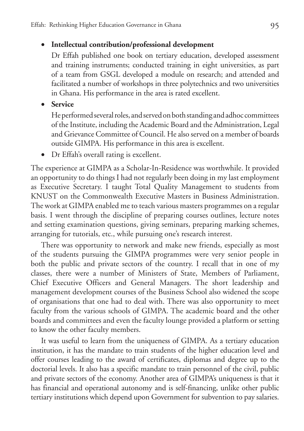# • **Intellectual contribution/professional development**

Dr Effah published one book on tertiary education, developed assessment and training instruments; conducted training in eight universities, as part of a team from GSGL developed a module on research; and attended and facilitated a number of workshops in three polytechnics and two universities in Ghana. His performance in the area is rated excellent.

• **Service**

He performed several roles, and served on both standing and adhoc committees of the Institute, including the Academic Board and the Administration, Legal and Grievance Committee of Council. He also served on a member of boards outside GIMPA. His performance in this area is excellent.

• Dr Effah's overall rating is excellent.

The experience at GIMPA as a Scholar-In-Residence was worthwhile. It provided an opportunity to do things I had not regularly been doing in my last employment as Executive Secretary. I taught Total Quality Management to students from KNUST on the Commonwealth Executive Masters in Business Administration. The work at GIMPA enabled me to teach various masters programmes on a regular basis. I went through the discipline of preparing courses outlines, lecture notes and setting examination questions, giving seminars, preparing marking schemes, arranging for tutorials, etc., while pursuing one's research interest.

There was opportunity to network and make new friends, especially as most of the students pursuing the GIMPA programmes were very senior people in both the public and private sectors of the country. I recall that in one of my classes, there were a number of Ministers of State, Members of Parliament, Chief Executive Officers and General Managers. The short leadership and management development courses of the Business School also widened the scope of organisations that one had to deal with. There was also opportunity to meet faculty from the various schools of GIMPA. The academic board and the other boards and committees and even the faculty lounge provided a platform or setting to know the other faculty members.

It was useful to learn from the uniqueness of GIMPA. As a tertiary education institution, it has the mandate to train students of the higher education level and offer courses leading to the award of certificates, diplomas and degree up to the doctorial levels. It also has a specific mandate to train personnel of the civil, public and private sectors of the economy. Another area of GIMPA's uniqueness is that it has financial and operational autonomy and is self-financing, unlike other public tertiary institutions which depend upon Government for subvention to pay salaries.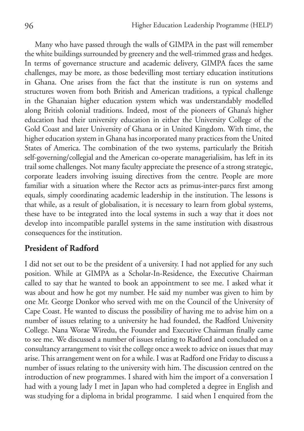Many who have passed through the walls of GIMPA in the past will remember the white buildings surrounded by greenery and the well-trimmed grass and hedges. In terms of governance structure and academic delivery, GIMPA faces the same challenges, may be more, as those bedevilling most tertiary education institutions in Ghana. One arises from the fact that the institute is run on systems and structures woven from both British and American traditions, a typical challenge in the Ghanaian higher education system which was understandably modelled along British colonial traditions. Indeed, most of the pioneers of Ghana's higher education had their university education in either the University College of the Gold Coast and later University of Ghana or in United Kingdom. With time, the higher education system in Ghana has incorporated many practices from the United States of America. The combination of the two systems, particularly the British self-governing/collegial and the American co-operate managerialisim, has left in its trail some challenges. Not many faculty appreciate the presence of a strong strategic, corporate leaders involving issuing directives from the centre. People are more familiar with a situation where the Rector acts as primus-inter-parcs first among equals, simply coordinating academic leadership in the institution. The lessons is that while, as a result of globalisation, it is necessary to learn from global systems, these have to be integrated into the local systems in such a way that it does not develop into incompatible parallel systems in the same institution with disastrous consequences for the institution.

## **President of Radford**

I did not set out to be the president of a university. I had not applied for any such position. While at GIMPA as a Scholar-In-Residence, the Executive Chairman called to say that he wanted to book an appointment to see me. I asked what it was about and how he got my number. He said my number was given to him by one Mr. George Donkor who served with me on the Council of the University of Cape Coast. He wanted to discuss the possibility of having me to advise him on a number of issues relating to a university he had founded, the Radford University College. Nana Worae Wiredu, the Founder and Executive Chairman finally came to see me. We discussed a number of issues relating to Radford and concluded on a consultancy arrangement to visit the college once a week to advice on issues that may arise. This arrangement went on for a while. I was at Radford one Friday to discuss a number of issues relating to the university with him. The discussion centred on the introduction of new programmes. I shared with him the import of a conversation I had with a young lady I met in Japan who had completed a degree in English and was studying for a diploma in bridal programme. I said when I enquired from the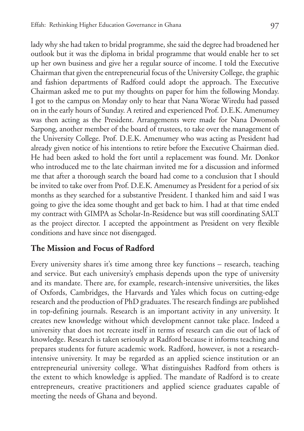lady why she had taken to bridal programme, she said the degree had broadened her outlook but it was the diploma in bridal programme that would enable her to set up her own business and give her a regular source of income. I told the Executive Chairman that given the entrepreneurial focus of the University College, the graphic and fashion departments of Radford could adopt the approach. The Executive Chairman asked me to put my thoughts on paper for him the following Monday. I got to the campus on Monday only to hear that Nana Worae Wiredu had passed on in the early hours of Sunday. A retired and experienced Prof. D.E.K. Amenumey was then acting as the President. Arrangements were made for Nana Dwomoh Sarpong, another member of the board of trustees, to take over the management of the University College. Prof. D.E.K. Amenumey who was acting as President had already given notice of his intentions to retire before the Executive Chairman died. He had been asked to hold the fort until a replacement was found. Mr. Donkor who introduced me to the late chairman invited me for a discussion and informed me that after a thorough search the board had come to a conclusion that I should be invited to take over from Prof. D.E.K. Amenumey as President for a period of six months as they searched for a substantive President. I thanked him and said I was going to give the idea some thought and get back to him. I had at that time ended my contract with GIMPA as Scholar-In-Residence but was still coordinating SALT as the project director. I accepted the appointment as President on very flexible conditions and have since not disengaged.

# **The Mission and Focus of Radford**

Every university shares it's time among three key functions – research, teaching and service. But each university's emphasis depends upon the type of university and its mandate. There are, for example, research-intensive universities, the likes of Oxfords, Cambridges, the Harvards and Yales which focus on cutting-edge research and the production of PhD graduates. The research findings are published in top-defining journals. Research is an important activity in any university. It creates new knowledge without which development cannot take place. Indeed a university that does not recreate itself in terms of research can die out of lack of knowledge. Research is taken seriously at Radford because it informs teaching and prepares students for future academic work. Radford, however, is not a researchintensive university. It may be regarded as an applied science institution or an entrepreneurial university college. What distinguishes Radford from others is the extent to which knowledge is applied. The mandate of Radford is to create entrepreneurs, creative practitioners and applied science graduates capable of meeting the needs of Ghana and beyond.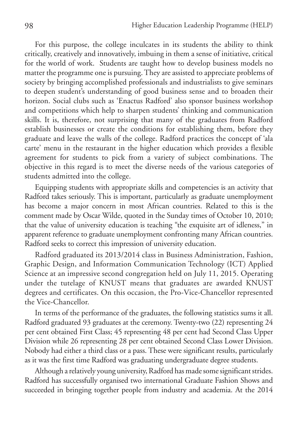For this purpose, the college inculcates in its students the ability to think critically, creatively and innovatively, imbuing in them a sense of initiative, critical for the world of work. Students are taught how to develop business models no matter the programme one is pursuing. They are assisted to appreciate problems of society by bringing accomplished professionals and industrialists to give seminars to deepen student's understanding of good business sense and to broaden their horizon. Social clubs such as 'Enactus Radford' also sponsor business workshop and competitions which help to sharpen students' thinking and communication skills. It is, therefore, not surprising that many of the graduates from Radford establish businesses or create the conditions for establishing them, before they graduate and leave the walls of the college. Radford practices the concept of 'ala carte' menu in the restaurant in the higher education which provides a flexible agreement for students to pick from a variety of subject combinations. The objective in this regard is to meet the diverse needs of the various categories of students admitted into the college.

Equipping students with appropriate skills and competencies is an activity that Radford takes seriously. This is important, particularly as graduate unemployment has become a major concern in most African countries. Related to this is the comment made by Oscar Wilde, quoted in the Sunday times of October 10, 2010; that the value of university education is teaching "the exquisite art of idleness," in apparent reference to graduate unemployment confronting many African countries. Radford seeks to correct this impression of university education.

Radford graduated its 2013/2014 class in Business Administration, Fashion, Graphic Design, and Information Communication Technology (ICT) Applied Science at an impressive second congregation held on July 11, 2015. Operating under the tutelage of KNUST means that graduates are awarded KNUST degrees and certificates. On this occasion, the Pro-Vice-Chancellor represented the Vice-Chancellor.

In terms of the performance of the graduates, the following statistics sums it all. Radford graduated 93 graduates at the ceremony. Twenty-two (22) representing 24 per cent obtained First Class; 45 representing 48 per cent had Second Class Upper Division while 26 representing 28 per cent obtained Second Class Lower Division. Nobody had either a third class or a pass. These were significant results, particularly as it was the first time Radford was graduating undergraduate degree students.

Although a relatively young university, Radford has made some significant strides. Radford has successfully organised two international Graduate Fashion Shows and succeeded in bringing together people from industry and academia. At the 2014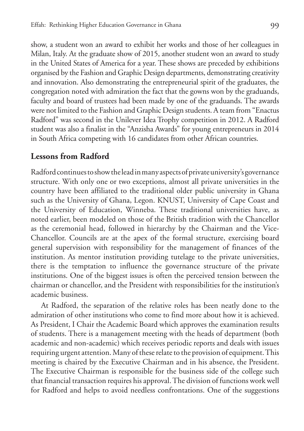show, a student won an award to exhibit her works and those of her colleagues in Milan, Italy. At the graduate show of 2015, another student won an award to study in the United States of America for a year. These shows are preceded by exhibitions organised by the Fashion and Graphic Design departments, demonstrating creativity and innovation. Also demonstrating the entrepreneurial spirit of the graduates, the congregation noted with admiration the fact that the gowns won by the graduands, faculty and board of trustees had been made by one of the graduands. The awards were not limited to the Fashion and Graphic Design students. A team from "Enactus Radford" was second in the Unilever Idea Trophy competition in 2012. A Radford student was also a finalist in the "Anzisha Awards" for young entrepreneurs in 2014 in South Africa competing with 16 candidates from other African countries.

# **Lessons from Radford**

Radford continues to show the lead in many aspects of private university's governance structure. With only one or two exceptions, almost all private universities in the country have been affiliated to the traditional older public university in Ghana such as the University of Ghana, Legon. KNUST, University of Cape Coast and the University of Education, Winneba. These traditional universities have, as noted earlier, been modeled on those of the British tradition with the Chancellor as the ceremonial head, followed in hierarchy by the Chairman and the Vice-Chancellor. Councils are at the apex of the formal structure, exercising board general supervision with responsibility for the management of finances of the institution. As mentor institution providing tutelage to the private universities, there is the temptation to influence the governance structure of the private institutions. One of the biggest issues is often the perceived tension between the chairman or chancellor, and the President with responsibilities for the institution's academic business.

At Radford, the separation of the relative roles has been neatly done to the admiration of other institutions who come to find more about how it is achieved. As President, I Chair the Academic Board which approves the examination results of students. There is a management meeting with the heads of department (both academic and non-academic) which receives periodic reports and deals with issues requiring urgent attention. Many of these relate to the provision of equipment. This meeting is chaired by the Executive Chairman and in his absence, the President. The Executive Chairman is responsible for the business side of the college such that financial transaction requires his approval. The division of functions work well for Radford and helps to avoid needless confrontations. One of the suggestions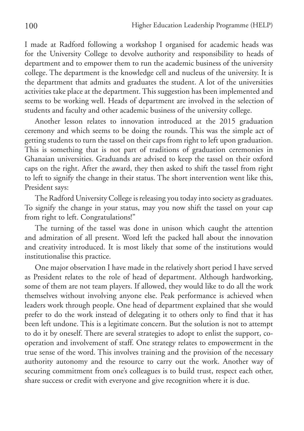I made at Radford following a workshop I organised for academic heads was for the University College to devolve authority and responsibility to heads of department and to empower them to run the academic business of the university college. The department is the knowledge cell and nucleus of the university. It is the department that admits and graduates the student. A lot of the universities activities take place at the department. This suggestion has been implemented and seems to be working well. Heads of department are involved in the selection of students and faculty and other academic business of the university college.

Another lesson relates to innovation introduced at the 2015 graduation ceremony and which seems to be doing the rounds. This was the simple act of getting students to turn the tassel on their caps from right to left upon graduation. This is something that is not part of traditions of graduation ceremonies in Ghanaian universities. Graduands are advised to keep the tassel on their oxford caps on the right. After the award, they then asked to shift the tassel from right to left to signify the change in their status. The short intervention went like this, President says:

The Radford University College is releasing you today into society as graduates. To signify the change in your status, may you now shift the tassel on your cap from right to left. Congratulations!"

The turning of the tassel was done in unison which caught the attention and admiration of all present. Word left the packed hall about the innovation and creativity introduced. It is most likely that some of the institutions would institutionalise this practice.

One major observation I have made in the relatively short period I have served as President relates to the role of head of department. Although hardworking, some of them are not team players. If allowed, they would like to do all the work themselves without involving anyone else. Peak performance is achieved when leaders work through people. One head of department explained that she would prefer to do the work instead of delegating it to others only to find that it has been left undone. This is a legitimate concern. But the solution is not to attempt to do it by oneself. There are several strategies to adopt to enlist the support, cooperation and involvement of staff. One strategy relates to empowerment in the true sense of the word. This involves training and the provision of the necessary authority autonomy and the resource to carry out the work. Another way of securing commitment from one's colleagues is to build trust, respect each other, share success or credit with everyone and give recognition where it is due.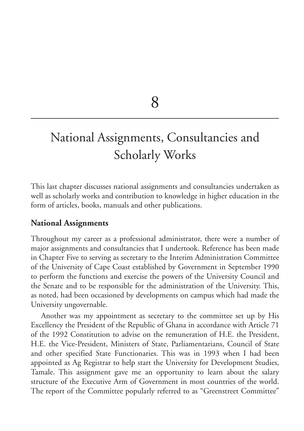8

# National Assignments, Consultancies and Scholarly Works

This last chapter discusses national assignments and consultancies undertaken as well as scholarly works and contribution to knowledge in higher education in the form of articles, books, manuals and other publications.

## **National Assignments**

Throughout my career as a professional administrator, there were a number of major assignments and consultancies that I undertook. Reference has been made in Chapter Five to serving as secretary to the Interim Administration Committee of the University of Cape Coast established by Government in September 1990 to perform the functions and exercise the powers of the University Council and the Senate and to be responsible for the administration of the University. This, as noted, had been occasioned by developments on campus which had made the University ungovernable.

Another was my appointment as secretary to the committee set up by His Excellency the President of the Republic of Ghana in accordance with Article 71 of the 1992 Constitution to advise on the remuneration of H.E. the President, H.E. the Vice-President, Ministers of State, Parliamentarians, Council of State and other specified State Functionaries. This was in 1993 when I had been appointed as Ag Registrar to help start the University for Development Studies, Tamale. This assignment gave me an opportunity to learn about the salary structure of the Executive Arm of Government in most countries of the world. The report of the Committee popularly referred to as "Greenstreet Committee"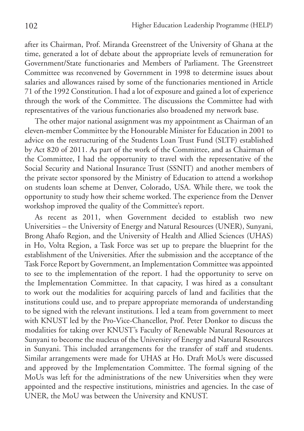after its Chairman, Prof. Miranda Greenstreet of the University of Ghana at the time, generated a lot of debate about the appropriate levels of remuneration for Government/State functionaries and Members of Parliament. The Greenstreet Committee was reconvened by Government in 1998 to determine issues about salaries and allowances raised by some of the functionaries mentioned in Article 71 of the 1992 Constitution. I had a lot of exposure and gained a lot of experience through the work of the Committee. The discussions the Committee had with representatives of the various functionaries also broadened my network base.

The other major national assignment was my appointment as Chairman of an eleven-member Committee by the Honourable Minister for Education in 2001 to advice on the restructuring of the Students Loan Trust Fund (SLTF) established by Act 820 of 2011. As part of the work of the Committee, and as Chairman of the Committee, I had the opportunity to travel with the representative of the Social Security and National Insurance Trust (SSNIT) and another members of the private sector sponsored by the Ministry of Education to attend a workshop on students loan scheme at Denver, Colorado, USA. While there, we took the opportunity to study how their scheme worked. The experience from the Denver workshop improved the quality of the Committee's report.

As recent as 2011, when Government decided to establish two new Universities – the University of Energy and Natural Resources (UNER), Sunyani, Brong Ahafo Region, and the University of Health and Allied Sciences (UHAS) in Ho, Volta Region, a Task Force was set up to prepare the blueprint for the establishment of the Universities. After the submission and the acceptance of the Task Force Report by Government, an Implementation Committee was appointed to see to the implementation of the report. I had the opportunity to serve on the Implementation Committee. In that capacity, I was hired as a consultant to work out the modalities for acquiring parcels of land and facilities that the institutions could use, and to prepare appropriate memoranda of understanding to be signed with the relevant institutions. I led a team from government to meet with KNUST led by the Pro-Vice-Chancellor, Prof. Peter Donkor to discuss the modalities for taking over KNUST's Faculty of Renewable Natural Resources at Sunyani to become the nucleus of the University of Energy and Natural Resources in Sunyani. This included arrangements for the transfer of staff and students. Similar arrangements were made for UHAS at Ho. Draft MoUs were discussed and approved by the Implementation Committee. The formal signing of the MoUs was left for the administrations of the new Universities when they were appointed and the respective institutions, ministries and agencies. In the case of UNER, the MoU was between the University and KNUST.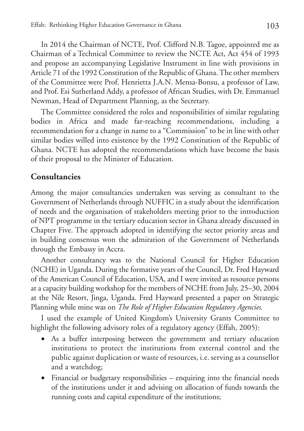In 2014 the Chairman of NCTE, Prof. Clifford N.B. Tagoe, appointed me as Chairman of a Technical Committee to review the NCTE Act, Act 454 of 1993 and propose an accompanying Legislative Instrument in line with provisions in Article 71 of the 1992 Constitution of the Republic of Ghana. The other members of the Committee were Prof. Henrietta J.A.N. Mensa-Bonsu, a professor of Law, and Prof. Esi Sutherland Addy, a professor of African Studies, with Dr. Emmanuel Newman, Head of Department Planning, as the Secretary.

The Committee considered the roles and responsibilities of similar regulating bodies in Africa and made far-reaching recommendations, including a recommendation for a change in name to a "Commission" to be in line with other similar bodies willed into existence by the 1992 Constitution of the Republic of Ghana. NCTE has adopted the recommendations which have become the basis of their proposal to the Minister of Education.

# **Consultancies**

Among the major consultancies undertaken was serving as consultant to the Government of Netherlands through NUFFIC in a study about the identification of needs and the organisation of stakeholders meeting prior to the introduction of NPT programme in the tertiary education sector in Ghana already discussed in Chapter Five. The approach adopted in identifying the sector priority areas and in building consensus won the admiration of the Government of Netherlands through the Embassy in Accra.

Another consultancy was to the National Council for Higher Education (NCHE) in Uganda. During the formative years of the Council, Dr. Fred Hayward of the American Council of Education, USA, and I were invited as resource persons at a capacity building workshop for the members of NCHE from July, 25–30, 2004 at the Nile Resort, Jinga, Uganda. Fred Hayward presented a paper on Strategic Planning while mine was on *The Role of Higher Education Regulatory Agencies.*

I used the example of United Kingdom's University Grants Committee to highlight the following advisory roles of a regulatory agency (Effah, 2005):

- As a buffer interposing between the government and tertiary education institutions to protect the institutions from external control and the public against duplication or waste of resources, i.e. serving as a counsellor and a watchdog;
- • Financial or budgetary responsibilities enquiring into the financial needs of the institutions under it and advising on allocation of funds towards the running costs and capital expenditure of the institutions;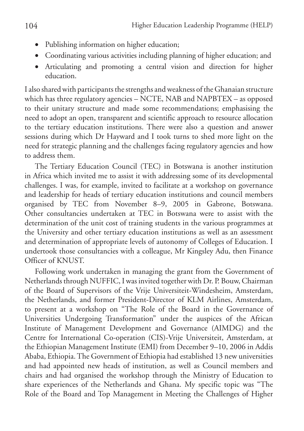- - • Publishing information on higher education;
	- • Coordinating various activities including planning of higher education; and
	- Articulating and promoting a central vision and direction for higher education.

I also shared with participants the strengths and weakness of the Ghanaian structure which has three regulatory agencies – NCTE, NAB and NAPBTEX – as opposed to their unitary structure and made some recommendations; emphasising the need to adopt an open, transparent and scientific approach to resource allocation to the tertiary education institutions. There were also a question and answer sessions during which Dr Hayward and I took turns to shed more light on the need for strategic planning and the challenges facing regulatory agencies and how to address them.

The Tertiary Education Council (TEC) in Botswana is another institution in Africa which invited me to assist it with addressing some of its developmental challenges. I was, for example, invited to facilitate at a workshop on governance and leadership for heads of tertiary education institutions and council members organised by TEC from November 8–9, 2005 in Gabrone, Botswana. Other consultancies undertaken at TEC in Botswana were to assist with the determination of the unit cost of training students in the various programmes at the University and other tertiary education institutions as well as an assessment and determination of appropriate levels of autonomy of Colleges of Education. I undertook those consultancies with a colleague, Mr Kingsley Adu, then Finance Officer of KNUST.

Following work undertaken in managing the grant from the Government of Netherlands through NUFFIC, I was invited together with Dr. P. Bouw, Chairman of the Board of Supervisors of the Vrije Universiteit-Windesheim, Amsterdam, the Netherlands, and former President-Director of KLM Airlines, Amsterdam, to present at a workshop on "The Role of the Board in the Governance of Universities Undergoing Transformation" under the auspices of the African Institute of Management Development and Governance (AIMDG) and the Centre for International Co-operation (CIS)-Vrije Universiteit, Amsterdam, at the Ethiopian Management Institute (EMI) from December 9–10, 2006 in Addis Ababa, Ethiopia. The Government of Ethiopia had established 13 new universities and had appointed new heads of institution, as well as Council members and chairs and had organised the workshop through the Ministry of Education to share experiences of the Netherlands and Ghana. My specific topic was "The Role of the Board and Top Management in Meeting the Challenges of Higher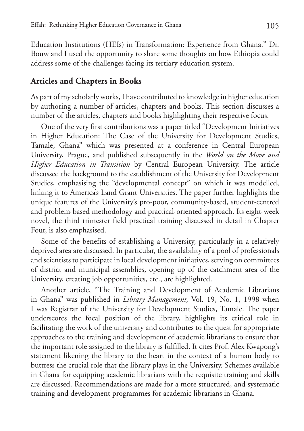Education Institutions (HEIs) in Transformation: Experience from Ghana." Dr. Bouw and I used the opportunity to share some thoughts on how Ethiopia could address some of the challenges facing its tertiary education system.

# **Articles and Chapters in Books**

As part of my scholarly works, I have contributed to knowledge in higher education by authoring a number of articles, chapters and books. This section discusses a number of the articles, chapters and books highlighting their respective focus.

One of the very first contributions was a paper titled "Development Initiatives in Higher Education: The Case of the University for Development Studies, Tamale, Ghana" which was presented at a conference in Central European University, Prague, and published subsequently in the *World on the Move and Higher Education in Transition* by Central European University. The article discussed the background to the establishment of the University for Development Studies, emphasising the "developmental concept" on which it was modelled, linking it to America's Land Grant Universities. The paper further highlights the unique features of the University's pro-poor, community-based, student-centred and problem-based methodology and practical-oriented approach. Its eight-week novel, the third trimester field practical training discussed in detail in Chapter Four, is also emphasised.

Some of the benefits of establishing a University, particularly in a relatively deprived area are discussed. In particular, the availability of a pool of professionals and scientists to participate in local development initiatives, serving on committees of district and municipal assemblies, opening up of the catchment area of the University, creating job opportunities, etc., are highlighted.

Another article, "The Training and Development of Academic Librarians in Ghana" was published in *Library Management,* Vol. 19, No. 1, 1998 when I was Registrar of the University for Development Studies, Tamale. The paper underscores the focal position of the library, highlights its critical role in facilitating the work of the university and contributes to the quest for appropriate approaches to the training and development of academic librarians to ensure that the important role assigned to the library is fulfilled. It cites Prof. Alex Kwapong's statement likening the library to the heart in the context of a human body to buttress the crucial role that the library plays in the University. Schemes available in Ghana for equipping academic librarians with the requisite training and skills are discussed. Recommendations are made for a more structured, and systematic training and development programmes for academic librarians in Ghana.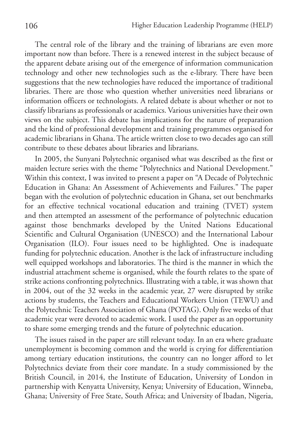The central role of the library and the training of librarians are even more important now than before. There is a renewed interest in the subject because of the apparent debate arising out of the emergence of information communication technology and other new technologies such as the e-library. There have been suggestions that the new technologies have reduced the importance of traditional libraries. There are those who question whether universities need librarians or information officers or technologists. A related debate is about whether or not to classify librarians as professionals or academics. Various universities have their own views on the subject. This debate has implications for the nature of preparation and the kind of professional development and training programmes organised for academic librarians in Ghana. The article written close to two decades ago can still contribute to these debates about libraries and librarians.

In 2005, the Sunyani Polytechnic organised what was described as the first or maiden lecture series with the theme "Polytechnics and National Development." Within this context, I was invited to present a paper on "A Decade of Polytechnic Education in Ghana: An Assessment of Achievements and Failures." The paper began with the evolution of polytechnic education in Ghana, set out benchmarks for an effective technical vocational education and training (TVET) system and then attempted an assessment of the performance of polytechnic education against those benchmarks developed by the United Nations Educational Scientific and Cultural Organisation (UNESCO) and the International Labour Organisation (ILO). Four issues need to be highlighted. One is inadequate funding for polytechnic education. Another is the lack of infrastructure including well equipped workshops and laboratories. The third is the manner in which the industrial attachment scheme is organised, while the fourth relates to the spate of strike actions confronting polytechnics. Illustrating with a table, it was shown that in 2004, out of the 32 weeks in the academic year, 27 were disrupted by strike actions by students, the Teachers and Educational Workers Union (TEWU) and the Polytechnic Teachers Association of Ghana (POTAG). Only five weeks of that academic year were devoted to academic work. I used the paper as an opportunity to share some emerging trends and the future of polytechnic education.

The issues raised in the paper are still relevant today. In an era where graduate unemployment is becoming common and the world is crying for differentiation among tertiary education institutions, the country can no longer afford to let Polytechnics deviate from their core mandate. In a study commissioned by the British Council, in 2014, the Institute of Education, University of London in partnership with Kenyatta University, Kenya; University of Education, Winneba, Ghana; University of Free State, South Africa; and University of Ibadan, Nigeria,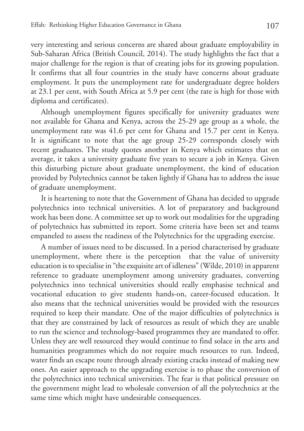very interesting and serious concerns are shared about graduate employability in Sub-Saharan Africa (British Council, 2014). The study highlights the fact that a major challenge for the region is that of creating jobs for its growing population. It confirms that all four countries in the study have concerns about graduate employment. It puts the unemployment rate for undergraduate degree holders at 23.1 per cent, with South Africa at 5.9 per cent (the rate is high for those with diploma and certificates).

Although unemployment figures specifically for university graduates were not available for Ghana and Kenya, across the 25-29 age group as a whole, the unemployment rate was 41.6 per cent for Ghana and 15.7 per cent in Kenya. It is significant to note that the age group 25-29 corresponds closely with recent graduates. The study quotes another in Kenya which estimates that on average, it takes a university graduate five years to secure a job in Kenya. Given this disturbing picture about graduate unemployment, the kind of education provided by Polytechnics cannot be taken lightly if Ghana has to address the issue of graduate unemployment.

It is heartening to note that the Government of Ghana has decided to upgrade polytechnics into technical universities. A lot of preparatory and background work has been done. A committee set up to work out modalities for the upgrading of polytechnics has submitted its report. Some criteria have been set and teams empaneled to assess the readiness of the Polytechnics for the upgrading exercise.

A number of issues need to be discussed. In a period characterised by graduate unemployment, where there is the perception that the value of university education is to specialise in "the exquisite art of idleness" (Wilde, 2010) in apparent reference to graduate unemployment among university graduates, converting polytechnics into technical universities should really emphasise technical and vocational education to give students hands-on, career-focused education. It also means that the technical universities would be provided with the resources required to keep their mandate. One of the major difficulties of polytechnics is that they are constrained by lack of resources as result of which they are unable to run the science and technology-based programmes they are mandated to offer. Unless they are well resourced they would continue to find solace in the arts and humanities programmes which do not require much resources to run. Indeed, water finds an escape route through already existing cracks instead of making new ones. An easier approach to the upgrading exercise is to phase the conversion of the polytechnics into technical universities. The fear is that political pressure on the government might lead to wholesale conversion of all the polytechnics at the same time which might have undesirable consequences.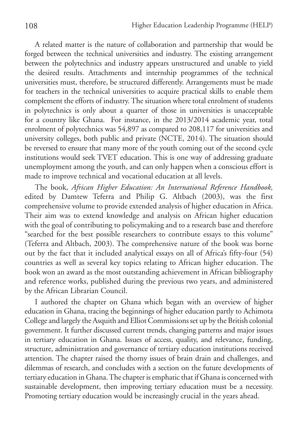A related matter is the nature of collaboration and partnership that would be forged between the technical universities and industry. The existing arrangement between the polytechnics and industry appears unstructured and unable to yield the desired results. Attachments and internship programmes of the technical universities must, therefore, be structured differently. Arrangements must be made for teachers in the technical universities to acquire practical skills to enable them complement the efforts of industry. The situation where total enrolment of students in polytechnics is only about a quarter of those in universities is unacceptable for a country like Ghana. For instance, in the 2013/2014 academic year, total enrolment of polytechnics was 54,897 as compared to 208,117 for universities and university colleges, both public and private (NCTE, 2014). The situation should be reversed to ensure that many more of the youth coming out of the second cycle institutions would seek TVET education. This is one way of addressing graduate unemployment among the youth, and can only happen when a conscious effort is made to improve technical and vocational education at all levels.

The book, *African Higher Education: An International Reference Handbook,* edited by Damtew Teferra and Philip G. Altbach (2003), was the first comprehensive volume to provide extended analysis of higher education in Africa. Their aim was to extend knowledge and analysis on African higher education with the goal of contributing to policymaking and to a research base and therefore "searched for the best possible researchers to contribute essays to this volume" (Teferra and Altbach, 2003). The comprehensive nature of the book was borne out by the fact that it included analytical essays on all of Africa's fifty-four (54) countries as well as several key topics relating to African higher education. The book won an award as the most outstanding achievement in African bibliography and reference works, published during the previous two years, and administered by the African Librarian Council.

I authored the chapter on Ghana which began with an overview of higher education in Ghana, tracing the beginnings of higher education partly to Achimota College and largely the Asquith and Elliot Commissions set up by the British colonial government. It further discussed current trends, changing patterns and major issues in tertiary education in Ghana. Issues of access, quality, and relevance, funding, structure, administration and governance of tertiary education institutions received attention. The chapter raised the thorny issues of brain drain and challenges, and dilemmas of research, and concludes with a section on the future developments of tertiary education in Ghana. The chapter is emphatic that if Ghana is concerned with sustainable development, then improving tertiary education must be a necessity. Promoting tertiary education would be increasingly crucial in the years ahead.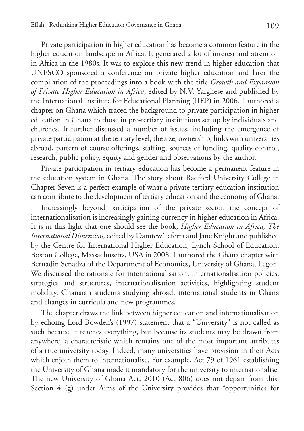Private participation in higher education has become a common feature in the higher education landscape in Africa. It generated a lot of interest and attention in Africa in the 1980s. It was to explore this new trend in higher education that UNESCO sponsored a conference on private higher education and later the compilation of the proceedings into a book with the title *Growth and Expansion of Private Higher Education in Africa*, edited by N.V. Yarghese and published by the International Institute for Educational Planning (IIEP) in 2006. I authored a chapter on Ghana which traced the background to private participation in higher education in Ghana to those in pre-tertiary institutions set up by individuals and churches. It further discussed a number of issues, including the emergence of private participation at the tertiary level, the size, ownership, links with universities abroad, pattern of course offerings, staffing, sources of funding, quality control, research, public policy, equity and gender and observations by the author.

Private participation in tertiary education has become a permanent feature in the education system in Ghana. The story about Radford University College in Chapter Seven is a perfect example of what a private tertiary education institution can contribute to the development of tertiary education and the economy of Ghana.

Increasingly beyond participation of the private sector, the concept of internationalisation is increasingly gaining currency in higher education in Africa. It is in this light that one should see the book, *Higher Education in Africa; The International Dimension,* edited by Damtew Teferra and Jane Knight and published by the Centre for International Higher Education, Lynch School of Education, Boston College, Massachusetts, USA in 2008. I authored the Ghana chapter with Bernadin Senadza of the Department of Economics, University of Ghana, Legon. We discussed the rationale for internationalisation, internationalisation policies, strategies and structures, internationalisation activities, highlighting student mobility, Ghanaian students studying abroad, international students in Ghana and changes in curricula and new programmes.

The chapter draws the link between higher education and internationalisation by echoing Lord Bowden's (1997) statement that a "University" is not called as such because it teaches everything, but because its students may be drawn from anywhere, a characteristic which remains one of the most important attributes of a true university today. Indeed, many universities have provision in their Acts which enjoin them to internationalise. For example, Act 79 of 1961 establishing the University of Ghana made it mandatory for the university to internationalise. The new University of Ghana Act, 2010 (Act 806) does not depart from this. Section 4 (g) under Aims of the University provides that "opportunities for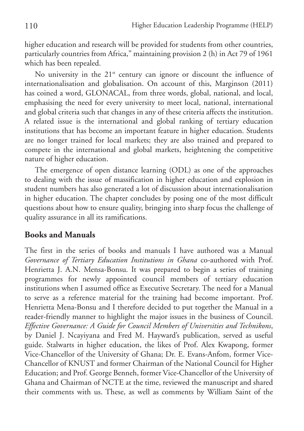higher education and research will be provided for students from other countries, particularly countries from Africa," maintaining provision 2 (h) in Act 79 of 1961 which has been repealed.

No university in the  $21<sup>st</sup>$  century can ignore or discount the influence of internationalisation and globalisation. On account of this, Marginson (2011) has coined a word, GLONACAL, from three words, global, national, and local, emphasising the need for every university to meet local, national, international and global criteria such that changes in any of these criteria affects the institution. A related issue is the international and global ranking of tertiary education institutions that has become an important feature in higher education. Students are no longer trained for local markets; they are also trained and prepared to compete in the international and global markets, heightening the competitive nature of higher education.

The emergence of open distance learning (ODL) as one of the approaches to dealing with the issue of massification in higher education and explosion in student numbers has also generated a lot of discussion about internationalisation in higher education. The chapter concludes by posing one of the most difficult questions about how to ensure quality, bringing into sharp focus the challenge of quality assurance in all its ramifications.

## **Books and Manuals**

The first in the series of books and manuals I have authored was a Manual *Governance of Tertiary Education Institutions in Ghana* co-authored with Prof. Henrietta J. A.N. Mensa-Bonsu. It was prepared to begin a series of training programmes for newly appointed council members of tertiary education institutions when I assumed office as Executive Secretary. The need for a Manual to serve as a reference material for the training had become important. Prof. Henrietta Mena-Bonsu and I therefore decided to put together the Manual in a reader-friendly manner to highlight the major issues in the business of Council. *Effective Governance: A Guide for Council Members of Universities and Technikons*, by Daniel J. Ncayiyana and Fred M. Hayward's publication, served as useful guide. Stalwarts in higher education, the likes of Prof. Alex Kwapong, former Vice-Chancellor of the University of Ghana; Dr. E. Evans-Anfom, former Vice-Chancellor of KNUST and former Chairman of the National Council for Higher Education; and Prof. George Benneh, former Vice-Chancellor of the University of Ghana and Chairman of NCTE at the time, reviewed the manuscript and shared their comments with us. These, as well as comments by William Saint of the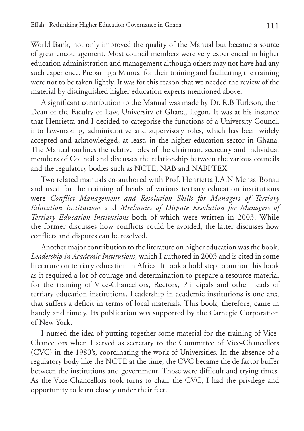World Bank, not only improved the quality of the Manual but became a source of great encouragement. Most council members were very experienced in higher education administration and management although others may not have had any such experience. Preparing a Manual for their training and facilitating the training were not to be taken lightly. It was for this reason that we needed the review of the material by distinguished higher education experts mentioned above.

A significant contribution to the Manual was made by Dr. R.B Turkson, then Dean of the Faculty of Law, University of Ghana, Legon. It was at his instance that Henrietta and I decided to categorise the functions of a University Council into law-making, administrative and supervisory roles, which has been widely accepted and acknowledged, at least, in the higher education sector in Ghana. The Manual outlines the relative roles of the chairman, secretary and individual members of Council and discusses the relationship between the various councils and the regulatory bodies such as NCTE, NAB and NABPTEX.

Two related manuals co-authored with Prof. Henrietta J.A.N Mensa-Bonsu and used for the training of heads of various tertiary education institutions were *Conflict Management and Resolution Skills for Managers of Tertiary Education Institutions* and *Mechanics of Dispute Resolution for Managers of Tertiary Education Institutions* both of which were written in 2003. While the former discusses how conflicts could be avoided, the latter discusses how conflicts and disputes can be resolved.

Another major contribution to the literature on higher education was the book, *Leadership in Academic Institutions*, which I authored in 2003 and is cited in some literature on tertiary education in Africa. It took a bold step to author this book as it required a lot of courage and determination to prepare a resource material for the training of Vice-Chancellors, Rectors, Principals and other heads of tertiary education institutions. Leadership in academic institutions is one area that suffers a deficit in terms of local materials. This book, therefore, came in handy and timely. Its publication was supported by the Carnegie Corporation of New York.

I nursed the idea of putting together some material for the training of Vice-Chancellors when I served as secretary to the Committee of Vice-Chancellors (CVC) in the 1980's, coordinating the work of Universities. In the absence of a regulatory body like the NCTE at the time, the CVC became the de factor buffer between the institutions and government. Those were difficult and trying times. As the Vice-Chancellors took turns to chair the CVC, I had the privilege and opportunity to learn closely under their feet.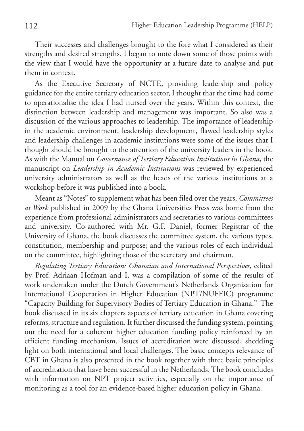Their successes and challenges brought to the fore what I considered as their strengths and desired strengths. I began to note down some of those points with the view that I would have the opportunity at a future date to analyse and put them in context.

As the Executive Secretary of NCTE, providing leadership and policy guidance for the entire tertiary education sector, I thought that the time had come to operationalise the idea I had nursed over the years. Within this context, the distinction between leadership and management was important. So also was a discussion of the various approaches to leadership. The importance of leadership in the academic environment, leadership development, flawed leadership styles and leadership challenges in academic institutions were some of the issues that I thought should be brought to the attention of the university leaders in the book. As with the Manual on *Governance of Tertiary Education Institutions in Ghana*, the manuscript on *Leadership in Academic Institutions* was reviewed by experienced university administrators as well as the heads of the various institutions at a workshop before it was published into a book.

Meant as "Notes" to supplement what has been filed over the years, *Committees at Work* published in 2009 by the Ghana Universities Press was borne from the experience from professional administrators and secretaries to various committees and university. Co-authored with Mr. G.F. Daniel, former Registrar of the University of Ghana, the book discusses the committee system, the various types, constitution, membership and purpose; and the various roles of each individual on the committee, highlighting those of the secretary and chairman.

*Regulating Tertiary Education: Ghanaian and International Perspectives*, edited by Prof. Adriaan Hofman and I, was a compilation of some of the results of work undertaken under the Dutch Government's Netherlands Organisation for International Cooperation in Higher Education (NPT/NUFFIC) programme "Capacity Building for Supervisory Bodies of Tertiary Education in Ghana." The book discussed in its six chapters aspects of tertiary education in Ghana covering reforms, structure and regulation. It further discussed the funding system, pointing out the need for a coherent higher education funding policy reinforced by an efficient funding mechanism. Issues of accreditation were discussed, shedding light on both international and local challenges. The basic concepts relevance of CBT in Ghana is also presented in the book together with three basic principles of accreditation that have been successful in the Netherlands. The book concludes with information on NPT project activities, especially on the importance of monitoring as a tool for an evidence-based higher education policy in Ghana.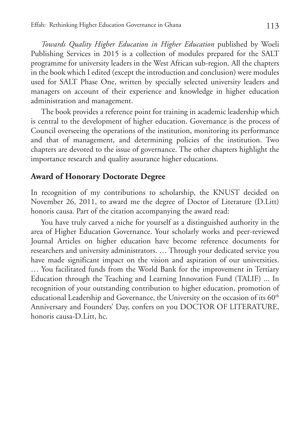*Towards Quality Higher Education in Higher Education* published by Woeli Publishing Services in 2015 is a collection of modules prepared for the SALT programme for university leaders in the West African sub-region. All the chapters in the book which I edited (except the introduction and conclusion) were modules used for SALT Phase One, written by specially selected university leaders and managers on account of their experience and knowledge in higher education administration and management.

The book provides a reference point for training in academic leadership which is central to the development of higher education. Governance is the process of Council overseeing the operations of the institution, monitoring its performance and that of management, and determining policies of the institution. Two chapters are devoted to the issue of governance. The other chapters highlight the importance research and quality assurance higher educations.

# **Award of Honorary Doctorate Degree**

In recognition of my contributions to scholarship, the KNUST decided on November 26, 2011, to award me the degree of Doctor of Literature (D.Litt) honoris causa. Part of the citation accompanying the award read:

You have truly carved a niche for yourself as a distinguished authority in the area of Higher Education Governance. Your scholarly works and peer-reviewed Journal Articles on higher education have become reference documents for researchers and university administrators. … Through your dedicated service you have made significant impact on the vision and aspiration of our universities. … You facilitated funds from the World Bank for the improvement in Tertiary Education through the Teaching and Learning Innovation Fund (TALIF) ... In recognition of your outstanding contribution to higher education, promotion of educational Leadership and Governance, the University on the occasion of its 60<sup>th</sup> Anniversary and Founders' Day, confers on you DOCTOR OF LITERATURE, honoris causa-D.Litt, hc.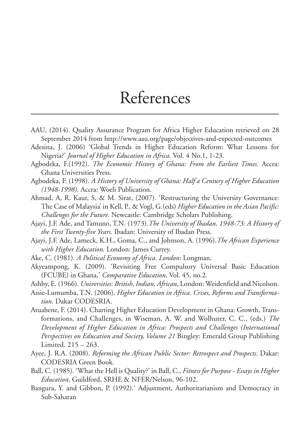# References

- AAU, (2014). Quality Assurance Program for Africa Higher Education retrieved on 28 September 2014 from http://www.aau.org/page/objectives-and-expected-outcomes
- Adesina, J. (2006) 'Global Trends in Higher Education Reform: What Lessons for Nigeria?' *Journal of Higher Education in Africa.* Vol. 4 No.1, 1-23.
- Agbodeka, F.(1992). *The Economic History of Ghana: From the Earliest Times*. Accra: Ghana Universities Press.
- Agbodeka, F. (1998). *A History of University of Ghana: Half a Century of Higher Education (1948-1998)*. Accra: Woeli Publication.
- Ahmad, A, R. Kaur, S, & M. Sirat, (2007). 'Restructuring the University Governance: The Case of Malaysia' in Kell, P., & Vogl, G.(eds) *Higher Education in the Asian Pacific: Challenges for the Future.* Newcastle: Cambridge Scholars Publishing.
- Ajayi, J.F. Ade, and Tamuno, T.N. (1973).*The University of Ibadan, 1948-73: A History of the First Twenty-five Years.* Ibadan: University of Ibadan Press.
- Ajayi, J.F. Ade, Lameck, K.H., Goma, C., and Johnson, A. (1996).*The African Experience with Higher Education.* London: James Currey.
- Ake, C. (1981). *A Political Economy of Africa. London*: Longman.
- Akyeampong, K. (2009). 'Revisiting Free Compulsory Universal Basic Education (FCUBE) in Ghana,' *Comparative Education*, Vol. 45, no.2.
- Ashby, E. (1966). *Universities: British, Indian, African*, London: Weidenfield and Nicolson.
- Assie-Lumumba, T.N. (2006). *Higher Education in Africa. Crises, Reforms and Transformation*. Dakar CODESRIA.
- Atuahene, F. (2014). Charting Higher Education Development in Ghana: Growth, Transformations, and Challenges, in Wiseman, A. W. and Wolhuter, C. C., (eds.) *The Development of Higher Education in Africa: Prospects and Challenges (International Perspectives on Education and Society, Volume 21* Bingley: Emerald Group Publishing Limited. 215 – 263.
- Ayee, J. R.A. (2008). *Reforming the African Public Sector: Retrospect and Prospects*. Dakar: CODESRIA Green Book.
- Ball, C. (1985). 'What the Hell is Quality?' in Ball, C., *Fitness for Purpose Essays in Higher Education*, Guildford, SRHE & NFER/Nelson, 96-102.
- Bangura, Y. and Gibbon, P. (1992).' Adjustment, Authoritarianism and Democracy in Sub-Saharan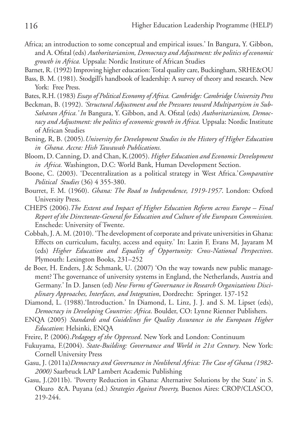- Africa; an introduction to some conceptual and empirical issues.' In Bangura, Y. Gibbon, and A. Ofstal (eds) *Authoritarianism, Democracy and Adjustment: the politics of economic growth in Africa.* Uppsala: Nordic Institute of African Studies
- Barnet, R. (1992) Improving higher education: Total quality care, Buckingham, SRHE&OU
- Bass, B. M. (1981). Stodgill's handbook of leadership: A survey of theory and research. New York: Free Press.
- Bates, R.H. (1983) *Essays of Political Economy of Africa. Cambridge: Cambridge University Press*
- Beckman, B. (1992). *'Structural Adjustment and the Pressures toward Multipartyism in Sub-Saharan Africa.' In* Bangura, Y. Gibbon, and A. Ofstal (eds) *Authoritarianism, Democracy and Adjustment: the politics of economic growth in Africa.* Uppsala: Nordic Institute of African Studies
- Bening, R, B. (2005)*.University for Development Studies in the History of Higher Education in Ghana. Accra: Hish Tawawah Publications.*
- Bloom, D. Canning, D. and Chan, K.(2005). *Higher Education and Economic Development in Africa.* Washington, D.C: World Bank, Human Development Section.
- Boone, C. (2003). 'Decentralization as a political strategy in West Africa.'*Comparative Political Studies* (36) 4 355-380.
- Bourret, F. M. (1960). *Ghana: The Road to Independence, 1919-1957*. London: Oxford University Press.
- CHEPS (2006).*The Extent and Impact of Higher Education Reform across Europe Final Report of the Directorate-General for Education and Culture of the European Commission.* Enschede: University of Twente.
- Cobbah, J. A. M. (2010). 'The development of corporate and private universities in Ghana: Effects on curriculum, faculty, access and equity.' In: Lazin F, Evans M, Jayaram M (eds) *Higher Education and Equality of Opportunity: Cross-National Perspectives*. Plymouth: Lexington Books, 231–252
- de Boer, H. Enders, J.& Schmank, U. (2007) 'On the way towards new public management? The governance of university systems in England, the Netherlands, Austria and Germany.' In D. Jansen (ed) *New Forms of Governance in Research Organizations Disciplinary Approaches, Interfaces, and Integration*, Dordrecht: Springer. 137-152
- Diamond, L. (1988).'Introduction.' In Diamond, L. Linz, J. J. and S. M. Lipset (eds), *Democracy in Developing Countries: Africa*. Boulder, CO: Lynne Rienner Publishers.
- ENQA (2005) *Standards and Guidelines for Quality Assurance in the European Higher Education*: Helsinki, ENQA
- Freire, P. (2006).*Pedagogy of the Oppressed*. New York and London: Continuum
- Fukuyama, F.(2004). *State-Building: Governance and World in 21st Century*. New York: Cornell University Press
- Gasu, J. (2011a)*Democracy and Governance in Neoliberal Africa: The Case of Ghana (1982- 2000)* Saarbruck LAP Lambert Academic Publishing
- Gasu, J.(2011b). 'Poverty Reduction in Ghana: Alternative Solutions by the State' in S. Okuro &A. Puyana (ed.) *Strategies Against Poverty,* Buenos Aires: CROP/CLASCO, 219-244.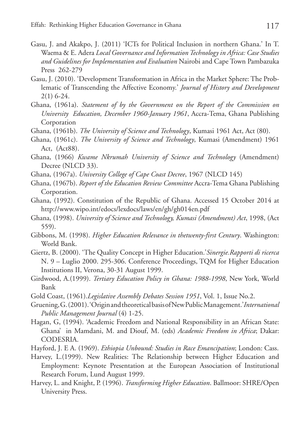- Gasu, J. and Akakpo, J. (2011) 'ICTs for Political Inclusion in northern Ghana.' In T. Waema & E. Adera *Local Governance and Information Technology in Africa: Case Studies and Guidelines for Implementation and Evaluation* Nairobi and Cape Town Pambazuka Press 262-279
- Gasu, J. (2010). 'Development Transformation in Africa in the Market Sphere: The Problematic of Transcending the Affective Economy.' *Journal of History and Development* 2(1) 6-24.
- Ghana, (1961a). *Statement of by the Government on the Report of the Commission on University Education, December 1960-January 1961*, Accra-Tema, Ghana Publishing Corporation
- Ghana, (1961b). *The University of Science and Technology*, Kumasi 1961 Act, Act (80).
- Ghana, (1961c). *The University of Science and Technology*, Kumasi (Amendment) 1961 Act, (Act88).
- Ghana, (1966) *Kwame Nkrumah University of Science and Technology* (Amendment) Decree (NLCD 33).
- Ghana, (1967a). *University College of Cape Coast Decree*, 1967 (NLCD 145)
- Ghana, (1967b). *Report of the Education Review Committee* Accra-Tema Ghana Publishing Corporation.
- Ghana, (1992). Constitution of the Republic of Ghana. Accessed 15 October 2014 at http://www.wipo.int/edocs/lexdocs/laws/en/gh/gh014en.pdf
- Ghana, (1998). *University of Science and Technology, Kumasi (Amendment) Act*, 1998, (Act 559).
- Gibbons, M. (1998). *Higher Education Relevance in thetwenty-first Century*. Washington: World Bank.
- Giertz, B. (2000). 'The Quality Concept in Higher Education.'*Sinergie.Rapporti di ricerca* N. 9 – Luglio 2000. 295-306. Conference Proceedings, TQM for Higher Education Institutions II, Verona, 30-31 August 1999.
- Girdwood, A.(1999). *Tertiary Education Policy in Ghana: 1988-1998*, New York, World Bank
- Gold Coast, (1961).*Legislative Assembly Debates Session 1951*, Vol. 1, Issue No.2.
- Gruening, G. (2001). 'Origin and theoretical basis of New Public Management.'*International Public Management Journal* (4) 1-25.
- Hagan, G, (1994). 'Academic Freedom and National Responsibility in an African State: Ghana' in Mamdani, M. and Diouf, M. (eds) *Academic Freedom in Africa*; Dakar: CODESRIA.
- Hayford, J. E A. (1969). *Ethiopia Unbound: Studies in Race Emancipation*; London: Cass.
- Harvey, L.(1999). New Realities: The Relationship between Higher Education and Employment: Keynote Presentation at the European Association of Institutional Research Forum, Lund August 1999.
- Harvey, L. and Knight, P. (1996). *Transforming Higher Education*. Ballmoor: SHRE/Open University Press.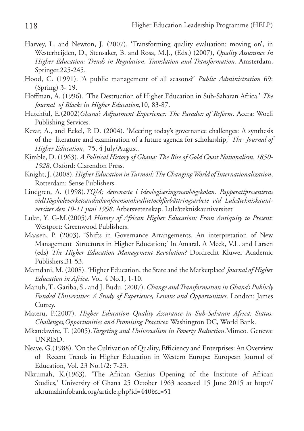- Harvey, L. and Newton, J. (2007). 'Transforming quality evaluation: moving on', in Westerheijden, D., Stensaker, B. and Rosa, M.J., (Eds.) (2007), *Quality Assurance In Higher Education: Trends in Regulation, Translation and Transformation*, Amsterdam, Springer.225-245.
- Hood, C. (1991). 'A public management of all seasons?' *Public Administration* 69: (Spring) 3- 19.
- Hoffman, A. (1996). 'The Destruction of Higher Education in Sub-Saharan Africa.' *The Journal of Blacks in Higher Education,*10, 83-87.
- Hutchful, E.(2002)*Ghana's Adjustment Experience: The Paradox of Reform*. Accra: Woeli Publishing Services.
- Kezar, A., and Eckel, P. D. (2004). 'Meeting today's governance challenges: A synthesis of the literature and examination of a future agenda for scholarship,' *The Journal of Higher Education*, 75, 4 July/August.
- Kimble, D. (1963). *A Political History of Ghana: The Rise of Gold Coast Nationalism. 1850- 1928*, Oxford: Clarendon Press.
- Knight, J. (2008). *Higher Education in Turmoil: The Changing World of Internationalization*, Rotterdam: Sense Publishers.
- Lindgren, A. (1998).*TQM; detsenaste i ideologiseringenavhögskolan. Papperattpresenteras vidHögskoleverketsandrakonferensomkvalitetochförbättringsarbete vid Luleåtekniskauniversitet den 10-11 juni 1998*. Arbetsvetenskap. Luleåtekniskauniversitet
- Lulat, Y. G-M.(2005)*A History of African Higher Education: From Antiquity to Present*: Westport: Greenwood Publishers.
- Maasen, P. (2003), 'Shifts in Governance Arrangements. An interpretation of New Management Structures in Higher Education;' In Amaral. A Meek, V.L. and Larsen (eds) *The Higher Education Management Revolution?* Dordrecht Kluwer Academic Publishers.31-53.
- Mamdani, M. (2008). 'Higher Education, the State and the Marketplace' *Journal of Higher Education in Africa*. Vol. 4 No.1, 1-10.
- Manuh, T., Gariba, S., and J. Budu. (2007). *Change and Transformation in Ghana's Publicly Funded Universities: A Study of Experience, Lessons and Opportunities*. London: James Currey.
- Materu, P.(2007). *Higher Education Quality Assurance in Sub-Saharan Africa: Status, Challenges,Opportunities and Promising Practices*: Washington DC, World Bank.
- Mkandawire, T. (2005).*Targeting and Universalism in Poverty Reduction*.Mimeo. Geneva: UNRISD.
- Neave, G.(1988). 'On the Cultivation of Quality, Efficiency and Enterprises: An Overview of Recent Trends in Higher Education in Western Europe: European Journal of Education, Vol. 23 No.1/2: 7-23.
- Nkrumah, K.(1963). 'The African Genius Opening of the Institute of African Studies,' University of Ghana 25 October 1963 accessed 15 June 2015 at http:// nkrumahinfobank.org/article.php?id=440&c=51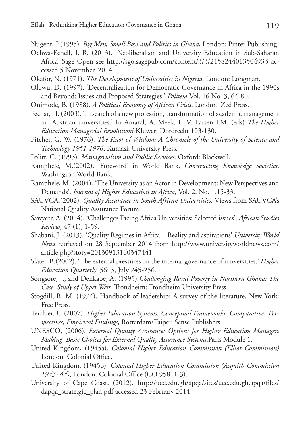Nugent, P.(1995). *Big Men, Small Boys and Politics in Ghana*, London: Pinter Publishing.

- Ochwa-Echell, J. R. (2013). 'Neoliberalism and University Education in Sub-Saharan Africa' Sage Open see http://sgo.sagepub.com/content/3/3/2158244013504933 accessed 5 November, 2014.
- Okafor, N. (1971). *The Development of Universities in Nigeria*. London: Longman.
- Olowu, D. (1997). 'Decentralization for Democratic Governance in Africa in the 1990s and Beyond: Issues and Proposed Strategies.' *Politeia* Vol. 16 No. 3, 64-80.
- Onimode, B. (1988). *A Political Economy of African Crisis*. London: Zed Press.
- Pechar, H. (2003). 'In search of a new profession, transformation of academic management in Austrian universities.' In Amaral, A. Meek, L. V. Larsen I.M. (eds) *The Higher Education Managerial Revolution?* Kluwer: Dordrecht 103-130.
- Pitcher, G. W. (1976). *The Knot of Wisdom: A Chronicle of the University of Science and Technology 1951-1976*, Kumasi: University Press.
- Politt, C. (1993). *Managerialism and Public Services*. Oxford: Blackwell.
- Ramphele, M.(2002). 'Foreword' in World Bank, *Constructing Knowledge Societies*, Washington:World Bank.
- Ramphele, M. (2004). 'The University as an Actor in Development: New Perspectives and Demands'. *Journal of Higher Education in Africa,* Vol. 2, No. 1,15-33.
- SAUVCA.(2002). *Quality Assurance in South African Universities*. Views from SAUVCA's National Quality Assurance Forum.
- Sawyerr, A. (2004). 'Challenges Facing Africa Universities: Selected issues', *African Studies Review*, 47 (1), 1-59.
- Shabani, J. (2013). 'Quality Regimes in Africa Reality and aspirations' *University World News* retrieved on 28 September 2014 from http://www.universityworldnews.com/ article.php?story=20130913160347441
- Slater, B.(2002). 'The external pressures on the internal governance of universities,' *Higher Education Quarterly*, 56: 3, July 245-256.
- Songsore, J., and Denkabe, A. (1995).*Challenging Rural Poverty in Northern Ghana: The Case Study of Upper West.* Trondheim: Trondheim University Press.
- Stogdill, R. M. (1974). Handbook of leadership: A survey of the literature. New York: Free Press.
- Teichler, U.(2007). *Higher Education Systems: Conceptual Frameworks, Comparative Perspectives, Empirical Findings*, Rotterdam/Taipei: Sense Publishers.
- UNESCO, (2006). *External Quality Assurance: Options for Higher Education Managers Making Basic Choices for External Quality Assurance Systems*.Paris Module 1.
- United Kingdom, (1945a). *Colonial Higher Education Commission (Elliot Commission)* London Colonial Office.
- United Kingdom, (1945b). *Colonial Higher Education Commission (Asquith Commission 1943- 44)*, London: Colonial Office (CO 958: 1-3).
- University of Cape Coast, (2012). http://ucc.edu.gh/apqa/sites/ucc.edu.gh.apqa/files/ dapqa\_strate.gic\_plan.pdf accessed 23 February 2014.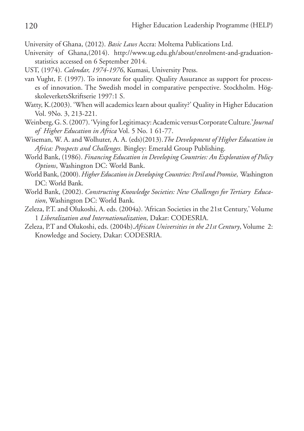University of Ghana, (2012). *Basic Laws* Accra: Moltema Publications Ltd.

- University of Ghana,(2014). http://www.ug.edu.gh/about/enrolment-and-graduationstatistics accessed on 6 September 2014.
- UST, (1974). *Calendar, 1974-1976*, Kumasi, University Press.
- van Vught, F. (1997). To innovate for quality. Quality Assurance as support for processes of innovation. The Swedish model in comparative perspective. Stockholm. HögskoleverketsSkriftserie 1997:1 S.
- Watty, K.(2003). 'When will academics learn about quality?' Quality in Higher Education Vol. 9No. 3, 213-221.
- Weinberg, G. S. (2007). 'Vying for Legitimacy: Academic versus Corporate Culture.'*Journal of Higher Education in Africa* Vol. 5 No. 1 61-77.
- Wiseman, W. A. and Wolhuter, A. A. (eds)(2013).*The Development of Higher Education in Africa: Prospects and Challenges.* Bingley: Emerald Group Publishing.
- World Bank, (1986). *Financing Education in Developing Countries: An Exploration of Policy Options*, Washington DC: World Bank.
- World Bank, (2000). *Higher Education in Developing Countries: Peril and Promise*, Washington DC: World Bank.
- World Bank, (2002). *Constructing Knowledge Societies: New Challenges for Tertiary Education*, Washington DC: World Bank.
- Zeleza, P.T. and Olukoshi, A. eds. (2004a). 'African Societies in the 21st Century,' Volume 1 *Liberalization and Internationalization*, Dakar: CODESRIA.
- Zeleza, P.T and Olukoshi, eds. (2004b).*African Universities in the 21st Century*, Volume 2: Knowledge and Society, Dakar: CODESRIA.